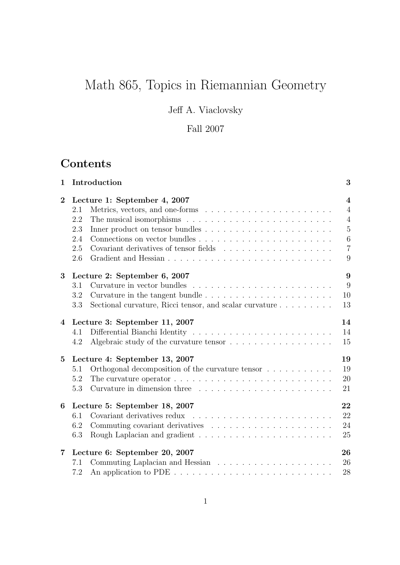# Math 865, Topics in Riemannian Geometry

Jeff A. Viaclovsky

## Fall 2007

## **Contents**

| $\mathbf{1}$   | Introduction                                                                                   | 3                                      |
|----------------|------------------------------------------------------------------------------------------------|----------------------------------------|
| $\bf{2}$       | Lecture 1: September 4, 2007                                                                   | $\overline{\mathbf{4}}$                |
|                | $2.1\,$                                                                                        | $\overline{4}$                         |
|                | 2.2                                                                                            | $\overline{4}$                         |
|                | 2.3                                                                                            | $\overline{5}$                         |
|                | 2.4                                                                                            | 6                                      |
|                | 2.5                                                                                            | $\overline{7}$                         |
|                | 2.6                                                                                            | 9                                      |
| 3              | Lecture 2: September 6, 2007                                                                   | 9                                      |
|                | 3.1                                                                                            | 9                                      |
|                | 3.2                                                                                            | 10                                     |
|                | Sectional curvature, Ricci tensor, and scalar curvature $\ldots \ldots \ldots$<br>3.3          | 13                                     |
| $\overline{4}$ | Lecture 3: September 11, 2007                                                                  | 14                                     |
|                | 4.1                                                                                            | 14                                     |
|                | Algebraic study of the curvature tensor $\ldots \ldots \ldots \ldots \ldots \ldots$<br>4.2     | 15                                     |
| $\bf{5}$       | Lecture 4: September 13, 2007                                                                  | 19                                     |
|                | Orthogonal decomposition of the curvature tensor $\dots \dots \dots$<br>5.1                    | 19<br>20<br>21<br>22<br>22<br>24<br>25 |
|                | The curvature operator $\ldots \ldots \ldots \ldots \ldots \ldots \ldots \ldots \ldots$<br>5.2 |                                        |
|                | 5.3                                                                                            |                                        |
| 6              | Lecture 5: September 18, 2007                                                                  |                                        |
|                | Covariant derivatives redux<br>6.1                                                             |                                        |
|                | 6.2                                                                                            |                                        |
|                | 6.3                                                                                            |                                        |
| $\overline{7}$ | Lecture 6: September 20, 2007                                                                  | 26                                     |
|                | 7.1                                                                                            | 26                                     |
|                | 7.2                                                                                            | 28                                     |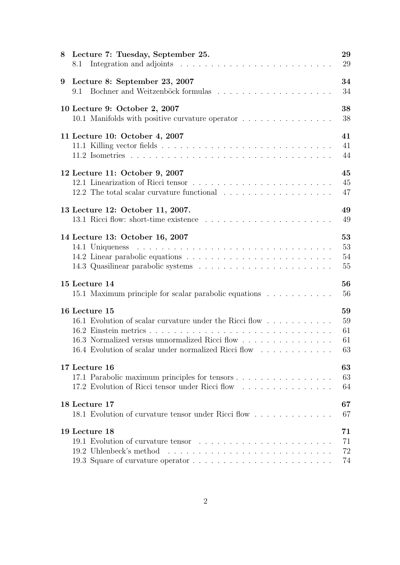| Lecture 7: Tuesday, September 25.<br>8<br>8.1           | 29<br>29 |
|---------------------------------------------------------|----------|
| Lecture 8: September 23, 2007<br>9<br>9.1               | 34<br>34 |
| 10 Lecture 9: October 2, 2007                           | 38       |
| 10.1 Manifolds with positive curvature operator         | 38       |
| 11 Lecture 10: October 4, 2007                          | 41       |
|                                                         | 41       |
|                                                         | 44       |
| 12 Lecture 11: October 9, 2007                          | 45       |
| 12.1 Linearization of Ricci tensor                      | 45       |
|                                                         | 47       |
| 13 Lecture 12: October 11, 2007.                        | 49       |
|                                                         | 49       |
| 14 Lecture 13: October 16, 2007                         | 53       |
|                                                         | 53       |
|                                                         | 54       |
|                                                         | 55       |
| 15 Lecture 14                                           | 56       |
| 15.1 Maximum principle for scalar parabolic equations   | 56       |
| 16 Lecture 15                                           | 59       |
| 16.1 Evolution of scalar curvature under the Ricci flow | 59       |
|                                                         | 61       |
| 16.3 Normalized versus unnormalized Ricci flow          | 61       |
| 16.4 Evolution of scalar under normalized Ricci flow    | 63       |
| 17 Lecture 16                                           | 63       |
| 17.1 Parabolic maximum principles for tensors           | 63       |
| 17.2 Evolution of Ricci tensor under Ricci flow         | 64       |
| 18 Lecture 17                                           | 67       |
| 18.1 Evolution of curvature tensor under Ricci flow     | 67       |
| 19 Lecture 18                                           | 71       |
|                                                         | 71       |
|                                                         | 72       |
|                                                         | 74       |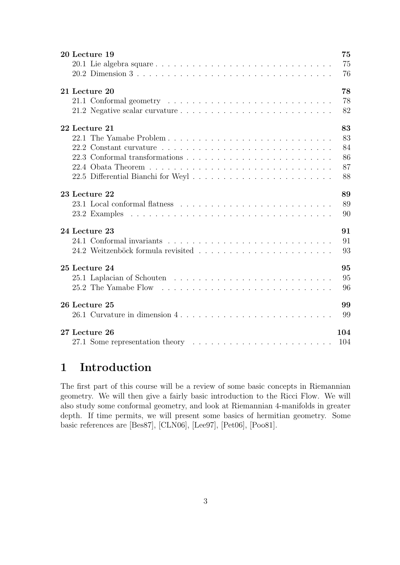| 20 Lecture 19                                                                                   | 75  |
|-------------------------------------------------------------------------------------------------|-----|
|                                                                                                 | 75  |
|                                                                                                 | 76  |
| 21 Lecture 20                                                                                   | 78  |
|                                                                                                 | 78  |
|                                                                                                 | 82  |
| 22 Lecture 21                                                                                   | 83  |
|                                                                                                 | 83  |
|                                                                                                 | 84  |
|                                                                                                 | 86  |
|                                                                                                 | 87  |
|                                                                                                 | 88  |
| 23 Lecture 22                                                                                   | 89  |
|                                                                                                 | 89  |
|                                                                                                 | 90  |
| 24 Lecture 23                                                                                   | 91  |
|                                                                                                 | 91  |
|                                                                                                 | 93  |
| 25 Lecture 24                                                                                   | 95  |
|                                                                                                 | 95  |
|                                                                                                 | 96  |
| 26 Lecture 25                                                                                   | 99  |
| 26.1 Curvature in dimension $4, \ldots, \ldots, \ldots, \ldots, \ldots, \ldots, \ldots, \ldots$ | 99  |
| 27 Lecture 26                                                                                   | 104 |
|                                                                                                 | 104 |

## 1 Introduction

The first part of this course will be a review of some basic concepts in Riemannian geometry. We will then give a fairly basic introduction to the Ricci Flow. We will also study some conformal geometry, and look at Riemannian 4-manifolds in greater depth. If time permits, we will present some basics of hermitian geometry. Some basic references are [Bes87], [CLN06], [Lee97], [Pet06], [Poo81].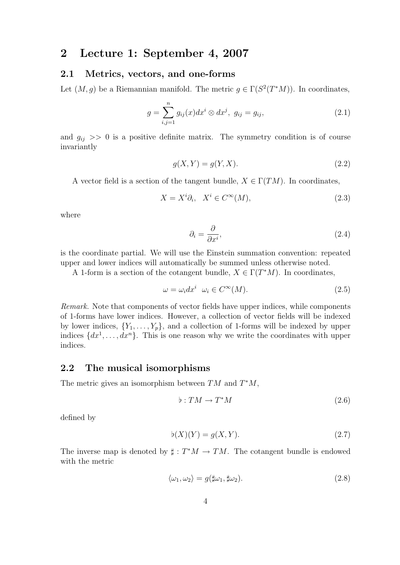### 2 Lecture 1: September 4, 2007

#### 2.1 Metrics, vectors, and one-forms

Let  $(M, g)$  be a Riemannian manifold. The metric  $g \in \Gamma(S^2(T^*M))$ . In coordinates,

$$
g = \sum_{i,j=1}^{n} g_{ij}(x) dx^{i} \otimes dx^{j}, \ g_{ij} = g_{ij}, \qquad (2.1)
$$

and  $g_{ij} \gg 0$  is a positive definite matrix. The symmetry condition is of course invariantly

$$
g(X,Y) = g(Y,X). \tag{2.2}
$$

A vector field is a section of the tangent bundle,  $X \in \Gamma(TM)$ . In coordinates,

$$
X = X^i \partial_i, \quad X^i \in C^\infty(M), \tag{2.3}
$$

where

$$
\partial_i = \frac{\partial}{\partial x^i},\tag{2.4}
$$

is the coordinate partial. We will use the Einstein summation convention: repeated upper and lower indices will automatically be summed unless otherwise noted.

A 1-form is a section of the cotangent bundle,  $X \in \Gamma(T^*M)$ . In coordinates,

$$
\omega = \omega_i dx^i \quad \omega_i \in C^\infty(M). \tag{2.5}
$$

Remark. Note that components of vector fields have upper indices, while components of 1-forms have lower indices. However, a collection of vector fields will be indexed by lower indices,  $\{Y_1, \ldots, Y_p\}$ , and a collection of 1-forms will be indexed by upper indices  $\{dx^1, \ldots, dx^n\}$ . This is one reason why we write the coordinates with upper indices.

#### 2.2 The musical isomorphisms

The metric gives an isomorphism between  $TM$  and  $T^*M$ ,

$$
\flat: TM \to T^*M \tag{2.6}
$$

defined by

$$
\flat(X)(Y) = g(X, Y). \tag{2.7}
$$

The inverse map is denoted by  $\sharp : T^*M \to TM$ . The cotangent bundle is endowed with the metric

$$
\langle \omega_1, \omega_2 \rangle = g(\sharp \omega_1, \sharp \omega_2). \tag{2.8}
$$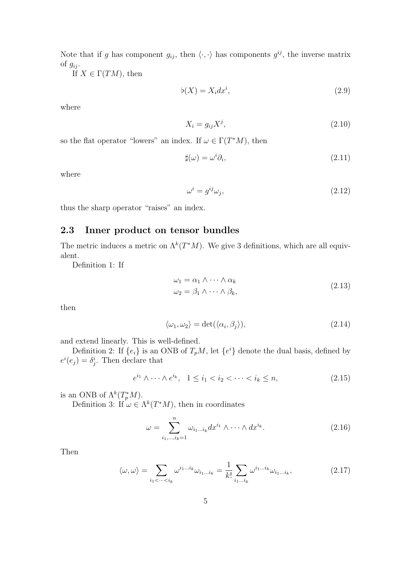Note that if g has component  $g_{ij}$ , then  $\langle \cdot, \cdot \rangle$  has components  $g^{ij}$ , the inverse matrix of  $g_{ij}$ .

If  $X \in \Gamma(TM)$ , then

$$
\flat(X) = X_i dx^i,\tag{2.9}
$$

where

$$
X_i = g_{ij} X^j,\tag{2.10}
$$

so the flat operator "lowers" an index. If  $\omega \in \Gamma(T^*M)$ , then

$$
\sharp(\omega) = \omega^i \partial_i,\tag{2.11}
$$

where

$$
\omega^i = g^{ij}\omega_j,\tag{2.12}
$$

thus the sharp operator "raises" an index.

### 2.3 Inner product on tensor bundles

The metric induces a metric on  $\Lambda^k(T^*M)$ . We give 3 definitions, which are all equivalent.

Definition 1: If

$$
\omega_1 = \alpha_1 \wedge \dots \wedge \alpha_k
$$
  
\n
$$
\omega_2 = \beta_1 \wedge \dots \wedge \beta_k,
$$
\n(2.13)

then

$$
\langle \omega_1, \omega_2 \rangle = \det(\langle \alpha_i, \beta_j \rangle), \tag{2.14}
$$

and extend linearly. This is well-defined.

Definition 2: If  $\{e_i\}$  is an ONB of  $T_pM$ , let  $\{e^i\}$  denote the dual basis, defined by  $e^{i}(e_j) = \delta^i_j$ . Then declare that

$$
e^{i_1} \wedge \dots \wedge e^{i_k}, \quad 1 \le i_1 < i_2 < \dots < i_k \le n,\tag{2.15}
$$

is an ONB of  $\Lambda^k(T_p^*M)$ .

Definition 3: If  $\omega \in \Lambda^k(T^*M)$ , then in coordinates

$$
\omega = \sum_{i_1,\dots,i_k=1}^n \omega_{i_1\dots i_k} dx^{i_1} \wedge \dots \wedge dx^{i_k}.
$$
 (2.16)

Then

$$
\langle \omega, \omega \rangle = \sum_{i_1 < \dots < i_k} \omega^{i_1 \dots i_k} \omega_{i_1 \dots i_k} = \frac{1}{k!} \sum_{i_1 \dots i_k} \omega^{i_1 \dots i_k} \omega_{i_1 \dots i_k},\tag{2.17}
$$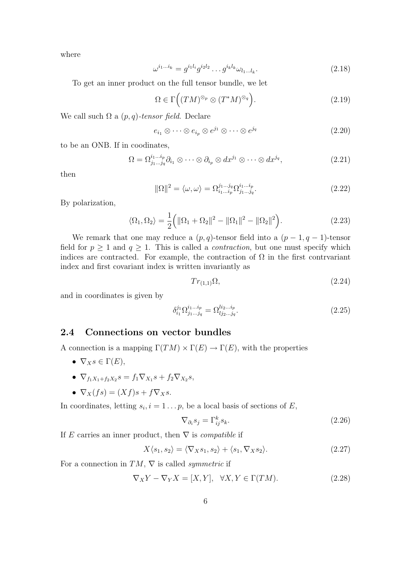where

$$
\omega^{i_1...i_k} = g^{i_1 l_i} g^{i_2 l_2} \dots g^{i_k l_k} \omega_{l_1...l_k}.
$$
\n(2.18)

To get an inner product on the full tensor bundle, we let

$$
\Omega \in \Gamma\Big((TM)^{\otimes_p} \otimes (T^*M)^{\otimes_q}\Big). \tag{2.19}
$$

We call such  $\Omega$  a  $(p, q)$ -tensor field. Declare

$$
e_{i_1} \otimes \cdots \otimes e_{i_p} \otimes e^{j_1} \otimes \cdots \otimes e^{j_q}
$$
 (2.20)

to be an ONB. If in coodinates,

$$
\Omega = \Omega^{i_1 \dots i_p}_{j_1 \dots j_q} \partial_{i_1} \otimes \dots \otimes \partial_{i_p} \otimes dx^{j_1} \otimes \dots \otimes dx^{j_q}, \qquad (2.21)
$$

then

$$
\|\Omega\|^2 = \langle \omega, \omega \rangle = \Omega_{i_1 \dots i_p}^{j_1 \dots j_q} \Omega_{j_1 \dots j_q}^{i_1 \dots i_p}.
$$
\n(2.22)

By polarization,

$$
\langle \Omega_1, \Omega_2 \rangle = \frac{1}{2} ( \| \Omega_1 + \Omega_2 \|^2 - \| \Omega_1 \|^2 - \| \Omega_2 \|^2 ).
$$
 (2.23)

We remark that one may reduce a  $(p, q)$ -tensor field into a  $(p - 1, q - 1)$ -tensor field for  $p \ge 1$  and  $q \ge 1$ . This is called a *contraction*, but one must specify which indices are contracted. For example, the contraction of  $\Omega$  in the first contrvariant index and first covariant index is written invariantly as

$$
Tr_{(1,1)}\Omega, \tag{2.24}
$$

and in coordinates is given by

$$
\delta_{i_1}^{j_1} \Omega_{j_1 \dots j_q}^{i_1 \dots i_p} = \Omega_{l j_2 \dots j_q}^{l i_2 \dots i_p}.
$$
\n(2.25)

#### 2.4 Connections on vector bundles

A connection is a mapping  $\Gamma(TM) \times \Gamma(E) \rightarrow \Gamma(E)$ , with the properties

- $\nabla_X s \in \Gamma(E)$ ,
- $\nabla_{f_1X_1+f_2X_2}s = f_1\nabla_{X_1}s + f_2\nabla_{X_2}s,$
- $\nabla_X(fs) = (Xf)s + f\nabla_Xs$ .

In coordinates, letting  $s_i, i = 1 \dots p$ , be a local basis of sections of E,

$$
\nabla_{\partial_i} s_j = \Gamma^k_{ij} s_k. \tag{2.26}
$$

If E carries an inner product, then  $\nabla$  is *compatible* if

$$
X\langle s_1, s_2\rangle = \langle \nabla_X s_1, s_2\rangle + \langle s_1, \nabla_X s_2\rangle.
$$
 (2.27)

For a connection in  $TM$ ,  $\nabla$  is called *symmetric* if

$$
\nabla_X Y - \nabla_Y X = [X, Y], \quad \forall X, Y \in \Gamma(TM). \tag{2.28}
$$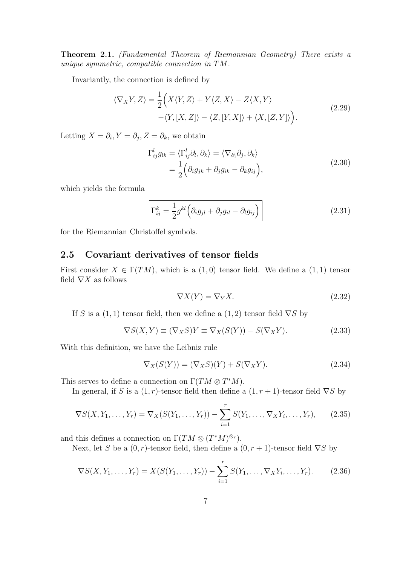Theorem 2.1. (Fundamental Theorem of Riemannian Geometry) There exists a unique symmetric, compatible connection in TM.

Invariantly, the connection is defined by

$$
\langle \nabla_X Y, Z \rangle = \frac{1}{2} \Big( X \langle Y, Z \rangle + Y \langle Z, X \rangle - Z \langle X, Y \rangle - \langle Y, [X, Z] \rangle - \langle Z, [Y, X] \rangle + \langle X, [Z, Y] \rangle \Big). \tag{2.29}
$$

Letting  $X = \partial_i, Y = \partial_j, Z = \partial_k$ , we obtain

$$
\Gamma_{ij}^{l} g_{lk} = \langle \Gamma_{ij}^{l} \partial_l, \partial_k \rangle = \langle \nabla_{\partial_i} \partial_j, \partial_k \rangle \n= \frac{1}{2} \Big( \partial_i g_{jk} + \partial_j g_{ik} - \partial_k g_{ij} \Big),
$$
\n(2.30)

which yields the formula

$$
\Gamma_{ij}^k = \frac{1}{2} g^{kl} \left( \partial_i g_{jl} + \partial_j g_{il} - \partial_l g_{ij} \right)
$$
\n(2.31)

for the Riemannian Christoffel symbols.

### 2.5 Covariant derivatives of tensor fields

First consider  $X \in \Gamma(TM)$ , which is a  $(1,0)$  tensor field. We define a  $(1,1)$  tensor field  $\nabla X$  as follows

$$
\nabla X(Y) = \nabla_Y X. \tag{2.32}
$$

If S is a  $(1, 1)$  tensor field, then we define a  $(1, 2)$  tensor field  $\nabla S$  by

$$
\nabla S(X,Y) \equiv (\nabla_X S)Y \equiv \nabla_X(S(Y)) - S(\nabla_X Y). \tag{2.33}
$$

With this definition, we have the Leibniz rule

$$
\nabla_X(S(Y)) = (\nabla_X S)(Y) + S(\nabla_X Y). \tag{2.34}
$$

This serves to define a connection on  $\Gamma(TM \otimes T^*M)$ .

In general, if S is a  $(1, r)$ -tensor field then define a  $(1, r + 1)$ -tensor field  $\nabla S$  by

$$
\nabla S(X, Y_1, \dots, Y_r) = \nabla_X(S(Y_1, \dots, Y_r)) - \sum_{i=1}^r S(Y_1, \dots, \nabla_X Y_i, \dots, Y_r), \quad (2.35)
$$

and this defines a connection on  $\Gamma(TM \otimes (T^*M)^{\otimes r})$ .

Next, let S be a  $(0, r)$ -tensor field, then define a  $(0, r + 1)$ -tensor field  $\nabla S$  by

$$
\nabla S(X, Y_1, \dots, Y_r) = X(S(Y_1, \dots, Y_r)) - \sum_{i=1}^r S(Y_1, \dots, \nabla_X Y_i, \dots, Y_r).
$$
 (2.36)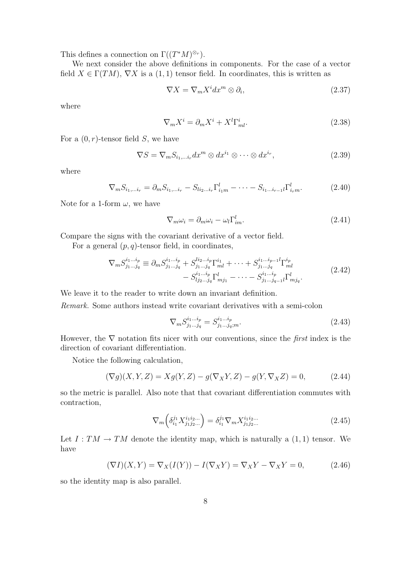This defines a connection on  $\Gamma((T^*M)^{\otimes r})$ .

We next consider the above definitions in components. For the case of a vector field  $X \in \Gamma(TM)$ ,  $\nabla X$  is a  $(1, 1)$  tensor field. In coordinates, this is written as

$$
\nabla X = \nabla_m X^i dx^m \otimes \partial_i,\tag{2.37}
$$

where

$$
\nabla_m X^i = \partial_m X^i + X^l \Gamma^i_{ml}.
$$
\n(2.38)

For a  $(0, r)$ -tensor field S, we have

$$
\nabla S = \nabla_m S_{i_1, \dots, i_r} dx^m \otimes dx^{i_1} \otimes \dots \otimes dx^{i_r}, \qquad (2.39)
$$

where

$$
\nabla_m S_{i_1,\dots i_r} = \partial_m S_{i_1,\dots i_r} - S_{li_2\dots i_r} \Gamma_{i_1m}^l - \dots - S_{i_1\dots i_{r-1}l} \Gamma_{i_rm}^l.
$$
 (2.40)

Note for a 1-form  $\omega$ , we have

$$
\nabla_m \omega_i = \partial_m \omega_i - \omega_l \Gamma^l_{im}.
$$
\n(2.41)

Compare the signs with the covariant derivative of a vector field.

For a general  $(p, q)$ -tensor field, in coordinates,

$$
\nabla_{m} S_{j_{1}...j_{q}}^{i_{1}...i_{p}} \equiv \partial_{m} S_{j_{1}...j_{q}}^{i_{1}...i_{p}} + S_{j_{1}...j_{q}}^{i_{2}...i_{p}} \Gamma_{ml}^{i_{1}} + \cdots + S_{j_{1}...j_{q}}^{i_{1}...i_{p}-1} \Gamma_{ml}^{i_{p}} - S_{j_{1}...j_{q}}^{i_{1}...i_{p}} \Gamma_{mj_{1}}^{l} - \cdots - S_{j_{1}...j_{q}-1}^{i_{1}...i_{p}} \Gamma_{mj_{q}}^{l}.
$$
\n(2.42)

We leave it to the reader to write down an invariant definition.

Remark. Some authors instead write covariant derivatives with a semi-colon

$$
\nabla_m S_{j_1...j_q}^{i_1...i_p} = S_{j_1...j_q;m}^{i_1...i_p}.
$$
\n(2.43)

However, the  $\nabla$  notation fits nicer with our conventions, since the *first* index is the direction of covariant differentiation.

Notice the following calculation,

$$
(\nabla g)(X, Y, Z) = Xg(Y, Z) - g(\nabla_X Y, Z) - g(Y, \nabla_X Z) = 0,
$$
\n(2.44)

so the metric is parallel. Also note that that covariant differentiation commutes with contraction,

$$
\nabla_m \left( \delta_{i_1}^{j_1} X_{j_1 j_2 \dots}^{i_1 i_2 \dots} \right) = \delta_{i_1}^{j_1} \nabla_m X_{j_1 j_2 \dots}^{i_1 i_2 \dots} \tag{2.45}
$$

Let  $I: TM \rightarrow TM$  denote the identity map, which is naturally a  $(1, 1)$  tensor. We have

$$
(\nabla I)(X,Y) = \nabla_X(I(Y)) - I(\nabla_X Y) = \nabla_X Y - \nabla_X Y = 0,
$$
\n(2.46)

so the identity map is also parallel.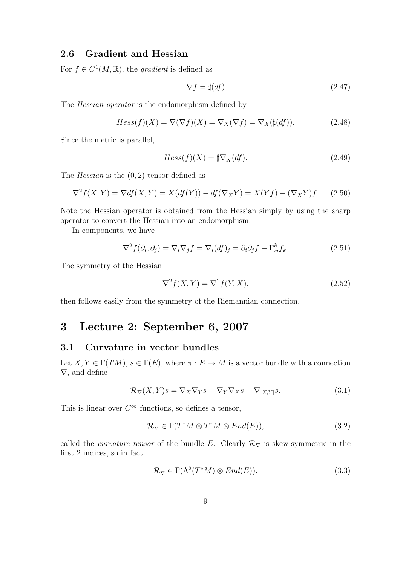### 2.6 Gradient and Hessian

For  $f \in C^1(M, \mathbb{R})$ , the gradient is defined as

$$
\nabla f = \sharp(df) \tag{2.47}
$$

The Hessian operator is the endomorphism defined by

$$
Hess(f)(X) = \nabla(\nabla f)(X) = \nabla_X(\nabla f) = \nabla_X(\sharp(df)).\tag{2.48}
$$

Since the metric is parallel,

$$
Hess(f)(X) = \sharp \nabla_X(df). \tag{2.49}
$$

The *Hessian* is the  $(0, 2)$ -tensor defined as

$$
\nabla^2 f(X, Y) = \nabla df(X, Y) = X(df(Y)) - df(\nabla_X Y) = X(Yf) - (\nabla_X Y)f. \tag{2.50}
$$

Note the Hessian operator is obtained from the Hessian simply by using the sharp operator to convert the Hessian into an endomorphism.

In components, we have

$$
\nabla^2 f(\partial_i, \partial_j) = \nabla_i \nabla_j f = \nabla_i (df)_j = \partial_i \partial_j f - \Gamma^k_{ij} f_k.
$$
 (2.51)

The symmetry of the Hessian

$$
\nabla^2 f(X, Y) = \nabla^2 f(Y, X),\tag{2.52}
$$

then follows easily from the symmetry of the Riemannian connection.

### 3 Lecture 2: September 6, 2007

#### 3.1 Curvature in vector bundles

Let  $X, Y \in \Gamma(TM)$ ,  $s \in \Gamma(E)$ , where  $\pi : E \to M$  is a vector bundle with a connection ∇, and define

$$
\mathcal{R}_{\nabla}(X,Y)s = \nabla_X \nabla_Y s - \nabla_Y \nabla_X s - \nabla_{[X,Y]} s.
$$
\n(3.1)

This is linear over  $C^{\infty}$  functions, so defines a tensor,

$$
\mathcal{R}_{\nabla} \in \Gamma(T^*M \otimes T^*M \otimes End(E)),\tag{3.2}
$$

called the *curvature tensor* of the bundle E. Clearly  $\mathcal{R}_{\nabla}$  is skew-symmetric in the first 2 indices, so in fact

$$
\mathcal{R}_{\nabla} \in \Gamma(\Lambda^2(T^*M) \otimes End(E)). \tag{3.3}
$$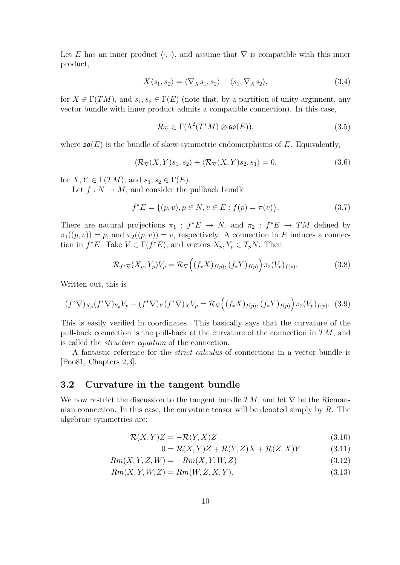Let E has an inner product  $\langle \cdot, \cdot \rangle$ , and assume that  $\nabla$  is compatible with this inner product,

$$
X\langle s_1, s_2\rangle = \langle \nabla_X s_1, s_2\rangle + \langle s_1, \nabla_X s_2\rangle, \tag{3.4}
$$

for  $X \in \Gamma(TM)$ , and  $s_1, s_2 \in \Gamma(E)$  (note that, by a partition of unity argument, any vector bundle with inner product admits a compatible connection). In this case,

$$
\mathcal{R}_{\nabla} \in \Gamma(\Lambda^2(T^*M) \otimes \mathfrak{so}(E)),\tag{3.5}
$$

where  $\mathfrak{so}(E)$  is the bundle of skew-symmetric endomorphisms of E. Equivalently,

$$
\langle \mathcal{R}_{\nabla}(X,Y)s_1, s_2 \rangle + \langle \mathcal{R}_{\nabla}(X,Y)s_2, s_1 \rangle = 0, \tag{3.6}
$$

for  $X, Y \in \Gamma(TM)$ , and  $s_1, s_2 \in \Gamma(E)$ .

Let  $f: N \to M$ , and consider the pullback bundle

$$
f^*E = \{(p, v), p \in N, v \in E : f(p) = \pi(v)\}.
$$
\n(3.7)

There are natural projections  $\pi_1 : f^*E \to N$ , and  $\pi_2 : f^*E \to TM$  defined by  $\pi_1((p, v)) = p$ , and  $\pi_2((p, v)) = v$ , respectively. A connection in E induces a connection in  $f^*E$ . Take  $V \in \Gamma(f^*E)$ , and vectors  $X_p, Y_p \in T_pN$ . Then

$$
\mathcal{R}_{f^*\nabla}(X_p, Y_p)V_p = \mathcal{R}_{\nabla}\Big((f_*X)_{f(p)}, (f_*Y)_{f(p)}\Big)\pi_2(V_p)_{f(p)}.
$$
\n(3.8)

Written out, this is

$$
(f^*\nabla)_{X_p}(f^*\nabla)_{Y_p}V_p - (f^*\nabla)_Y(f^*\nabla)_XV_p = \mathcal{R}_{\nabla}\Big((f_*X)_{f(p)}, (f_*Y)_{f(p)}\Big)\pi_2(V_p)_{f(p)}.\tag{3.9}
$$

This is easily verified in coordinates. This basically says that the curvature of the pull-back connection is the pull-back of the curvature of the connection in TM, and is called the structure equation of the connection.

A fantastic reference for the strict calculus of connections in a vector bundle is [Poo81, Chapters 2,3].

#### 3.2 Curvature in the tangent bundle

We now restrict the discussion to the tangent bundle  $TM$ , and let  $\nabla$  be the Riemannian connection. In this case, the curvature tensor will be denoted simply by R. The algebraic symmetries are:

$$
\mathcal{R}(X,Y)Z = -\mathcal{R}(Y,X)Z\tag{3.10}
$$

$$
0 = \mathcal{R}(X, Y)Z + \mathcal{R}(Y, Z)X + \mathcal{R}(Z, X)Y
$$
\n(3.11)

$$
Rm(X, Y, Z, W) = -Rm(X, Y, W, Z)
$$
\n
$$
(3.12)
$$

$$
Rm(X, Y, W, Z) = Rm(W, Z, X, Y),\tag{3.13}
$$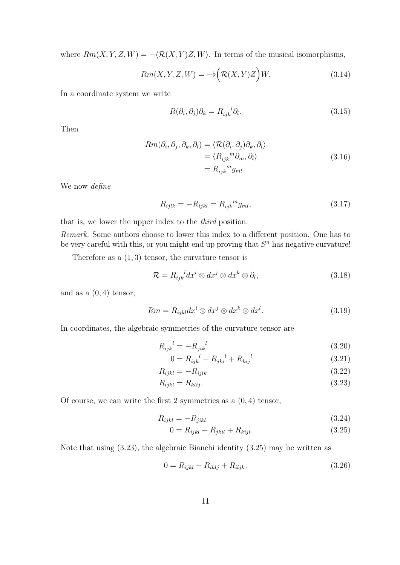where  $Rm(X, Y, Z, W) = -\langle \mathcal{R}(X, Y)Z, W \rangle$ . In terms of the musical isomorphisms,

$$
Rm(X, Y, Z, W) = -b\left(\mathcal{R}(X, Y)Z\right)W.
$$
\n(3.14)

In a coordinate system we write

$$
R(\partial_i, \partial_j)\partial_k = R_{ijk}^{\ \ l}\partial_l. \tag{3.15}
$$

Then

$$
Rm(\partial_i, \partial_j, \partial_k, \partial_l) = \langle \mathcal{R}(\partial_i, \partial_j) \partial_k, \partial_l \rangle
$$
  
=  $\langle R_{ijk}^m \partial_m, \partial_l \rangle$   
=  $R_{ijk}^m g_{ml}$ . (3.16)

We now *define* 

$$
R_{ijlk} = -R_{ijkl} = R_{ijk}{}^m g_{ml},
$$
\n(3.17)

that is, we lower the upper index to the third position.

Remark. Some authors choose to lower this index to a different position. One has to be very careful with this, or you might end up proving that  $S<sup>n</sup>$  has negative curvature!

Therefore as a  $(1, 3)$  tensor, the curvature tensor is

$$
\mathcal{R} = R_{ijk}^{\quad \quad \quad l} dx^i \otimes dx^j \otimes dx^k \otimes \partial_l,\tag{3.18}
$$

and as a  $(0, 4)$  tensor,

$$
Rm = R_{ijkl}dx^i \otimes dx^j \otimes dx^k \otimes dx^l. \tag{3.19}
$$

In coordinates, the algebraic symmetries of the curvature tensor are

$$
R_{ijk}{}^{l} = -R_{jik}{}^{l} \tag{3.20}
$$

$$
0 = R_{ijk}^{\ \ l} + R_{jki}^{\ \ l} + R_{kij}^{\ \ l} \tag{3.21}
$$

$$
R_{ijkl} = -R_{ijlk} \tag{3.22}
$$

$$
R_{ijkl} = R_{klij}.\tag{3.23}
$$

Of course, we can write the first 2 symmetries as a  $(0, 4)$  tensor,

$$
R_{ijkl} = -R_{jikl} \tag{3.24}
$$

$$
0 = R_{ijkl} + R_{jkil} + R_{kijl}.
$$
\n(3.25)

Note that using (3.23), the algebraic Bianchi identity (3.25) may be written as

$$
0 = R_{ijkl} + R_{iklj} + R_{iljk}.
$$
\n(3.26)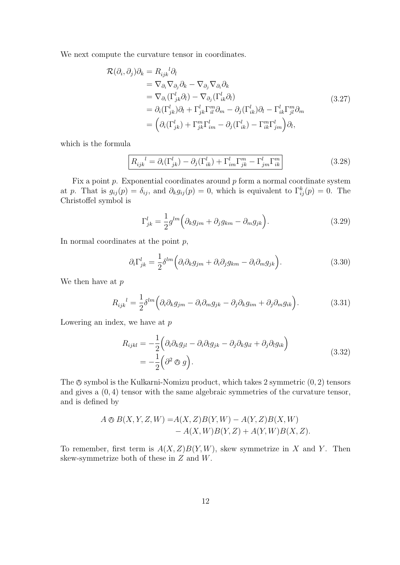We next compute the curvature tensor in coordinates.

$$
\mathcal{R}(\partial_i, \partial_j)\partial_k = R_{ijk}{}^l \partial_l \n= \nabla_{\partial_i} \nabla_{\partial_j} \partial_k - \nabla_{\partial_j} \nabla_{\partial_i} \partial_k \n= \nabla_{\partial_i} (\Gamma^l_{jk} \partial_l) - \nabla_{\partial_j} (\Gamma^l_{ik} \partial_l) \n= \partial_i (\Gamma^l_{jk}) \partial_l + \Gamma^l_{jk} \Gamma^m_{il} \partial_m - \partial_j (\Gamma^l_{ik}) \partial_l - \Gamma^l_{ik} \Gamma^m_{jl} \partial_m \n= \left( \partial_i (\Gamma^l_{jk}) + \Gamma^m_{jk} \Gamma^l_{im} - \partial_j (\Gamma^l_{ik}) - \Gamma^m_{ik} \Gamma^l_{jm} \right) \partial_l,
$$
\n(3.27)

which is the formula

$$
\boxed{R_{ijk}^{\quad l} = \partial_i(\Gamma_{jk}^l) - \partial_j(\Gamma_{ik}^l) + \Gamma_{im}^l \Gamma_{jk}^m - \Gamma_{jm}^l \Gamma_{ik}^m}
$$
\n(3.28)

Fix a point  $p$ . Exponential coordinates around  $p$  form a normal coordinate system at p. That is  $g_{ij}(p) = \delta_{ij}$ , and  $\partial_k g_{ij}(p) = 0$ , which is equivalent to  $\Gamma^k_{ij}(p) = 0$ . The Christoffel symbol is

$$
\Gamma_{jk}^{l} = \frac{1}{2} g^{lm} \left( \partial_k g_{jm} + \partial_j g_{km} - \partial_m g_{jk} \right).
$$
 (3.29)

In normal coordinates at the point  $p$ ,

$$
\partial_i \Gamma^l_{jk} = \frac{1}{2} \delta^{lm} \left( \partial_i \partial_k g_{jm} + \partial_i \partial_j g_{km} - \partial_i \partial_m g_{jk} \right).
$$
 (3.30)

We then have at  $p$ 

$$
R_{ijk}^{\quad l} = \frac{1}{2} \delta^{lm} \left( \partial_i \partial_k g_{jm} - \partial_i \partial_m g_{jk} - \partial_j \partial_k g_{im} + \partial_j \partial_m g_{ik} \right).
$$
 (3.31)

Lowering an index, we have at  $p$ 

$$
R_{ijkl} = -\frac{1}{2} \left( \partial_i \partial_k g_{jl} - \partial_i \partial_l g_{jk} - \partial_j \partial_k g_{il} + \partial_j \partial_l g_{ik} \right)
$$
  
= 
$$
-\frac{1}{2} \left( \partial^2 \otimes g \right).
$$
 (3.32)

The  $\otimes$  symbol is the Kulkarni-Nomizu product, which takes 2 symmetric  $(0, 2)$  tensors and gives a (0, 4) tensor with the same algebraic symmetries of the curvature tensor, and is defined by

$$
A \otimes B(X, Y, Z, W) = A(X, Z)B(Y, W) - A(Y, Z)B(X, W) - A(X, W)B(Y, Z) + A(Y, W)B(X, Z).
$$

To remember, first term is  $A(X, Z)B(Y, W)$ , skew symmetrize in X and Y. Then skew-symmetrize both of these in Z and W.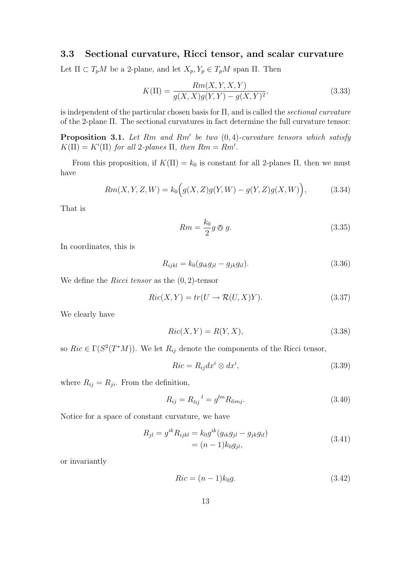### 3.3 Sectional curvature, Ricci tensor, and scalar curvature

Let  $\Pi \subset T_pM$  be a 2-plane, and let  $X_p, Y_p \in T_pM$  span  $\Pi$ . Then

$$
K(\Pi) = \frac{Rm(X, Y, X, Y)}{g(X, X)g(Y, Y) - g(X, Y)^2},
$$
\n(3.33)

is independent of the particular chosen basis for  $\Pi$ , and is called the *sectional curvature* of the 2-plane Π. The sectional curvatures in fact determine the full curvature tensor:

**Proposition 3.1.** Let Rm and Rm' be two  $(0, 4)$ -curvature tensors which satisfy  $K(\Pi) = K'(\Pi)$  for all 2-planes  $\Pi$ , then  $Rm = Rm'$ .

From this proposition, if  $K(\Pi) = k_0$  is constant for all 2-planes  $\Pi$ , then we must have

$$
Rm(X, Y, Z, W) = k_0igg(X, Z)g(Y, W) - g(Y, Z)g(X, W)\big),
$$
\n(3.34)

That is

$$
Rm = \frac{k_0}{2}g \otimes g. \tag{3.35}
$$

In coordinates, this is

$$
R_{ijkl} = k_0 (g_{ik}g_{jl} - g_{jk}g_{il}).
$$
\n(3.36)

We define the *Ricci tensor* as the  $(0, 2)$ -tensor

$$
Ric(X,Y) = tr(U \to \mathcal{R}(U,X)Y).
$$
\n(3.37)

We clearly have

$$
Ric(X, Y) = R(Y, X),\tag{3.38}
$$

so  $Ric \in \Gamma(S^2(T^*M))$ . We let  $R_{ij}$  denote the components of the Ricci tensor,

$$
Ric = R_{ij}dx^{i} \otimes dx^{i}, \qquad (3.39)
$$

where  $R_{ij} = R_{ji}$ . From the definition,

$$
R_{ij} = R_{lij}^{\ \ l} = g^{lm} R_{limj}.
$$
\n(3.40)

Notice for a space of constant curvature, we have

$$
R_{jl} = g^{ik} R_{ijkl} = k_0 g^{ik} (g_{ik} g_{jl} - g_{jk} g_{il})
$$
  
=  $(n - 1)k_0 g_{jl},$  (3.41)

or invariantly

$$
Ric = (n-1)k_0g.\tag{3.42}
$$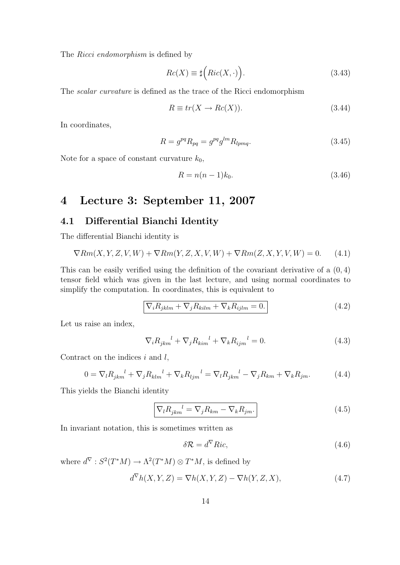The *Ricci endomorphism* is defined by

$$
Rc(X) \equiv \sharp \Big(Ric(X, \cdot)\Big). \tag{3.43}
$$

The scalar curvature is defined as the trace of the Ricci endomorphism

$$
R \equiv tr(X \to Re(X)). \tag{3.44}
$$

In coordinates,

$$
R = g^{pq} R_{pq} = g^{pq} g^{lm} R_{lpmq}.
$$
 (3.45)

Note for a space of constant curvature  $k_0$ ,

$$
R = n(n-1)k_0.
$$
\n(3.46)

### 4 Lecture 3: September 11, 2007

### 4.1 Differential Bianchi Identity

The differential Bianchi identity is

$$
\nabla Rm(X, Y, Z, V, W) + \nabla Rm(Y, Z, X, V, W) + \nabla Rm(Z, X, Y, V, W) = 0.
$$
 (4.1)

This can be easily verified using the definition of the covariant derivative of a (0, 4) tensor field which was given in the last lecture, and using normal coordinates to simplify the computation. In coordinates, this is equivalent to

$$
\nabla_i R_{jklm} + \nabla_j R_{kilm} + \nabla_k R_{ijlm} = 0.
$$
\n(4.2)

Let us raise an index,

$$
\nabla_i R_{jkm}^{\ \ l} + \nabla_j R_{kim}^{\ \ l} + \nabla_k R_{ijm}^{\ \ l} = 0. \tag{4.3}
$$

Contract on the indices  $i$  and  $l$ ,

$$
0 = \nabla_l R_{jkm}^{\ \ l} + \nabla_j R_{klm}^{\ \ l} + \nabla_k R_{ljm}^{\ \ l} = \nabla_l R_{jkm}^{\ \ l} - \nabla_j R_{km} + \nabla_k R_{jm}.\tag{4.4}
$$

This yields the Bianchi identity

$$
\nabla_l R_{jkm}^{\ \ l} = \nabla_j R_{km} - \nabla_k R_{jm}.\tag{4.5}
$$

In invariant notation, this is sometimes written as

$$
\delta \mathcal{R} = d^{\nabla} Ric,\tag{4.6}
$$

where  $d^{\nabla}: S^2(T^*M) \to \Lambda^2(T^*M) \otimes T^*M$ , is defined by

$$
d^{\nabla}h(X,Y,Z) = \nabla h(X,Y,Z) - \nabla h(Y,Z,X),\tag{4.7}
$$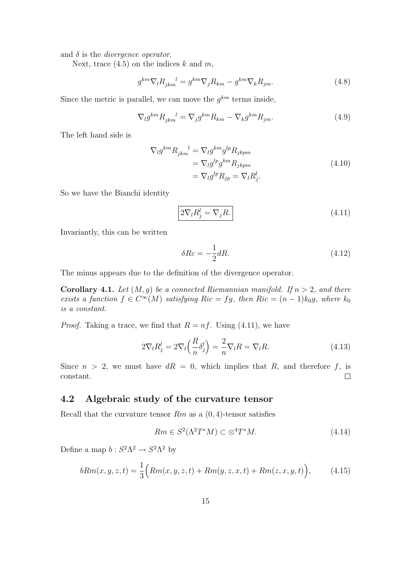and  $\delta$  is the *divergence operator*.

Next, trace  $(4.5)$  on the indices k and m,

$$
g^{km}\nabla_l R_{jkm}^{\quad l} = g^{km}\nabla_j R_{km} - g^{km}\nabla_k R_{jm}.\tag{4.8}
$$

Since the metric is parallel, we can move the  $g^{km}$  terms inside,

$$
\nabla_l g^{km} R_{jkm}^{\ \ l} = \nabla_j g^{km} R_{km} - \nabla_k g^{km} R_{jm}.\tag{4.9}
$$

The left hand side is

$$
\nabla_{l} g^{km} R_{jkm}^{l} = \nabla_{l} g^{km} g^{lp} R_{jkpm}
$$
\n
$$
= \nabla_{l} g^{lp} g^{km} R_{jkpm}
$$
\n
$$
= \nabla_{l} g^{lp} R_{jp} = \nabla_{l} R_{j}^{l}.
$$
\n(4.10)

So we have the Bianchi identity

$$
2\nabla_l R_j^l = \nabla_j R. \tag{4.11}
$$

Invariantly, this can be written

$$
\delta Rc = -\frac{1}{2}dR.\tag{4.12}
$$

The minus appears due to the definition of the divergence operator.

**Corollary 4.1.** Let  $(M, g)$  be a connected Riemannian manifold. If  $n > 2$ , and there exists a function  $f \in C^{\infty}(M)$  satisfying  $Ric = fg$ , then  $Ric = (n-1)k_0g$ , where  $k_0$ is a constant.

*Proof.* Taking a trace, we find that  $R = nf$ . Using (4.11), we have

$$
2\nabla_l R_j^l = 2\nabla_l \left(\frac{R}{n} \delta_j^l\right) = \frac{2}{n} \nabla_l R = \nabla_l R. \tag{4.13}
$$

Since  $n > 2$ , we must have  $dR = 0$ , which implies that R, and therefore f, is  $\Box$ constant.

### 4.2 Algebraic study of the curvature tensor

Recall that the curvature tensor  $Rm$  as a  $(0, 4)$ -tensor satisfies

$$
Rm \in S^2(\Lambda^2 T^*M) \subset \otimes^4 T^*M. \tag{4.14}
$$

Define a map  $b: S^2 \Lambda^2 \to S^2 \Lambda^2$  by

$$
bRm(x, y, z, t) = \frac{1}{3} \Big( Rm(x, y, z, t) + Rm(y, z, x, t) + Rm(z, x, y, t) \Big), \tag{4.15}
$$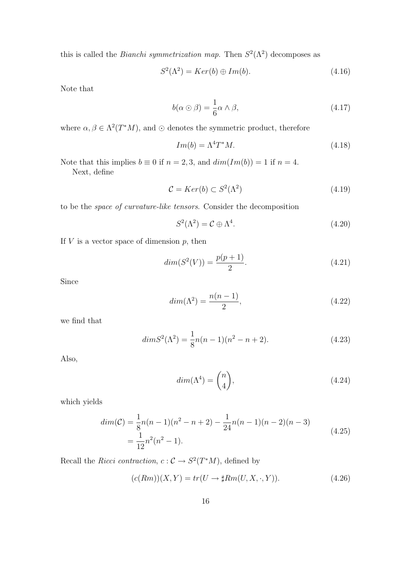this is called the *Bianchi symmetrization map*. Then  $S^2(\Lambda^2)$  decomposes as

$$
S^2(\Lambda^2) = Ker(b) \oplus Im(b). \tag{4.16}
$$

Note that

$$
b(\alpha \odot \beta) = \frac{1}{6}\alpha \wedge \beta, \qquad (4.17)
$$

where  $\alpha, \beta \in \Lambda^2(T^*M)$ , and  $\odot$  denotes the symmetric product, therefore

$$
Im(b) = \Lambda^4 T^* M. \tag{4.18}
$$

Note that this implies  $b \equiv 0$  if  $n = 2, 3$ , and  $dim(Im(b)) = 1$  if  $n = 4$ . Next, define

$$
\mathcal{C} = Ker(b) \subset S^2(\Lambda^2) \tag{4.19}
$$

to be the space of curvature-like tensors. Consider the decomposition

$$
S^2(\Lambda^2) = \mathcal{C} \oplus \Lambda^4. \tag{4.20}
$$

If  $V$  is a vector space of dimension  $p$ , then

$$
dim(S2(V)) = \frac{p(p+1)}{2}.
$$
\n(4.21)

Since

$$
dim(\Lambda^2) = \frac{n(n-1)}{2},\tag{4.22}
$$

we find that

$$
dim S2(\Lambda2) = \frac{1}{8}n(n-1)(n2 - n + 2).
$$
 (4.23)

Also,

$$
dim(\Lambda^4) = \binom{n}{4},\tag{4.24}
$$

which yields

$$
dim(\mathcal{C}) = \frac{1}{8}n(n-1)(n^2 - n + 2) - \frac{1}{24}n(n-1)(n-2)(n-3)
$$
  
= 
$$
\frac{1}{12}n^2(n^2 - 1).
$$
 (4.25)

Recall the Ricci contraction,  $c: \mathcal{C} \to S^2(T^*M)$ , defined by

$$
(c(Rm))(X,Y) = tr(U \to \sharp Rm(U,X,\cdot,Y)).
$$
\n(4.26)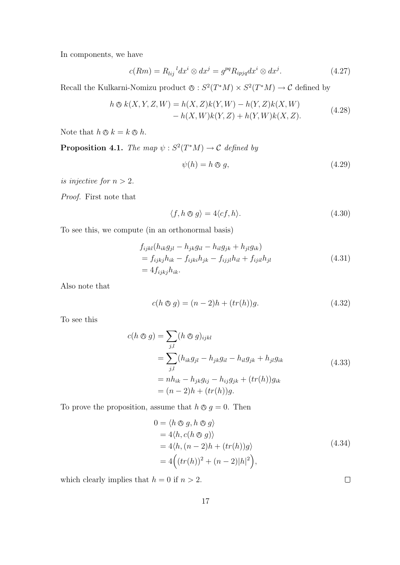In components, we have

$$
c(Rm) = R_{lij}{}^{l} dx^{i} \otimes dx^{j} = g^{pq} R_{ipjq} dx^{i} \otimes dx^{j}.
$$
 (4.27)

Recall the Kulkarni-Nomizu product  $\otimes : S^2(T^*M) \times S^2(T^*M) \to \mathcal{C}$  defined by

$$
h \otimes k(X, Y, Z, W) = h(X, Z)k(Y, W) - h(Y, Z)k(X, W) - h(X, W)k(Y, Z) + h(Y, W)k(X, Z).
$$
 (4.28)

Note that  $h \otimes k = k \otimes h$ .

**Proposition 4.1.** The map  $\psi : S^2(T^*M) \to \mathcal{C}$  defined by

$$
\psi(h) = h \otimes g,\tag{4.29}
$$

is injective for  $n > 2$ .

Proof. First note that

$$
\langle f, h \otimes g \rangle = 4 \langle cf, h \rangle. \tag{4.30}
$$

To see this, we compute (in an orthonormal basis)

$$
f_{ijkl}(h_{ik}g_{jl} - h_{jk}g_{il} - h_{il}g_{jk} + h_{jl}g_{ik})
$$
  
=  $f_{ijkj}h_{ik} - f_{ijki}h_{jk} - f_{ijjl}h_{il} + f_{ijil}h_{jl}$   
=  $4f_{ijkj}h_{ik}$ . (4.31)

Also note that

$$
c(h \otimes g) = (n-2)h + (tr(h))g.
$$
 (4.32)

To see this

$$
c(h \otimes g) = \sum_{j,l} (h \otimes g)_{ijkl}
$$
  
= 
$$
\sum_{j,l} (h_{ik}g_{jl} - h_{jk}g_{il} - h_{il}g_{jk} + h_{jl}g_{ik}
$$
  
= 
$$
nh_{ik} - h_{jk}g_{ij} - h_{ij}g_{jk} + (tr(h))g_{ik}
$$
  
= 
$$
(n-2)h + (tr(h))g.
$$
 (4.33)

To prove the proposition, assume that  $h \otimes g = 0$ . Then

$$
0 = \langle h \otimes g, h \otimes g \rangle
$$
  
= 4\langle h, c(h \otimes g) \rangle  
= 4\langle h, (n-2)h + (tr(h))g \rangle  
= 4\Big((tr(h))^2 + (n-2)|h|^2\Big), (4.34)

which clearly implies that  $h = 0$  if  $n > 2$ .

 $\Box$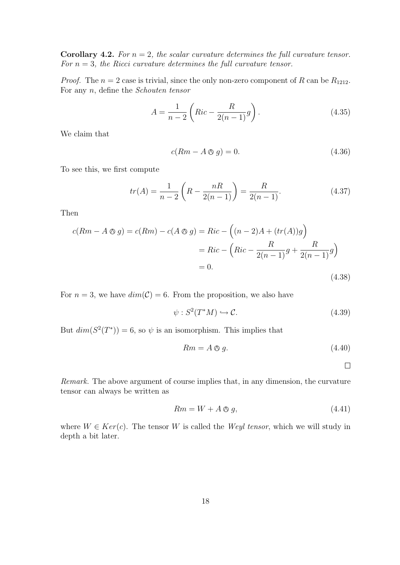**Corollary 4.2.** For  $n = 2$ , the scalar curvature determines the full curvature tensor. For  $n = 3$ , the Ricci curvature determines the full curvature tensor.

*Proof.* The  $n = 2$  case is trivial, since the only non-zero component of R can be  $R_{1212}$ . For any n, define the Schouten tensor

$$
A = \frac{1}{n-2} \left( Ric - \frac{R}{2(n-1)} g \right).
$$
 (4.35)

We claim that

$$
c(Rm - A \otimes g) = 0. \tag{4.36}
$$

To see this, we first compute

$$
tr(A) = \frac{1}{n-2} \left( R - \frac{nR}{2(n-1)} \right) = \frac{R}{2(n-1)}.
$$
 (4.37)

Then

$$
c(Rm - A \otimes g) = c(Rm) - c(A \otimes g) = Ric - \left( (n-2)A + (tr(A))g \right)
$$

$$
= Ric - \left( Ric - \frac{R}{2(n-1)}g + \frac{R}{2(n-1)}g \right)
$$

$$
= 0.
$$
(4.38)

For  $n = 3$ , we have  $dim(\mathcal{C}) = 6$ . From the proposition, we also have

$$
\psi : S^2(T^*M) \hookrightarrow \mathcal{C}.\tag{4.39}
$$

But  $dim(S^2(T^*))=6$ , so  $\psi$  is an isomorphism. This implies that

$$
Rm = A \otimes g. \tag{4.40}
$$

 $\Box$ 

Remark. The above argument of course implies that, in any dimension, the curvature tensor can always be written as

$$
Rm = W + A \otimes g,\tag{4.41}
$$

where  $W \in Ker(c)$ . The tensor W is called the Weyl tensor, which we will study in depth a bit later.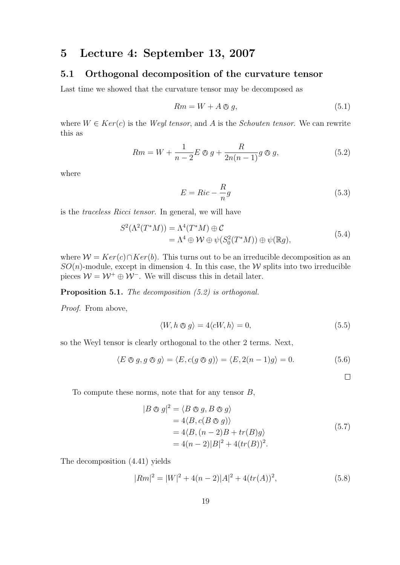### 5 Lecture 4: September 13, 2007

#### 5.1 Orthogonal decomposition of the curvature tensor

Last time we showed that the curvature tensor may be decomposed as

$$
Rm = W + A \otimes g,\tag{5.1}
$$

where  $W \in Ker(c)$  is the *Weyl tensor*, and A is the *Schouten tensor*. We can rewrite this as

$$
Rm = W + \frac{1}{n-2}E \otimes g + \frac{R}{2n(n-1)}g \otimes g,
$$
\n(5.2)

where

$$
E = Ric - \frac{R}{n}g\tag{5.3}
$$

is the traceless Ricci tensor. In general, we will have

$$
S^{2}(\Lambda^{2}(T^{*}M)) = \Lambda^{4}(T^{*}M) \oplus C
$$
  
=  $\Lambda^{4} \oplus W \oplus \psi(S_{0}^{2}(T^{*}M)) \oplus \psi(\mathbb{R}g),$  (5.4)

where  $W = Ker(c) \cap Ker(b)$ . This turns out to be an irreducible decomposition as an  $SO(n)$ -module, except in dimension 4. In this case, the W splits into two irreducible pieces  $W = W^+ \oplus W^-$ . We will discuss this in detail later.

#### Proposition 5.1. The decomposition  $(5.2)$  is orthogonal.

Proof. From above,

$$
\langle W, h \otimes g \rangle = 4 \langle cW, h \rangle = 0, \tag{5.5}
$$

so the Weyl tensor is clearly orthogonal to the other 2 terms. Next,

$$
\langle E \otimes g, g \otimes g \rangle = \langle E, c(g \otimes g) \rangle = \langle E, 2(n-1)g \rangle = 0.
$$
 (5.6)

 $\Box$ 

To compute these norms, note that for any tensor  $B$ ,

$$
|B \otimes g|^2 = \langle B \otimes g, B \otimes g \rangle
$$
  
= 4\langle B, c(B \otimes g) \rangle  
= 4\langle B, (n-2)B + tr(B)g \rangle  
= 4(n-2)|B|^2 + 4(tr(B))^2. (5.7)

The decomposition (4.41) yields

$$
|Rm|^2 = |W|^2 + 4(n-2)|A|^2 + 4(tr(A))^2,
$$
\n(5.8)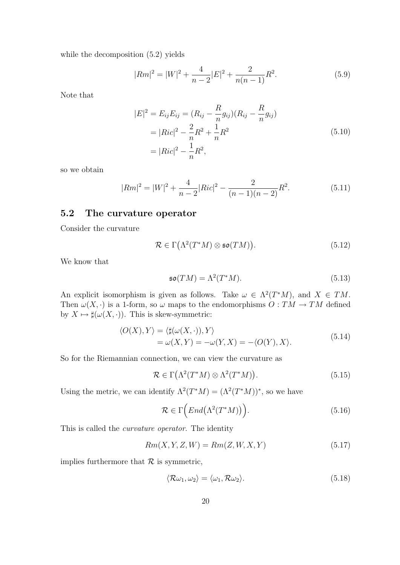while the decomposition (5.2) yields

$$
|Rm|^2 = |W|^2 + \frac{4}{n-2}|E|^2 + \frac{2}{n(n-1)}R^2.
$$
\n(5.9)

Note that

$$
|E|^2 = E_{ij}E_{ij} = (R_{ij} - \frac{R}{n}g_{ij})(R_{ij} - \frac{R}{n}g_{ij})
$$
  
=  $|Ric|^2 - \frac{2}{n}R^2 + \frac{1}{n}R^2$   
=  $|Ric|^2 - \frac{1}{n}R^2$ , (5.10)

so we obtain

$$
|Rm|^2 = |W|^2 + \frac{4}{n-2}|Ric|^2 - \frac{2}{(n-1)(n-2)}R^2.
$$
 (5.11)

### 5.2 The curvature operator

Consider the curvature

$$
\mathcal{R} \in \Gamma\big(\Lambda^2(T^*M) \otimes \mathfrak{so}(TM)\big). \tag{5.12}
$$

We know that

$$
\mathfrak{so}(TM) = \Lambda^2(T^*M). \tag{5.13}
$$

An explicit isomorphism is given as follows. Take  $\omega \in \Lambda^2(T^*M)$ , and  $X \in TM$ . Then  $\omega(X, \cdot)$  is a 1-form, so  $\omega$  maps to the endomorphisms  $O: TM \to TM$  defined by  $X \mapsto \sharp(\omega(X, \cdot))$ . This is skew-symmetric:

$$
\langle O(X), Y \rangle = \langle \sharp(\omega(X, \cdot)), Y \rangle
$$
  
=  $\omega(X, Y) = -\omega(Y, X) = -\langle O(Y), X \rangle$ . (5.14)

So for the Riemannian connection, we can view the curvature as

$$
\mathcal{R} \in \Gamma\big(\Lambda^2(T^*M) \otimes \Lambda^2(T^*M)\big). \tag{5.15}
$$

Using the metric, we can identify  $\Lambda^2(T^*M) = (\Lambda^2(T^*M))^*$ , so we have

$$
\mathcal{R} \in \Gamma\Big(End\big(\Lambda^2(T^*M)\big)\Big). \tag{5.16}
$$

This is called the curvature operator. The identity

$$
Rm(X, Y, Z, W) = Rm(Z, W, X, Y) \tag{5.17}
$$

implies furthermore that  $R$  is symmetric,

$$
\langle \mathcal{R}\omega_1, \omega_2 \rangle = \langle \omega_1, \mathcal{R}\omega_2 \rangle. \tag{5.18}
$$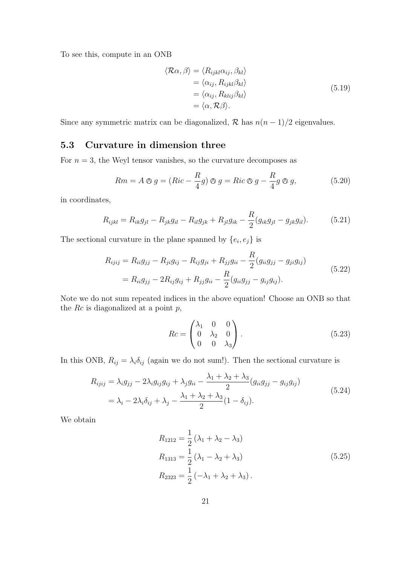To see this, compute in an ONB

$$
\langle \mathcal{R}\alpha, \beta \rangle = \langle R_{ijkl}\alpha_{ij}, \beta_{kl} \rangle
$$
  
=  $\langle \alpha_{ij}, R_{ijkl}\beta_{kl} \rangle$   
=  $\langle \alpha_{ij}, R_{klij}\beta_{kl} \rangle$   
=  $\langle \alpha, \mathcal{R}\beta \rangle$ . (5.19)

Since any symmetric matrix can be diagonalized,  $\mathcal R$  has  $n(n-1)/2$  eigenvalues.

### 5.3 Curvature in dimension three

For  $n = 3$ , the Weyl tensor vanishes, so the curvature decomposes as

$$
Rm = A \otimes g = (Ric - \frac{R}{4}g) \otimes g = Ric \otimes g - \frac{R}{4}g \otimes g,
$$
\n(5.20)

in coordinates,

$$
R_{ijkl} = R_{ik}g_{jl} - R_{jk}g_{il} - R_{il}g_{jk} + R_{jl}g_{ik} - \frac{R}{2}(g_{ik}g_{jl} - g_{jk}g_{il}).
$$
 (5.21)

The sectional curvature in the plane spanned by  $\{e_i, e_j\}$  is

$$
R_{ijij} = R_{ii}g_{jj} - R_{ji}g_{ij} - R_{ij}g_{ji} + R_{jj}g_{ii} - \frac{R}{2}(g_{ii}g_{jj} - g_{ji}g_{ij})
$$
  
=  $R_{ii}g_{jj} - 2R_{ij}g_{ij} + R_{jj}g_{ii} - \frac{R}{2}(g_{ii}g_{jj} - g_{ij}g_{ij}).$  (5.22)

Note we do not sum repeated indices in the above equation! Choose an ONB so that the  $Rc$  is diagonalized at a point  $p$ ,

$$
Rc = \begin{pmatrix} \lambda_1 & 0 & 0 \\ 0 & \lambda_2 & 0 \\ 0 & 0 & \lambda_3 \end{pmatrix} . \tag{5.23}
$$

In this ONB,  $R_{ij} = \lambda_i \delta_{ij}$  (again we do not sum!). Then the sectional curvature is

$$
R_{ijij} = \lambda_i g_{jj} - 2\lambda_i g_{ij} g_{ij} + \lambda_j g_{ii} - \frac{\lambda_1 + \lambda_2 + \lambda_3}{2} (g_{ii} g_{jj} - g_{ij} g_{ij})
$$
  
=  $\lambda_i - 2\lambda_i \delta_{ij} + \lambda_j - \frac{\lambda_1 + \lambda_2 + \lambda_3}{2} (1 - \delta_{ij}).$  (5.24)

We obtain

$$
R_{1212} = \frac{1}{2} (\lambda_1 + \lambda_2 - \lambda_3)
$$
  
\n
$$
R_{1313} = \frac{1}{2} (\lambda_1 - \lambda_2 + \lambda_3)
$$
  
\n
$$
R_{2323} = \frac{1}{2} (-\lambda_1 + \lambda_2 + \lambda_3).
$$
\n(5.25)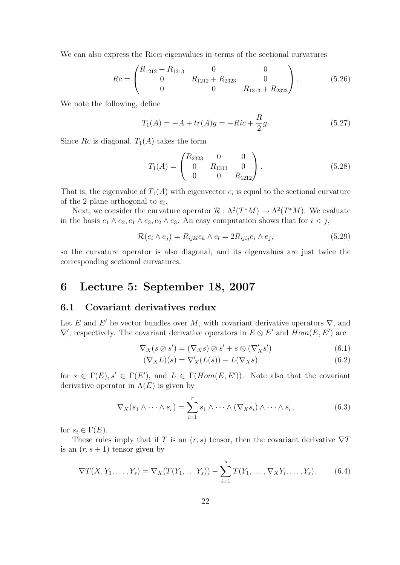We can also express the Ricci eigenvalues in terms of the sectional curvatures

$$
Rc = \begin{pmatrix} R_{1212} + R_{1313} & 0 & 0 \\ 0 & R_{1212} + R_{2323} & 0 \\ 0 & 0 & R_{1313} + R_{2323} \end{pmatrix}.
$$
 (5.26)

We note the following, define

$$
T_1(A) = -A + tr(A)g = -Ric + \frac{R}{2}g.
$$
 (5.27)

Since Rc is diagonal,  $T_1(A)$  takes the form

$$
T_1(A) = \begin{pmatrix} R_{2323} & 0 & 0 \\ 0 & R_{1313} & 0 \\ 0 & 0 & R_{1212} \end{pmatrix}.
$$
 (5.28)

That is, the eigenvalue of  $T_1(A)$  with eigenvector  $e_i$  is equal to the sectional curvature of the 2-plane orthogonal to  $e_i$ .

Next, we consider the curvature operator  $\mathcal{R} : \Lambda^2(T^*M) \to \Lambda^2(T^*M)$ . We evaluate in the basis  $e_1 \wedge e_2, e_1 \wedge e_3, e_2 \wedge e_3$ . An easy computation shows that for  $i < j$ ,

$$
\mathcal{R}(e_i \wedge e_j) = R_{ijkl}e_k \wedge e_l = 2R_{ijij}e_i \wedge e_j,\tag{5.29}
$$

so the curvature operator is also diagonal, and its eigenvalues are just twice the corresponding sectional curvatures.

### 6 Lecture 5: September 18, 2007

#### 6.1 Covariant derivatives redux

Let E and E' be vector bundles over M, with covariant derivative operators  $\nabla$ , and  $\nabla'$ , respectively. The covariant derivative operators in  $E \otimes E'$  and  $Hom(E, E')$  are

$$
\nabla_X(s \otimes s') = (\nabla_X s) \otimes s' + s \otimes (\nabla'_X s') \tag{6.1}
$$

$$
(\nabla_X L)(s) = \nabla'_X (L(s)) - L(\nabla_X s), \tag{6.2}
$$

for  $s \in \Gamma(E)$ ,  $s' \in \Gamma(E')$ , and  $L \in \Gamma(Hom(E, E'))$ . Note also that the covariant derivative operator in  $\Lambda(E)$  is given by

$$
\nabla_X(s_1 \wedge \cdots \wedge s_r) = \sum_{i=1}^r s_1 \wedge \cdots \wedge (\nabla_X s_i) \wedge \cdots \wedge s_r,
$$
 (6.3)

for  $s_i \in \Gamma(E)$ .

These rules imply that if T is an  $(r, s)$  tensor, then the covariant derivative  $\nabla T$ is an  $(r, s + 1)$  tensor given by

$$
\nabla T(X, Y_1, \dots, Y_s) = \nabla_X(T(Y_1, \dots, Y_s)) - \sum_{i=1}^s T(Y_1, \dots, \nabla_X Y_i, \dots, Y_s).
$$
 (6.4)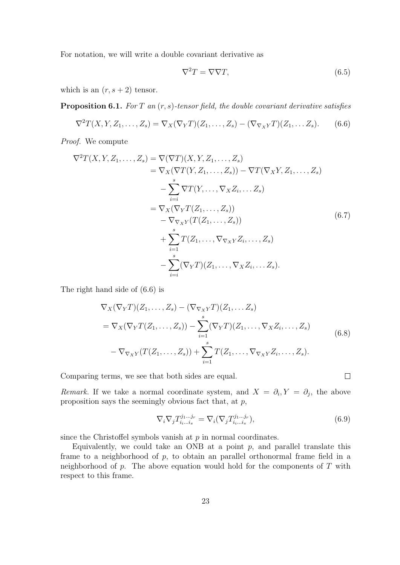For notation, we will write a double covariant derivative as

$$
\nabla^2 T = \nabla \nabla T,\tag{6.5}
$$

which is an  $(r, s + 2)$  tensor.

**Proposition 6.1.** For T an  $(r, s)$ -tensor field, the double covariant derivative satisfies

$$
\nabla^2 T(X, Y, Z_1, \dots, Z_s) = \nabla_X (\nabla_Y T)(Z_1, \dots, Z_s) - (\nabla_{\nabla_X Y} T)(Z_1, \dots, Z_s).
$$
 (6.6)

Proof. We compute

$$
\nabla^2 T(X, Y, Z_1, \dots, Z_s) = \nabla(\nabla T)(X, Y, Z_1, \dots, Z_s)
$$
  
\n
$$
= \nabla_X(\nabla T(Y, Z_1, \dots, Z_s)) - \nabla T(\nabla_X Y, Z_1, \dots, Z_s)
$$
  
\n
$$
- \sum_{i=i}^s \nabla T(Y, \dots, \nabla_X Z_i, \dots Z_s)
$$
  
\n
$$
= \nabla_X(\nabla_Y T(Z_1, \dots, Z_s))
$$
  
\n
$$
- \nabla_{\nabla_X Y}(T(Z_1, \dots, Z_s))
$$
  
\n
$$
+ \sum_{i=1}^s T(Z_1, \dots, \nabla_{\nabla_X Y} Z_i, \dots, Z_s)
$$
  
\n
$$
- \sum_{i=i}^s (\nabla_Y T)(Z_1, \dots, \nabla_X Z_i, \dots Z_s).
$$
  
\n(6.7)

The right hand side of (6.6) is

$$
\nabla_X(\nabla_Y T)(Z_1, \dots, Z_s) - (\nabla_{\nabla_X Y} T)(Z_1, \dots, Z_s)
$$
\n
$$
= \nabla_X(\nabla_Y T(Z_1, \dots, Z_s)) - \sum_{i=1}^s (\nabla_Y T)(Z_1, \dots, \nabla_X Z_i, \dots, Z_s)
$$
\n
$$
- \nabla_{\nabla_X Y}(T(Z_1, \dots, Z_s)) + \sum_{i=1}^s T(Z_1, \dots, \nabla_{\nabla_X Y} Z_i, \dots, Z_s).
$$
\n(6.8)

Comparing terms, we see that both sides are equal.

Remark. If we take a normal coordinate system, and  $X = \partial_i, Y = \partial_j$ , the above proposition says the seemingly obvious fact that, at  $p$ ,

$$
\nabla_i \nabla_j T_{i_i \dots i_s}^{j_1 \dots j_r} = \nabla_i (\nabla_j T_{i_i \dots i_s}^{j_1 \dots j_r}),\tag{6.9}
$$

 $\Box$ 

since the Christoffel symbols vanish at  $p$  in normal coordinates.

Equivalently, we could take an ONB at a point  $p$ , and parallel translate this frame to a neighborhood of p, to obtain an parallel orthonormal frame field in a neighborhood of  $p$ . The above equation would hold for the components of  $T$  with respect to this frame.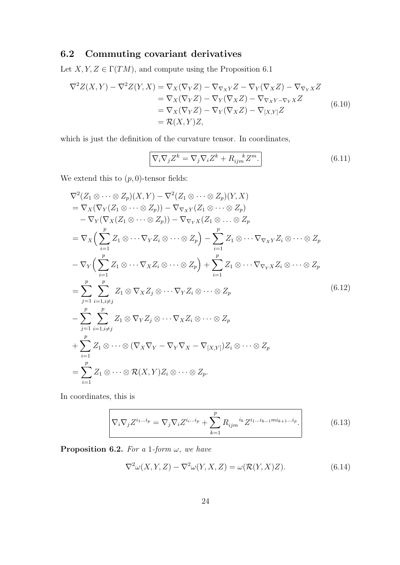### 6.2 Commuting covariant derivatives

Let  $X, Y, Z \in \Gamma(TM)$ , and compute using the Proposition 6.1

$$
\nabla^2 Z(X,Y) - \nabla^2 Z(Y,X) = \nabla_X (\nabla_Y Z) - \nabla_{\nabla_X Y} Z - \nabla_Y (\nabla_X Z) - \nabla_{\nabla_Y X} Z
$$
  
\n
$$
= \nabla_X (\nabla_Y Z) - \nabla_Y (\nabla_X Z) - \nabla_{\nabla_X Y - \nabla_Y X} Z
$$
  
\n
$$
= \nabla_X (\nabla_Y Z) - \nabla_Y (\nabla_X Z) - \nabla_{[X,Y]} Z
$$
  
\n
$$
= \mathcal{R}(X,Y)Z,
$$
\n(6.10)

which is just the definition of the curvature tensor. In coordinates,

$$
\nabla_i \nabla_j Z^k = \nabla_j \nabla_i Z^k + R_{ijm}^{\ \ k} Z^m.
$$
\n(6.11)

We extend this to  $(p, 0)$ -tensor fields:

$$
\nabla^2 (Z_1 \otimes \cdots \otimes Z_p)(X, Y) - \nabla^2 (Z_1 \otimes \cdots \otimes Z_p)(Y, X)
$$
  
\n
$$
= \nabla_X (\nabla_Y (Z_1 \otimes \cdots \otimes Z_p)) - \nabla_{\nabla_X Y} (Z_1 \otimes \cdots \otimes Z_p)
$$
  
\n
$$
- \nabla_Y (\nabla_X (Z_1 \otimes \cdots \otimes Z_p)) - \nabla_{\nabla_Y X} (Z_1 \otimes \cdots \otimes Z_p)
$$
  
\n
$$
= \nabla_X \Big( \sum_{i=1}^p Z_1 \otimes \cdots \nabla_Y Z_i \otimes \cdots \otimes Z_p \Big) - \sum_{i=1}^p Z_1 \otimes \cdots \nabla_{\nabla_X Y} Z_i \otimes \cdots \otimes Z_p
$$
  
\n
$$
- \nabla_Y \Big( \sum_{i=1}^p Z_1 \otimes \cdots \nabla_X Z_i \otimes \cdots \otimes Z_p \Big) + \sum_{i=1}^p Z_1 \otimes \cdots \nabla_{\nabla_Y X} Z_i \otimes \cdots \otimes Z_p
$$
  
\n
$$
= \sum_{j=1}^p \sum_{i=1, i \neq j}^p Z_1 \otimes \nabla_X Z_j \otimes \cdots \nabla_Y Z_i \otimes \cdots \otimes Z_p
$$
  
\n
$$
- \sum_{j=1}^p \sum_{i=1, i \neq j}^p Z_1 \otimes \nabla_Y Z_j \otimes \cdots \nabla_X Z_i \otimes \cdots \otimes Z_p
$$
  
\n
$$
+ \sum_{i=1}^p Z_1 \otimes \cdots \otimes (\nabla_X \nabla_Y - \nabla_Y \nabla_X - \nabla_{[X,Y]}) Z_i \otimes \cdots \otimes Z_p
$$
  
\n
$$
= \sum_{i=1}^p Z_1 \otimes \cdots \otimes \mathcal{R}(X, Y) Z_i \otimes \cdots \otimes Z_p.
$$
  
\n(6.12)

In coordinates, this is

$$
\nabla_i \nabla_j Z^{i_1 \dots i_p} = \nabla_j \nabla_i Z^{i_i \dots i_p} + \sum_{k=1}^p R_{ijm}^{i_k} Z^{i_1 \dots i_{k-1} m i_{k+1} \dots i_p}.
$$
\n(6.13)

**Proposition 6.2.** For a 1-form  $\omega$ , we have

$$
\nabla^2 \omega(X, Y, Z) - \nabla^2 \omega(Y, X, Z) = \omega(\mathcal{R}(Y, X)Z). \tag{6.14}
$$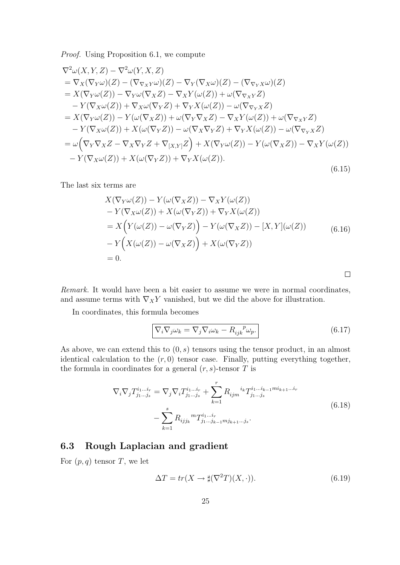Proof. Using Proposition 6.1, we compute

$$
\nabla^2 \omega(X, Y, Z) - \nabla^2 \omega(Y, X, Z)
$$
  
\n
$$
= \nabla_X(\nabla_Y \omega)(Z) - (\nabla_{\nabla_X Y}\omega)(Z) - \nabla_Y(\nabla_X \omega)(Z) - (\nabla_{\nabla_Y X}\omega)(Z)
$$
  
\n
$$
= X(\nabla_Y \omega(Z)) - \nabla_Y \omega(\nabla_X Z) - \nabla_X Y(\omega(Z)) + \omega(\nabla_{\nabla_X Y} Z)
$$
  
\n
$$
- Y(\nabla_X \omega(Z)) + \nabla_X \omega(\nabla_Y Z) + \nabla_Y X(\omega(Z)) - \omega(\nabla_{\nabla_Y X} Z)
$$
  
\n
$$
= X(\nabla_Y \omega(Z)) - Y(\omega(\nabla_X Z)) + \omega(\nabla_Y \nabla_X Z) - \nabla_X Y(\omega(Z)) + \omega(\nabla_{\nabla_X Y} Z)
$$
  
\n
$$
- Y(\nabla_X \omega(Z)) + X(\omega(\nabla_Y Z)) - \omega(\nabla_X \nabla_Y Z) + \nabla_Y X(\omega(Z)) - \omega(\nabla_{\nabla_Y X} Z)
$$
  
\n
$$
= \omega \left( \nabla_Y \nabla_X Z - \nabla_X \nabla_Y Z + \nabla_{[X,Y]} Z \right) + X(\nabla_Y \omega(Z)) - Y(\omega(\nabla_X Z)) - \nabla_X Y(\omega(Z))
$$
  
\n
$$
- Y(\nabla_X \omega(Z)) + X(\omega(\nabla_Y Z)) + \nabla_Y X(\omega(Z)).
$$
\n(6.15)

The last six terms are

$$
X(\nabla_Y \omega(Z)) - Y(\omega(\nabla_X Z)) - \nabla_X Y(\omega(Z))
$$
  
\n
$$
- Y(\nabla_X \omega(Z)) + X(\omega(\nabla_Y Z)) + \nabla_Y X(\omega(Z))
$$
  
\n
$$
= X(Y(\omega(Z)) - \omega(\nabla_Y Z)) - Y(\omega(\nabla_X Z)) - [X, Y](\omega(Z))
$$
  
\n
$$
- Y(X(\omega(Z)) - \omega(\nabla_X Z)) + X(\omega(\nabla_Y Z))
$$
  
\n
$$
= 0.
$$
\n(6.16)

Remark. It would have been a bit easier to assume we were in normal coordinates, and assume terms with  $\nabla_X Y$  vanished, but we did the above for illustration.

In coordinates, this formula becomes

$$
\nabla_i \nabla_j \omega_k = \nabla_j \nabla_i \omega_k - R_{ijk}^{\ \ p} \omega_p. \tag{6.17}
$$

 $\Box$ 

As above, we can extend this to  $(0, s)$  tensors using the tensor product, in an almost identical calculation to the  $(r, 0)$  tensor case. Finally, putting everything together, the formula in coordinates for a general  $(r, s)$ -tensor T is

$$
\nabla_i \nabla_j T_{j_1 \dots j_s}^{i_1 \dots i_r} = \nabla_j \nabla_i T_{j_1 \dots j_s}^{i_1 \dots i_r} + \sum_{k=1}^r R_{ijm}^{i_k} T_{j_1 \dots j_s}^{i_1 \dots i_{k-1} m i_{k+1} \dots i_r}
$$
\n
$$
- \sum_{k=1}^s R_{ijj_k}^m T_{j_1 \dots j_{k-1} m j_{k+1} \dots j_s}^{i_1 \dots i_r}.
$$
\n(6.18)

### 6.3 Rough Laplacian and gradient

For  $(p, q)$  tensor T, we let

$$
\Delta T = tr(X \to \sharp(\nabla^2 T)(X, \cdot)).\tag{6.19}
$$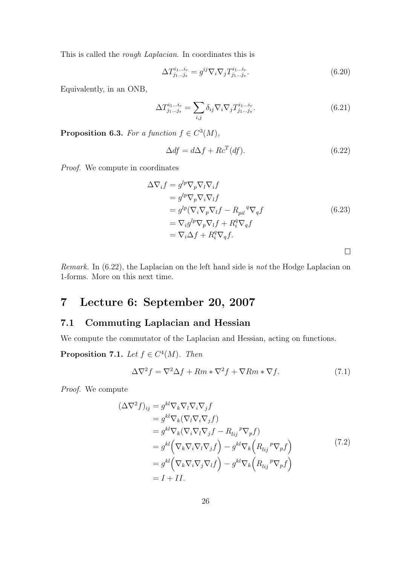This is called the rough Laplacian. In coordinates this is

$$
\Delta T_{j_1...j_s}^{i_1...i_r} = g^{ij} \nabla_i \nabla_j T_{j_1...j_s}^{i_1...i_r}.
$$
\n(6.20)

Equivalently, in an ONB,

$$
\Delta T_{j_1\ldots j_s}^{i_1\ldots i_r} = \sum_{i,j} \delta_{ij} \nabla_i \nabla_j T_{j_1\ldots j_s}^{i_1\ldots i_r}.
$$
\n(6.21)

**Proposition 6.3.** For a function  $f \in C^3(M)$ ,

$$
\Delta df = d\Delta f + R c^T (df). \tag{6.22}
$$

Proof. We compute in coordinates

$$
\Delta \nabla_i f = g^{lp} \nabla_p \nabla_l \nabla_i f
$$
  
\n
$$
= g^{lp} \nabla_p \nabla_i \nabla_l f
$$
  
\n
$$
= g^{lp} (\nabla_i \nabla_p \nabla_l f - R_{pil}^q \nabla_q f)
$$
  
\n
$$
= \nabla_i g^{lp} \nabla_p \nabla_l f + R_i^q \nabla_q f
$$
  
\n
$$
= \nabla_i \Delta f + R_i^q \nabla_q f.
$$
  
\n(6.23)

 $\Box$ 

Remark. In (6.22), the Laplacian on the left hand side is not the Hodge Laplacian on 1-forms. More on this next time.

## 7 Lecture 6: September 20, 2007

### 7.1 Commuting Laplacian and Hessian

We compute the commutator of the Laplacian and Hessian, acting on functions.

**Proposition 7.1.** Let  $f \in C^4(M)$ . Then

$$
\Delta \nabla^2 f = \nabla^2 \Delta f + Rm * \nabla^2 f + \nabla Rm * \nabla f. \tag{7.1}
$$

Proof. We compute

$$
\begin{aligned}\n(\Delta \nabla^2 f)_{ij} &= g^{kl} \nabla_k \nabla_l \nabla_i \nabla_j f \\
&= g^{kl} \nabla_k (\nabla_l \nabla_i \nabla_j f) \\
&= g^{kl} \nabla_k (\nabla_i \nabla_l \nabla_j f - R_{lij}{}^p \nabla_p f) \\
&= g^{kl} \left( \nabla_k \nabla_i \nabla_l \nabla_j f \right) - g^{kl} \nabla_k \left( R_{lij}{}^p \nabla_p f \right) \\
&= g^{kl} \left( \nabla_k \nabla_i \nabla_j \nabla_l f \right) - g^{kl} \nabla_k \left( R_{lij}{}^p \nabla_p f \right) \\
&= I + II.\n\end{aligned} \tag{7.2}
$$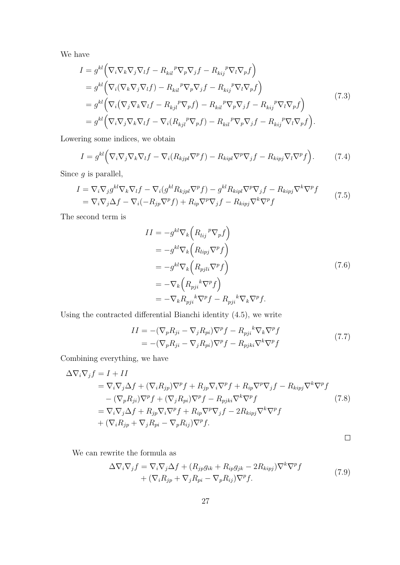We have

$$
I = g^{kl} \Big( \nabla_i \nabla_k \nabla_j \nabla_l f - R_{kil}{}^p \nabla_p \nabla_j f - R_{kij}{}^p \nabla_l \nabla_p f \Big)
$$
  
\n
$$
= g^{kl} \Big( \nabla_i (\nabla_k \nabla_j \nabla_l f) - R_{kil}{}^p \nabla_p \nabla_j f - R_{kij}{}^p \nabla_l \nabla_p f \Big)
$$
  
\n
$$
= g^{kl} \Big( \nabla_i (\nabla_j \nabla_k \nabla_l f - R_{kj}{}^p \nabla_p f) - R_{kil}{}^p \nabla_p \nabla_j f - R_{kij}{}^p \nabla_l \nabla_p f \Big)
$$
  
\n
$$
= g^{kl} \Big( \nabla_i \nabla_j \nabla_k \nabla_l f - \nabla_i (R_{kjl}{}^p \nabla_p f) - R_{kil}{}^p \nabla_p \nabla_j f - R_{kij}{}^p \nabla_l \nabla_p f \Big).
$$
\n(7.3)

Lowering some indices, we obtain

$$
I = g^{kl} \Big( \nabla_i \nabla_j \nabla_k \nabla_l f - \nabla_i (R_{kjpl} \nabla^p f) - R_{kipl} \nabla^p \nabla_j f - R_{kipj} \nabla_l \nabla^p f \Big). \tag{7.4}
$$

Since  $g$  is parallel,

$$
I = \nabla_i \nabla_j g^{kl} \nabla_k \nabla_l f - \nabla_i (g^{kl} R_{kjpl} \nabla^p f) - g^{kl} R_{kipl} \nabla^p \nabla_j f - R_{kipj} \nabla^k \nabla^p f
$$
  
=  $\nabla_i \nabla_j \Delta f - \nabla_i (-R_{jp} \nabla^p f) + R_{ip} \nabla^p \nabla_j f - R_{kipj} \nabla^k \nabla^p f$  (7.5)

The second term is

$$
II = -g^{kl} \nabla_k \left( R_{lij}^p \nabla_p f \right)
$$
  
=  $-g^{kl} \nabla_k \left( R_{lipj} \nabla^p f \right)$   
=  $-g^{kl} \nabla_k \left( R_{pjli} \nabla^p f \right)$   
=  $-\nabla_k \left( R_{pji}^k \nabla^p f \right)$   
=  $-\nabla_k R_{pji}^k \nabla^p f - R_{pji}^k \nabla_k \nabla^p f.$  (7.6)

Using the contracted differential Bianchi identity (4.5), we write

$$
II = -(\nabla_p R_{ji} - \nabla_j R_{pi}) \nabla^p f - R_{pji}{}^k \nabla_k \nabla^p f
$$
  
= -(\nabla\_p R\_{ji} - \nabla\_j R\_{pi}) \nabla^p f - R\_{pjk} \nabla^k \nabla^p f (7.7)

Combining everything, we have

$$
\Delta \nabla_i \nabla_j f = I + II
$$
  
\n
$$
= \nabla_i \nabla_j \Delta f + (\nabla_i R_{jp}) \nabla^p f + R_{jp} \nabla_i \nabla^p f + R_{ip} \nabla^p \nabla_j f - R_{kipj} \nabla^k \nabla^p f
$$
  
\n
$$
- (\nabla_p R_{ji}) \nabla^p f + (\nabla_j R_{pi}) \nabla^p f - R_{pjki} \nabla^k \nabla^p f
$$
  
\n
$$
= \nabla_i \nabla_j \Delta f + R_{jp} \nabla_i \nabla^p f + R_{ip} \nabla^p \nabla_j f - 2R_{kipj} \nabla^k \nabla^p f
$$
  
\n
$$
+ (\nabla_i R_{jp} + \nabla_j R_{pi} - \nabla_p R_{ij}) \nabla^p f.
$$
\n(7.8)

 $\Box$ 

We can rewrite the formula as

$$
\Delta \nabla_i \nabla_j f = \nabla_i \nabla_j \Delta f + (R_{jp} g_{ik} + R_{ip} g_{jk} - 2R_{kipj}) \nabla^k \nabla^p f + (\nabla_i R_{jp} + \nabla_j R_{pi} - \nabla_p R_{ij}) \nabla^p f.
$$
\n(7.9)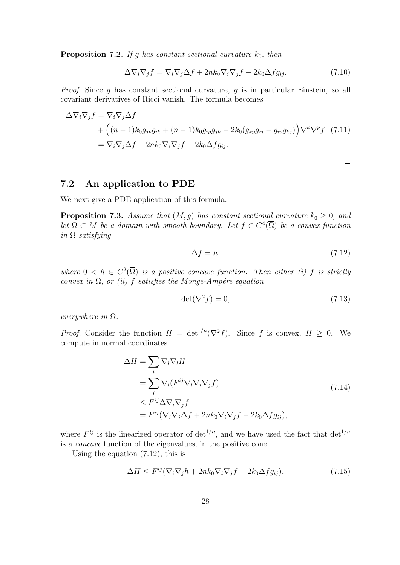**Proposition 7.2.** If g has constant sectional curvature  $k_0$ , then

$$
\Delta \nabla_i \nabla_j f = \nabla_i \nabla_j \Delta f + 2nk_0 \nabla_i \nabla_j f - 2k_0 \Delta f g_{ij}.
$$
 (7.10)

Proof. Since g has constant sectional curvature, g is in particular Einstein, so all covariant derivatives of Ricci vanish. The formula becomes

$$
\Delta \nabla_i \nabla_j f = \nabla_i \nabla_j \Delta f
$$
  
+  $\left( (n-1) k_0 g_{jp} g_{ik} + (n-1) k_0 g_{ip} g_{jk} - 2 k_0 (g_{kp} g_{ij} - g_{ip} g_{kj}) \right) \nabla^k \nabla^p f$  (7.11)  
=  $\nabla_i \nabla_j \Delta f + 2nk_0 \nabla_i \nabla_j f - 2k_0 \Delta f g_{ij}.$ 

7.2 An application to PDE

We next give a PDE application of this formula.

**Proposition 7.3.** Assume that  $(M, g)$  has constant sectional curvature  $k_0 \geq 0$ , and let  $\Omega \subset M$  be a domain with smooth boundary. Let  $f \in C^4(\overline{\Omega})$  be a convex function in  $\Omega$  satisfying

$$
\Delta f = h,\tag{7.12}
$$

 $\Box$ 

where  $0 < h \in C^2(\overline{\Omega})$  is a positive concave function. Then either (i) f is strictly convex in  $\Omega$ , or (ii) f satisfies the Monge-Ampére equation

$$
\det(\nabla^2 f) = 0,\tag{7.13}
$$

everywhere in  $\Omega$ .

*Proof.* Consider the function  $H = det^{1/n}(\nabla^2 f)$ . Since f is convex,  $H \geq 0$ . We compute in normal coordinates

$$
\Delta H = \sum_{l} \nabla_{l} \nabla_{l} H
$$
\n
$$
= \sum_{l} \nabla_{l} (F^{ij} \nabla_{l} \nabla_{j} f)
$$
\n
$$
\leq F^{ij} \Delta \nabla_{i} \nabla_{j} f
$$
\n
$$
= F^{ij} (\nabla_{i} \nabla_{j} \Delta f + 2nk_{0} \nabla_{i} \nabla_{j} f - 2k_{0} \Delta f g_{ij}),
$$
\n(7.14)

where  $F^{ij}$  is the linearized operator of  $\det^{1/n}$ , and we have used the fact that  $\det^{1/n}$ is a concave function of the eigenvalues, in the positive cone.

Using the equation (7.12), this is

$$
\Delta H \le F^{ij} (\nabla_i \nabla_j h + 2nk_0 \nabla_i \nabla_j f - 2k_0 \Delta f g_{ij}). \tag{7.15}
$$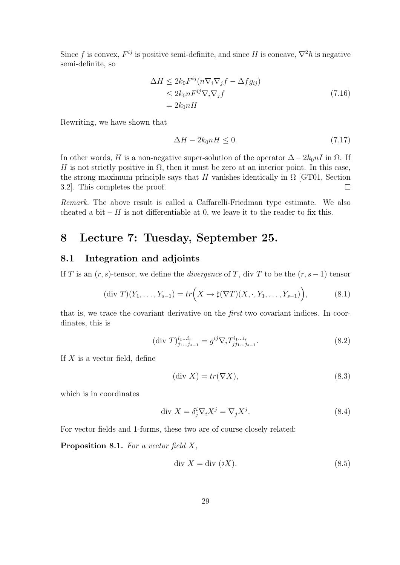Since f is convex,  $F^{ij}$  is positive semi-definite, and since H is concave,  $\nabla^2 h$  is negative semi-definite, so

$$
\Delta H \le 2k_0 F^{ij} (n \nabla_i \nabla_j f - \Delta f g_{ij})
$$
  
\n
$$
\le 2k_0 n F^{ij} \nabla_i \nabla_j f
$$
  
\n
$$
= 2k_0 n H
$$
\n(7.16)

Rewriting, we have shown that

$$
\Delta H - 2k_0 nH \le 0. \tag{7.17}
$$

In other words, H is a non-negative super-solution of the operator  $\Delta - 2k_0nI$  in  $\Omega$ . If H is not strictly positive in  $\Omega$ , then it must be zero at an interior point. In this case, the strong maximum principle says that H vanishes identically in  $\Omega$  [GT01, Section 3.2]. This completes the proof.  $\Box$ 

Remark. The above result is called a Caffarelli-Friedman type estimate. We also cheated a bit – H is not differentiable at 0, we leave it to the reader to fix this.

### 8 Lecture 7: Tuesday, September 25.

#### 8.1 Integration and adjoints

If T is an  $(r, s)$ -tensor, we define the *divergence* of T, div T to be the  $(r, s - 1)$  tensor

$$
(\text{div } T)(Y_1, \dots, Y_{s-1}) = tr\left(X \to \sharp(\nabla T)(X, \cdot, Y_1, \dots, Y_{s-1})\right),\tag{8.1}
$$

that is, we trace the covariant derivative on the first two covariant indices. In coordinates, this is

$$
(\text{div } T)^{i_1 \dots i_r}_{j_1 \dots j_{s-1}} = g^{ij} \nabla_i T^{i_1 \dots i_r}_{j j_1 \dots j_{s-1}}.
$$
\n(8.2)

If  $X$  is a vector field, define

$$
(\text{div } X) = tr(\nabla X),\tag{8.3}
$$

which is in coordinates

$$
\text{div } X = \delta_j^i \nabla_i X^j = \nabla_j X^j. \tag{8.4}
$$

For vector fields and 1-forms, these two are of course closely related:

**Proposition 8.1.** For a vector field  $X$ ,

$$
\text{div } X = \text{div } (\flat X). \tag{8.5}
$$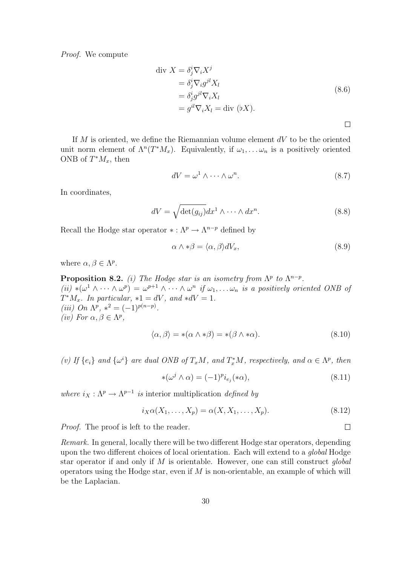Proof. We compute

$$
\begin{aligned}\n\text{div } X &= \delta_j^i \nabla_i X^j \\
&= \delta_j^i \nabla_i g^{jl} X_l \\
&= \delta_j^i g^{jl} \nabla_i X_l \\
&= g^{il} \nabla_i X_l = \text{div } (\flat X).\n\end{aligned} \tag{8.6}
$$

 $\Box$ 

If  $M$  is oriented, we define the Riemannian volume element  $dV$  to be the oriented unit norm element of  $\Lambda^n(T^*M_x)$ . Equivalently, if  $\omega_1,\ldots,\omega_n$  is a positively oriented ONB of  $T^*M_x$ , then

$$
dV = \omega^1 \wedge \dots \wedge \omega^n. \tag{8.7}
$$

In coordinates,

$$
dV = \sqrt{\det(g_{ij})} dx^{1} \wedge \cdots \wedge dx^{n}.
$$
 (8.8)

Recall the Hodge star operator  $* : \Lambda^p \to \Lambda^{n-p}$  defined by

$$
\alpha \wedge * \beta = \langle \alpha, \beta \rangle dV_x,\tag{8.9}
$$

where  $\alpha, \beta \in \Lambda^p$ .

**Proposition 8.2.** (i) The Hodge star is an isometry from  $\Lambda^p$  to  $\Lambda^{n-p}$ . (ii) \* $(\omega^1 \wedge \cdots \wedge \omega^p) = \omega^{p+1} \wedge \cdots \wedge \omega^n$  if  $\omega_1, \ldots \omega_n$  is a positively oriented ONB of  $T^*M_x$ . In particular,  $*1 = dV$ , and  $*dV = 1$ . (iii) On  $\Lambda^p$ ,  $*^2 = (-1)^{p(n-p)}$ . (iv) For  $\alpha, \beta \in \Lambda^p$ ,

$$
\langle \alpha, \beta \rangle = *(\alpha \wedge * \beta) = *(\beta \wedge * \alpha). \tag{8.10}
$$

(v) If  $\{e_i\}$  and  $\{\omega^i\}$  are dual ONB of  $T_xM$ , and  $T_x^*M$ , respectively, and  $\alpha \in \Lambda^p$ , then

$$
*(\omega^j \wedge \alpha) = (-1)^p i_{e_j}(*\alpha), \qquad (8.11)
$$

where  $i_X : \Lambda^p \to \Lambda^{p-1}$  is interior multiplication defined by

$$
i_X\alpha(X_1,\ldots,X_p) = \alpha(X,X_1,\ldots,X_p). \tag{8.12}
$$

Proof. The proof is left to the reader.

Remark. In general, locally there will be two different Hodge star operators, depending upon the two different choices of local orientation. Each will extend to a global Hodge star operator if and only if  $M$  is orientable. However, one can still construct global operators using the Hodge star, even if  $M$  is non-orientable, an example of which will be the Laplacian.

 $\Box$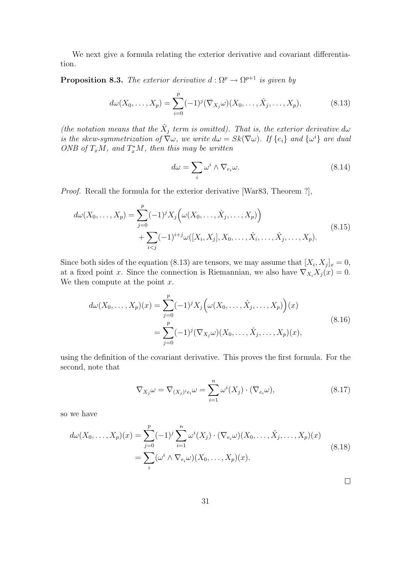We next give a formula relating the exterior derivative and covariant differentiation.

**Proposition 8.3.** The exterior derivative  $d : \Omega^p \to \Omega^{p+1}$  is given by

$$
d\omega(X_0, ..., X_p) = \sum_{i=0}^p (-1)^j (\nabla_{X_j}\omega)(X_0, ..., \hat{X}_j, ..., X_p),
$$
 (8.13)

(the notation means that the  $\hat{X}_j$  term is omitted). That is, the exterior derivative d $\omega$ is the skew-symmetrization of  $\nabla \omega$ , we write  $d\omega = Sk(\nabla \omega)$ . If  $\{e_i\}$  and  $\{\omega^i\}$  are dual ONB of  $T_xM$ , and  $T_x^*M$ , then this may be written

$$
d\omega = \sum_{i} \omega^{i} \wedge \nabla_{e_{i}} \omega.
$$
 (8.14)

Proof. Recall the formula for the exterior derivative [War83, Theorem ?],

$$
d\omega(X_0, ..., X_p) = \sum_{j=0}^p (-1)^j X_j \left( \omega(X_0, ..., \hat{X}_j, ..., X_p) \right) + \sum_{i < j} (-1)^{i+j} \omega([X_i, X_j], X_0, ..., \hat{X}_i, ..., \hat{X}_j, ..., X_p).
$$
\n(8.15)

Since both sides of the equation (8.13) are tensors, we may assume that  $[X_i, X_j]_x = 0$ , at a fixed point x. Since the connection is Riemannian, we also have  $\nabla_{X_i} X_j(x) = 0$ . We then compute at the point  $x$ .

$$
d\omega(X_0, ..., X_p)(x) = \sum_{j=0}^p (-1)^j X_j \Big(\omega(X_0, ..., \hat{X}_j, ..., X_p)\Big)(x)
$$
  
= 
$$
\sum_{j=0}^p (-1)^j (\nabla_{X_j}\omega)(X_0, ..., \hat{X}_j, ..., X_p)(x),
$$
 (8.16)

using the definition of the covariant derivative. This proves the first formula. For the second, note that

$$
\nabla_{X_j}\omega = \nabla_{(X_j)^i e_i}\omega = \sum_{i=1}^n \omega^i(X_j) \cdot (\nabla_{e_i}\omega), \tag{8.17}
$$

 $\Box$ 

so we have

$$
d\omega(X_0, ..., X_p)(x) = \sum_{j=0}^p (-1)^j \sum_{i=1}^n \omega^i(X_j) \cdot (\nabla_{e_i}\omega)(X_0, ..., \hat{X}_j, ..., X_p)(x)
$$
  
= 
$$
\sum_i (\omega^i \wedge \nabla_{e_i}\omega)(X_0, ..., X_p)(x).
$$
 (8.18)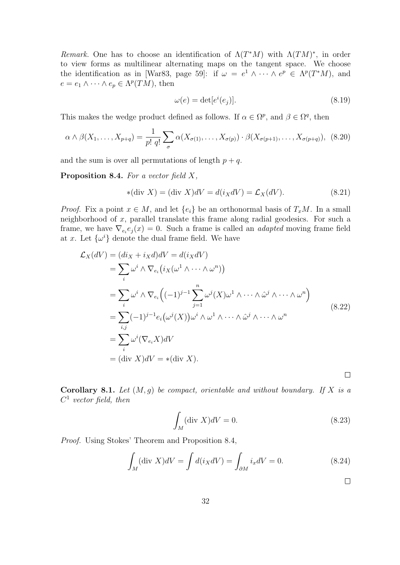Remark. One has to choose an identification of  $\Lambda(T^*M)$  with  $\Lambda(TM)^*$ , in order to view forms as multilinear alternating maps on the tangent space. We choose the identification as in [War83, page 59]: if  $\omega = e^1 \wedge \cdots \wedge e^p \in \Lambda^p(T^*M)$ , and  $e = e_1 \wedge \cdots \wedge e_p \in \Lambda^p(TM)$ , then

$$
\omega(e) = \det[e^i(e_j)].\tag{8.19}
$$

This makes the wedge product defined as follows. If  $\alpha \in \Omega^p$ , and  $\beta \in \Omega^q$ , then

$$
\alpha \wedge \beta(X_1, \ldots, X_{p+q}) = \frac{1}{p! \, q!} \sum_{\sigma} \alpha(X_{\sigma(1)}, \ldots, X_{\sigma(p)}) \cdot \beta(X_{\sigma(p+1)}, \ldots, X_{\sigma(p+q)}), \tag{8.20}
$$

and the sum is over all permutations of length  $p + q$ .

**Proposition 8.4.** For a vector field  $X$ ,

$$
*(\text{div } X) = (\text{div } X)dV = d(i_XdV) = \mathcal{L}_X(dV). \tag{8.21}
$$

*Proof.* Fix a point  $x \in M$ , and let  $\{e_i\}$  be an orthonormal basis of  $T_xM$ . In a small neighborhood of x, parallel translate this frame along radial geodesics. For such a frame, we have  $\nabla_{e_i} e_j(x) = 0$ . Such a frame is called an *adapted* moving frame field at x. Let  $\{\omega^i\}$  denote the dual frame field. We have

$$
\mathcal{L}_X(dV) = (di_X + i_X d)dV = d(i_X dV)
$$
  
\n
$$
= \sum_i \omega^i \wedge \nabla_{e_i} (i_X(\omega^1 \wedge \cdots \wedge \omega^n))
$$
  
\n
$$
= \sum_i \omega^i \wedge \nabla_{e_i} ((-1)^{j-1} \sum_{j=1}^n \omega^j (X) \omega^1 \wedge \cdots \wedge \hat{\omega}^j \wedge \cdots \wedge \omega^n)
$$
  
\n
$$
= \sum_{i,j} (-1)^{j-1} e_i (\omega^j (X)) \omega^i \wedge \omega^1 \wedge \cdots \wedge \hat{\omega}^j \wedge \cdots \wedge \omega^n
$$
  
\n
$$
= \sum_i \omega^i (\nabla_{e_i} X) dV
$$
  
\n
$$
= (\text{div } X) dV = *( \text{div } X).
$$

Corollary 8.1. Let  $(M, g)$  be compact, orientable and without boundary. If X is a  $C^1$  vector field, then

$$
\int_{M} (\text{div } X)dV = 0. \tag{8.23}
$$

Proof. Using Stokes' Theorem and Proposition 8.4,

$$
\int_{M} (\text{div } X)dV = \int d(i_{X}dV) = \int_{\partial M} i_{x}dV = 0.
$$
\n(8.24)

 $\Box$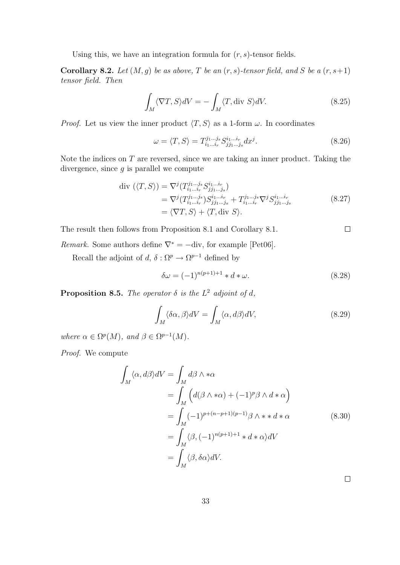Using this, we have an integration formula for  $(r, s)$ -tensor fields.

**Corollary 8.2.** Let  $(M, g)$  be as above, T be an  $(r, s)$ -tensor field, and S be a  $(r, s+1)$ tensor field. Then

$$
\int_{M} \langle \nabla T, S \rangle dV = -\int_{M} \langle T, \text{div } S \rangle dV. \tag{8.25}
$$

*Proof.* Let us view the inner product  $\langle T, S \rangle$  as a 1-form  $\omega$ . In coordinates

$$
\omega = \langle T, S \rangle = T_{i_1 \dots i_r}^{j_1 \dots j_s} S_{j j_1 \dots j_s}^{i_1 \dots i_r} dx^j.
$$
\n(8.26)

Note the indices on  $T$  are reversed, since we are taking an inner product. Taking the divergence, since  $q$  is parallel we compute

$$
\begin{split} \text{div } (\langle T, S \rangle) &= \nabla^j (T_{i_1 \dots i_r}^{j_1 \dots j_s} S_{j j_1 \dots j_s}^{i_1 \dots i_r}) \\ &= \nabla^j (T_{i_1 \dots i_r}^{j_1 \dots j_s} ) S_{j j_1 \dots j_s}^{i_1 \dots i_r} + T_{i_1 \dots i_r}^{j_1 \dots j_s} \nabla^j S_{j j_1 \dots j_s}^{i_1 \dots i_r} \\ &= \langle \nabla T, S \rangle + \langle T, \text{div } S \rangle. \end{split} \tag{8.27}
$$

The result then follows from Proposition 8.1 and Corollary 8.1.

*Remark.* Some authors define  $\nabla^* = -\text{div}$ , for example [Pet06].

Recall the adjoint of  $d, \delta : \Omega^p \to \Omega^{p-1}$  defined by

$$
\delta \omega = (-1)^{n(p+1)+1} * d * \omega.
$$
 (8.28)

**Proposition 8.5.** The operator  $\delta$  is the  $L^2$  adjoint of d,

$$
\int_{M} \langle \delta \alpha, \beta \rangle dV = \int_{M} \langle \alpha, d\beta \rangle dV, \tag{8.29}
$$

where  $\alpha \in \Omega^p(M)$ , and  $\beta \in \Omega^{p-1}(M)$ .

Proof. We compute

$$
\int_{M} \langle \alpha, d\beta \rangle dV = \int_{M} d\beta \wedge * \alpha
$$
\n
$$
= \int_{M} \left( d(\beta \wedge * \alpha) + (-1)^{p} \beta \wedge d * \alpha \right)
$$
\n
$$
= \int_{M} (-1)^{p+(n-p+1)(p-1)} \beta \wedge * d * \alpha
$$
\n
$$
= \int_{M} \langle \beta, (-1)^{n(p+1)+1} * d * \alpha \rangle dV
$$
\n
$$
= \int_{M} \langle \beta, \delta \alpha \rangle dV.
$$
\n(8.30)

 $\Box$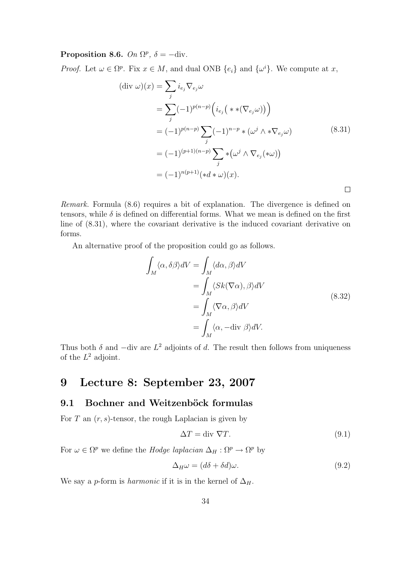### Proposition 8.6. On  $\Omega^p$ ,  $\delta = -\text{div}.$

*Proof.* Let  $\omega \in \Omega^p$ . Fix  $x \in M$ , and dual ONB  $\{e_i\}$  and  $\{\omega^i\}$ . We compute at x,

$$
(\text{div }\omega)(x) = \sum_{j} i_{e_j} \nabla_{e_j} \omega
$$
  
= 
$$
\sum_{j} (-1)^{p(n-p)} \left( i_{e_j} \left( * \left( \nabla_{e_j} \omega \right) \right) \right)
$$
  
= 
$$
(-1)^{p(n-p)} \sum_{j} (-1)^{n-p} \left( \omega^{j} \wedge * \nabla_{e_j} \omega \right)
$$
  
= 
$$
(-1)^{(p+1)(n-p)} \sum_{j} \left( \omega^{j} \wedge \nabla_{e_j} \left( * \omega \right) \right)
$$
  
= 
$$
(-1)^{n(p+1)} \left( *d * \omega \right)(x).
$$

Remark. Formula (8.6) requires a bit of explanation. The divergence is defined on tensors, while  $\delta$  is defined on differential forms. What we mean is defined on the first line of (8.31), where the covariant derivative is the induced covariant derivative on forms.

An alternative proof of the proposition could go as follows.

$$
\int_{M} \langle \alpha, \delta \beta \rangle dV = \int_{M} \langle d\alpha, \beta \rangle dV
$$
\n
$$
= \int_{M} \langle Sk(\nabla \alpha), \beta \rangle dV
$$
\n
$$
= \int_{M} \langle \nabla \alpha, \beta \rangle dV
$$
\n
$$
= \int_{M} \langle \alpha, -\text{div } \beta \rangle dV.
$$
\n(8.32)

Thus both  $\delta$  and  $-\text{div}$  are  $L^2$  adjoints of d. The result then follows from uniqueness of the  $L^2$  adjoint.

### 9 Lecture 8: September 23, 2007

#### 9.1 Bochner and Weitzenböck formulas

For  $T$  an  $(r, s)$ -tensor, the rough Laplacian is given by

$$
\Delta T = \text{div } \nabla T. \tag{9.1}
$$

For  $\omega \in \Omega^p$  we define the *Hodge laplacian*  $\Delta_H : \Omega^p \to \Omega^p$  by

$$
\Delta_H \omega = (d\delta + \delta d)\omega. \tag{9.2}
$$

We say a p-form is *harmonic* if it is in the kernel of  $\Delta_H$ .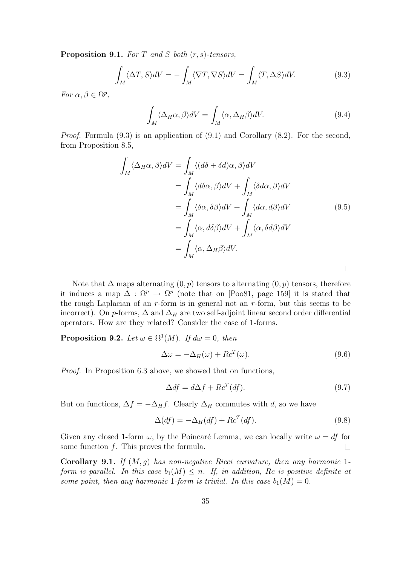**Proposition 9.1.** For T and S both  $(r, s)$ -tensors,

$$
\int_{M} \langle \Delta T, S \rangle dV = -\int_{M} \langle \nabla T, \nabla S \rangle dV = \int_{M} \langle T, \Delta S \rangle dV. \tag{9.3}
$$

For  $\alpha, \beta \in \Omega^p$ ,

$$
\int_{M} \langle \Delta_{H} \alpha, \beta \rangle dV = \int_{M} \langle \alpha, \Delta_{H} \beta \rangle dV. \tag{9.4}
$$

Proof. Formula (9.3) is an application of (9.1) and Corollary (8.2). For the second, from Proposition 8.5,

$$
\int_{M} \langle \Delta_{H}\alpha, \beta \rangle dV = \int_{M} \langle (d\delta + \delta d)\alpha, \beta \rangle dV
$$
\n
$$
= \int_{M} \langle d\delta \alpha, \beta \rangle dV + \int_{M} \langle \delta d\alpha, \beta \rangle dV
$$
\n
$$
= \int_{M} \langle \delta \alpha, \delta \beta \rangle dV + \int_{M} \langle d\alpha, d\beta \rangle dV
$$
\n
$$
= \int_{M} \langle \alpha, d\delta \beta \rangle dV + \int_{M} \langle \alpha, \delta d\beta \rangle dV
$$
\n
$$
= \int_{M} \langle \alpha, \Delta_{H}\beta \rangle dV.
$$
\n(9.5)

Note that  $\Delta$  maps alternating  $(0, p)$  tensors to alternating  $(0, p)$  tensors, therefore it induces a map  $\Delta : \Omega^p \to \Omega^p$  (note that on [Poo81, page 159] it is stated that the rough Laplacian of an  $r$ -form is in general not an  $r$ -form, but this seems to be incorrect). On p-forms,  $\Delta$  and  $\Delta_H$  are two self-adjoint linear second order differential operators. How are they related? Consider the case of 1-forms.

**Proposition 9.2.** Let  $\omega \in \Omega^1(M)$ . If  $d\omega = 0$ , then

$$
\Delta \omega = -\Delta_H(\omega) + R c^T(\omega). \tag{9.6}
$$

Proof. In Proposition 6.3 above, we showed that on functions,

$$
\Delta df = d\Delta f + R c^T (df). \tag{9.7}
$$

But on functions,  $\Delta f = -\Delta_H f$ . Clearly  $\Delta_H$  commutes with d, so we have

$$
\Delta(df) = -\Delta_H(df) + Re^T(df). \tag{9.8}
$$

Given any closed 1-form  $\omega$ , by the Poincaré Lemma, we can locally write  $\omega = df$  for some function  $f$ . This proves the formula.  $\Box$ 

**Corollary 9.1.** If  $(M, q)$  has non-negative Ricci curvature, then any harmonic 1form is parallel. In this case  $b_1(M) \leq n$ . If, in addition, Rc is positive definite at some point, then any harmonic 1-form is trivial. In this case  $b_1(M) = 0$ .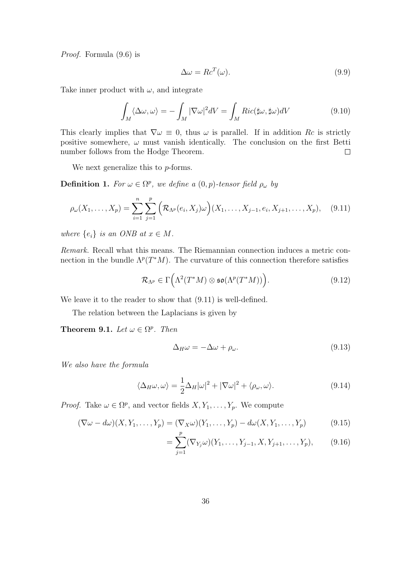Proof. Formula (9.6) is

$$
\Delta \omega = R c^T(\omega). \tag{9.9}
$$

Take inner product with  $\omega$ , and integrate

$$
\int_{M} \langle \Delta \omega, \omega \rangle = -\int_{M} |\nabla \omega|^{2} dV = \int_{M} Ric(\sharp \omega, \sharp \omega) dV
$$
\n(9.10)

This clearly implies that  $\nabla \omega \equiv 0$ , thus  $\omega$  is parallel. If in addition Rc is strictly positive somewhere,  $\omega$  must vanish identically. The conclusion on the first Betti number follows from the Hodge Theorem.  $\Box$ 

We next generalize this to *p*-forms.

**Definition 1.** For  $\omega \in \Omega^p$ , we define a  $(0, p)$ -tensor field  $\rho_{\omega}$  by

$$
\rho_{\omega}(X_1, \dots, X_p) = \sum_{i=1}^n \sum_{j=1}^p \left( \mathcal{R}_{\Lambda^p}(e_i, X_j) \omega \right) (X_1, \dots, X_{j-1}, e_i, X_{j+1}, \dots, X_p), \quad (9.11)
$$

where  $\{e_i\}$  is an ONB at  $x \in M$ .

Remark. Recall what this means. The Riemannian connection induces a metric connection in the bundle  $\Lambda^p(T^*M)$ . The curvature of this connection therefore satisfies

$$
\mathcal{R}_{\Lambda^p} \in \Gamma\Big(\Lambda^2(T^*M) \otimes \mathfrak{so}(\Lambda^p(T^*M))\Big). \tag{9.12}
$$

We leave it to the reader to show that (9.11) is well-defined.

The relation between the Laplacians is given by

**Theorem 9.1.** Let  $\omega \in \Omega^p$ . Then

$$
\Delta_H \omega = -\Delta \omega + \rho_\omega. \tag{9.13}
$$

We also have the formula

$$
\langle \Delta_H \omega, \omega \rangle = \frac{1}{2} \Delta_H |\omega|^2 + |\nabla \omega|^2 + \langle \rho_\omega, \omega \rangle. \tag{9.14}
$$

*Proof.* Take  $\omega \in \Omega^p$ , and vector fields  $X, Y_1, \ldots, Y_p$ . We compute

$$
(\nabla \omega - d\omega)(X, Y_1, \dots, Y_p) = (\nabla_X \omega)(Y_1, \dots, Y_p) - d\omega(X, Y_1, \dots, Y_p)
$$
(9.15)

$$
= \sum_{j=1}^{1} (\nabla_{Y_j} \omega)(Y_1, \dots, Y_{j-1}, X, Y_{j+1}, \dots, Y_p), \qquad (9.16)
$$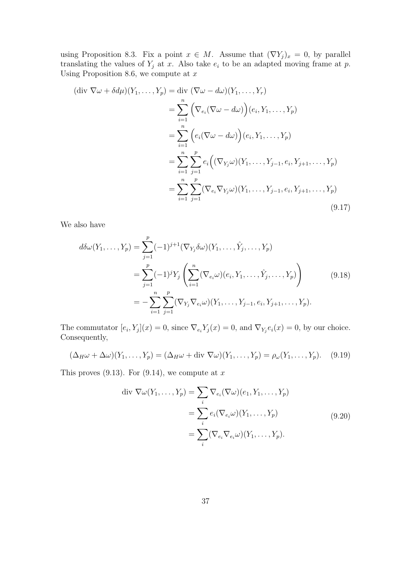using Proposition 8.3. Fix a point  $x \in M$ . Assume that  $(\nabla Y_j)_x = 0$ , by parallel translating the values of  $Y_j$  at x. Also take  $e_i$  to be an adapted moving frame at p. Using Proposition 8.6, we compute at  $x$ 

$$
(\text{div }\nabla\omega + \delta d\mu)(Y_1, \dots, Y_p) = \text{div } (\nabla\omega - d\omega)(Y_1, \dots, Y_r)
$$
  
\n
$$
= \sum_{i=1}^n \left( \nabla_{e_i} (\nabla\omega - d\omega) \right) (e_i, Y_1, \dots, Y_p)
$$
  
\n
$$
= \sum_{i=1}^n \left( e_i (\nabla\omega - d\omega) \right) (e_i, Y_1, \dots, Y_p)
$$
  
\n
$$
= \sum_{i=1}^n \sum_{j=1}^p e_i \left( (\nabla_{Y_j}\omega)(Y_1, \dots, Y_{j-1}, e_i, Y_{j+1}, \dots, Y_p) \right)
$$
  
\n
$$
= \sum_{i=1}^n \sum_{j=1}^p (\nabla_{e_i} \nabla_{Y_j}\omega)(Y_1, \dots, Y_{j-1}, e_i, Y_{j+1}, \dots, Y_p)
$$
  
\n(9.17)

We also have

$$
d\delta\omega(Y_1, ..., Y_p) = \sum_{j=1}^p (-1)^{j+1} (\nabla_{Y_j} \delta\omega)(Y_1, ..., \hat{Y}_j, ..., Y_p)
$$
  
= 
$$
\sum_{j=1}^p (-1)^j Y_j \left( \sum_{i=1}^n (\nabla_{e_i} \omega)(e_i, Y_1, ..., \hat{Y}_j, ..., Y_p) \right)
$$
  
= 
$$
- \sum_{i=1}^n \sum_{j=1}^p (\nabla_{Y_j} \nabla_{e_i} \omega)(Y_1, ..., Y_{j-1}, e_i, Y_{j+1}, ..., Y_p).
$$
 (9.18)

The commutator  $[e_i, Y_j](x) = 0$ , since  $\nabla_{e_i} Y_j(x) = 0$ , and  $\nabla_{Y_j} e_i(x) = 0$ , by our choice. Consequently,

$$
(\Delta_H \omega + \Delta \omega)(Y_1, \dots, Y_p) = (\Delta_H \omega + \text{div } \nabla \omega)(Y_1, \dots, Y_p) = \rho_\omega(Y_1, \dots, Y_p). \quad (9.19)
$$

This proves  $(9.13)$ . For  $(9.14)$ , we compute at x

$$
\text{div } \nabla \omega(Y_1, \dots, Y_p) = \sum_i \nabla_{e_i} (\nabla \omega)(e_1, Y_1, \dots, Y_p)
$$

$$
= \sum_i e_i (\nabla_{e_i} \omega)(Y_1, \dots, Y_p)
$$

$$
= \sum_i (\nabla_{e_i} \nabla_{e_i} \omega)(Y_1, \dots, Y_p).
$$
(9.20)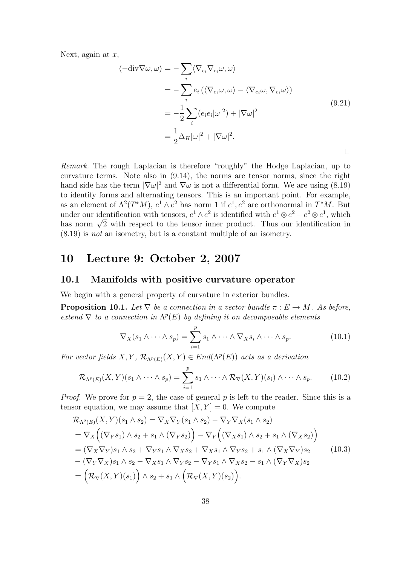Next, again at  $x$ ,

$$
\langle -\text{div}\nabla\omega, \omega \rangle = -\sum_{i} \langle \nabla_{e_i} \nabla_{e_i} \omega, \omega \rangle
$$
  
\n
$$
= -\sum_{i} e_i \left( \langle \nabla_{e_i} \omega, \omega \rangle - \langle \nabla_{e_i} \omega, \nabla_{e_i} \omega \rangle \right)
$$
  
\n
$$
= -\frac{1}{2} \sum_{i} (e_i e_i |\omega|^2) + |\nabla \omega|^2
$$
  
\n
$$
= \frac{1}{2} \Delta_H |\omega|^2 + |\nabla \omega|^2.
$$
\n(9.21)

Remark. The rough Laplacian is therefore "roughly" the Hodge Laplacian, up to curvature terms. Note also in (9.14), the norms are tensor norms, since the right hand side has the term  $|\nabla \omega|^2$  and  $\nabla \omega$  is not a differential form. We are using (8.19) to identify forms and alternating tensors. This is an important point. For example, as an element of  $\Lambda^2(T^*M)$ ,  $e^1 \wedge e^2$  has norm 1 if  $e^1, e^2$  are orthonormal in  $T^*M$ . But under our identification with tensors,  $e^1 \wedge e^2$  is identified with  $e^1 \otimes e^2 - e^2 \otimes e^1$ , which under our identification with tensors,  $e^2 \wedge e^-$  is identified with  $e^2 \otimes e^- - e^- \otimes e^+$ , which<br>has norm  $\sqrt{2}$  with respect to the tensor inner product. Thus our identification in (8.19) is not an isometry, but is a constant multiple of an isometry.

## 10 Lecture 9: October 2, 2007

#### 10.1 Manifolds with positive curvature operator

We begin with a general property of curvature in exterior bundles.

**Proposition 10.1.** Let  $\nabla$  be a connection in a vector bundle  $\pi : E \to M$ . As before, extend  $\nabla$  to a connection in  $\Lambda^p(E)$  by defining it on decomposable elements

$$
\nabla_X(s_1 \wedge \cdots \wedge s_p) = \sum_{i=1}^p s_1 \wedge \cdots \wedge \nabla_X s_i \wedge \cdots \wedge s_p.
$$
 (10.1)

For vector fields  $X, Y, \mathcal{R}_{\Lambda^p(E)}(X, Y) \in End(\Lambda^p(E))$  acts as a derivation

$$
\mathcal{R}_{\Lambda^p(E)}(X,Y)(s_1 \wedge \cdots \wedge s_p) = \sum_{i=1}^p s_1 \wedge \cdots \wedge \mathcal{R}_{\nabla}(X,Y)(s_i) \wedge \cdots \wedge s_p. \tag{10.2}
$$

*Proof.* We prove for  $p = 2$ , the case of general p is left to the reader. Since this is a tensor equation, we may assume that  $[X, Y] = 0$ . We compute

$$
\mathcal{R}_{\Lambda^{2}(E)}(X,Y)(s_{1}\wedge s_{2}) = \nabla_{X}\nabla_{Y}(s_{1}\wedge s_{2}) - \nabla_{Y}\nabla_{X}(s_{1}\wedge s_{2})
$$
\n
$$
= \nabla_{X}\Big((\nabla_{Y}s_{1})\wedge s_{2} + s_{1}\wedge(\nabla_{Y}s_{2})\Big) - \nabla_{Y}\Big((\nabla_{X}s_{1})\wedge s_{2} + s_{1}\wedge(\nabla_{X}s_{2})\Big)
$$
\n
$$
= (\nabla_{X}\nabla_{Y})s_{1}\wedge s_{2} + \nabla_{Y}s_{1}\wedge\nabla_{X}s_{2} + \nabla_{X}s_{1}\wedge\nabla_{Y}s_{2} + s_{1}\wedge(\nabla_{X}\nabla_{Y})s_{2} \qquad (10.3)
$$
\n
$$
- (\nabla_{Y}\nabla_{X})s_{1}\wedge s_{2} - \nabla_{X}s_{1}\wedge\nabla_{Y}s_{2} - \nabla_{Y}s_{1}\wedge\nabla_{X}s_{2} - s_{1}\wedge(\nabla_{Y}\nabla_{X})s_{2}
$$
\n
$$
= \Big(\mathcal{R}_{\nabla}(X,Y)(s_{1})\Big) \wedge s_{2} + s_{1}\wedge\Big(\mathcal{R}_{\nabla}(X,Y)(s_{2})\Big).
$$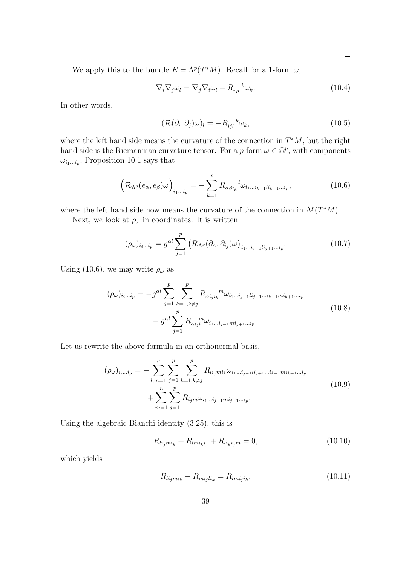We apply this to the bundle  $E = \Lambda^p(T^*M)$ . Recall for a 1-form  $\omega$ ,

$$
\nabla_i \nabla_j \omega_l = \nabla_j \nabla_i \omega_l - R_{ijl}^{\ \ k} \omega_k. \tag{10.4}
$$

In other words,

$$
(\mathcal{R}(\partial_i, \partial_j)\omega)_l = -R_{ijl}^{\ \ k}\omega_k,\tag{10.5}
$$

where the left hand side means the curvature of the connection in  $T^*M$ , but the right hand side is the Riemannian curvature tensor. For a p-form  $\omega \in \Omega^p$ , with components  $\omega_{i_1...i_p}$ , Proposition 10.1 says that

$$
\left(\mathcal{R}_{\Lambda^p}(e_{\alpha}, e_{\beta})\omega\right)_{i_1...i_p} = -\sum_{k=1}^p R_{\alpha\beta i_k}{}^l \omega_{i_1...i_{k-1}li_{k+1}...i_p},\tag{10.6}
$$

where the left hand side now means the curvature of the connection in  $\Lambda^p(T^*M)$ .

Next, we look at  $\rho_\omega$  in coordinates. It is written

$$
(\rho_{\omega})_{i_i\ldots i_p} = g^{\alpha l} \sum_{j=1}^p \left( \mathcal{R}_{\Lambda^p}(\partial_{\alpha}, \partial_{i_j}) \omega \right)_{i_1\ldots i_{j-1}l i_{j+1}\ldots i_p}.
$$
 (10.7)

Using (10.6), we may write  $\rho_{\omega}$  as

$$
(\rho_{\omega})_{i_i...i_p} = -g^{\alpha l} \sum_{j=1}^p \sum_{k=1, k \neq j}^p R_{\alpha i_j i_k}^{\qquad m} \omega_{i_1...i_{j-1}l i_{j+1}...i_{k-1}m i_{k+1}...i_p}
$$
  

$$
-g^{\alpha l} \sum_{j=1}^p R_{\alpha i_j l}^{\qquad m} \omega_{i_1...i_{j-1}m i_{j+1}...i_p}
$$
 (10.8)

Let us rewrite the above formula in an orthonormal basis,

$$
(\rho_{\omega})_{i_i...i_p} = -\sum_{l,m=1}^{n} \sum_{j=1}^{p} \sum_{k=1, k \neq j}^{p} R_{li_jmi_k} \omega_{i_1...i_{j-1}li_{j+1}...i_{k-1}mi_{k+1}...i_p}
$$
  
+ 
$$
\sum_{m=1}^{n} \sum_{j=1}^{p} R_{i_jm} \omega_{i_1...i_{j-1}mi_{j+1}...i_p}.
$$
 (10.9)

Using the algebraic Bianchi identity (3.25), this is

$$
R_{li_jmi_k} + R_{lmi_ki_j} + R_{li_ki_jm} = 0,
$$
\n(10.10)

which yields

$$
R_{li_jmi_k} - R_{mi_jli_k} = R_{lmi_ji_k}.\t(10.11)
$$

 $\Box$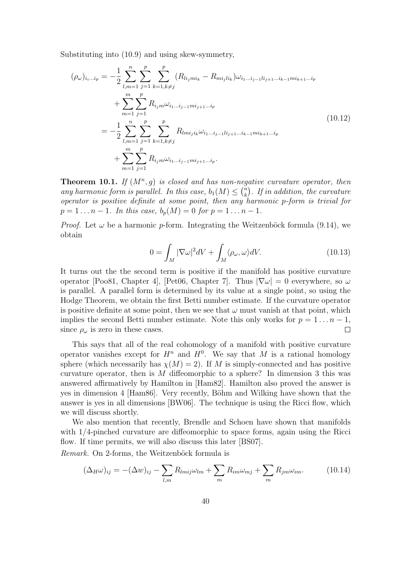Substituting into (10.9) and using skew-symmetry,

$$
(\rho_{\omega})_{i_{i}...i_{p}} = -\frac{1}{2} \sum_{l,m=1}^{n} \sum_{j=1}^{p} \sum_{k=1,k\neq j}^{p} (R_{li_{j}mi_{k}} - R_{mi_{j}li_{k}}) \omega_{i_{1}...i_{j-1}li_{j+1}...i_{k-1}mi_{k+1}...i_{p}}
$$
  
+ 
$$
\sum_{m=1}^{m} \sum_{j=1}^{p} R_{i_{j}m} \omega_{i_{1}...i_{j-1}mi_{j+1}...i_{p}}
$$
  
= 
$$
-\frac{1}{2} \sum_{l,m=1}^{n} \sum_{j=1}^{p} \sum_{k=1,k\neq j}^{p} R_{lmij_{i}k} \omega_{i_{1}...i_{j-1}li_{j+1}...i_{k-1}mi_{k+1}...i_{p}}
$$
  
+ 
$$
\sum_{m=1}^{m} \sum_{j=1}^{p} R_{i_{j}m} \omega_{i_{1}...i_{j-1}mi_{j+1}...i_{p}}.
$$
  
(10.12)

**Theorem 10.1.** If  $(M^n, g)$  is closed and has non-negative curvature operator, then any harmonic form is parallel. In this case,  $b_1(M) \leq {n \choose k}$  $\binom{n}{k}$ . If in addition, the curvature operator is positive definite at some point, then any harmonic p-form is trivial for  $p = 1 \dots n - 1$ . In this case,  $b_p(M) = 0$  for  $p = 1 \dots n - 1$ .

*Proof.* Let  $\omega$  be a harmonic p-form. Integrating the Weitzenböck formula (9.14), we obtain

$$
0 = \int_{M} |\nabla \omega|^{2} dV + \int_{M} \langle \rho_{\omega}, \omega \rangle dV.
$$
 (10.13)

It turns out the the second term is positive if the manifold has positive curvature operator [Poo81, Chapter 4], [Pet06, Chapter 7]. Thus  $|\nabla \omega| = 0$  everywhere, so  $\omega$ is parallel. A parallel form is determined by its value at a single point, so using the Hodge Theorem, we obtain the first Betti number estimate. If the curvature operator is positive definite at some point, then we see that  $\omega$  must vanish at that point, which implies the second Betti number estimate. Note this only works for  $p = 1 \dots n - 1$ , since  $\rho_{\omega}$  is zero in these cases.  $\Box$ 

This says that all of the real cohomology of a manifold with positive curvature operator vanishes except for  $H^n$  and  $H^0$ . We say that M is a rational homology sphere (which necessarily has  $\chi(M) = 2$ ). If M is simply-connected and has positive curvature operator, then is M diffeomorphic to a sphere? In dimension 3 this was answered affirmatively by Hamilton in [Ham82]. Hamilton also proved the answer is yes in dimension 4 [Ham86]. Very recently, Böhm and Wilking have shown that the answer is yes in all dimensions [BW06]. The technique is using the Ricci flow, which we will discuss shortly.

We also mention that recently, Brendle and Schoen have shown that manifolds with 1/4-pinched curvature are diffeomorphic to space forms, again using the Ricci flow. If time permits, we will also discuss this later [BS07].

Remark. On 2-forms, the Weitzenböck formula is

$$
(\Delta_H \omega)_{ij} = -(\Delta w)_{ij} - \sum_{l,m} R_{lmij}\omega_{lm} + \sum_m R_{im}\omega_{mj} + \sum_m R_{jm}\omega_{im}.
$$
 (10.14)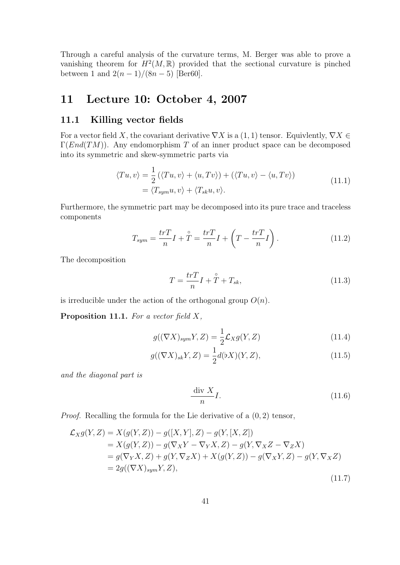Through a careful analysis of the curvature terms, M. Berger was able to prove a vanishing theorem for  $H^2(M,\mathbb{R})$  provided that the sectional curvature is pinched between 1 and  $2(n-1)/(8n-5)$  [Ber60].

# 11 Lecture 10: October 4, 2007

#### 11.1 Killing vector fields

For a vector field X, the covariant derivative  $\nabla X$  is a  $(1, 1)$  tensor. Equivlently,  $\nabla X \in$  $\Gamma(End(TM))$ . Any endomorphism T of an inner product space can be decomposed into its symmetric and skew-symmetric parts via

$$
\langle Tu, v \rangle = \frac{1}{2} (\langle Tu, v \rangle + \langle u, Tv \rangle) + (\langle Tu, v \rangle - \langle u, Tv \rangle)
$$
  
=  $\langle T_{sym}u, v \rangle + \langle T_{sk}u, v \rangle.$  (11.1)

Furthermore, the symmetric part may be decomposed into its pure trace and traceless components

$$
T_{sym} = \frac{trT}{n}I + \mathcal{T} = \frac{trT}{n}I + \left(T - \frac{trT}{n}I\right). \tag{11.2}
$$

The decomposition

$$
T = \frac{trT}{n}I + \mathring{T} + T_{sk},\tag{11.3}
$$

is irreducible under the action of the orthogonal group  $O(n)$ .

**Proposition 11.1.** For a vector field  $X$ ,

$$
g((\nabla X)_{sym}Y,Z) = \frac{1}{2}\mathcal{L}_X g(Y,Z)
$$
\n(11.4)

$$
g((\nabla X)_{sk}Y, Z) = \frac{1}{2}d(\flat X)(Y, Z),
$$
\n(11.5)

and the diagonal part is

$$
\frac{\text{div } X}{n}I. \tag{11.6}
$$

*Proof.* Recalling the formula for the Lie derivative of a  $(0, 2)$  tensor,

$$
\mathcal{L}_{X}g(Y, Z) = X(g(Y, Z)) - g([X, Y], Z) - g(Y, [X, Z]) \n= X(g(Y, Z)) - g(\nabla_X Y - \nabla_Y X, Z) - g(Y, \nabla_X Z - \nabla_Z X) \n= g(\nabla_Y X, Z) + g(Y, \nabla_Z X) + X(g(Y, Z)) - g(\nabla_X Y, Z) - g(Y, \nabla_X Z) \n= 2g((\nabla X)_{sym} Y, Z),
$$
\n(11.7)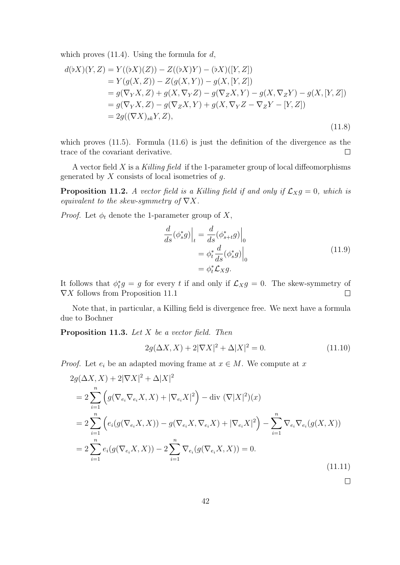which proves  $(11.4)$ . Using the formula for d,

$$
d(\flat X)(Y, Z) = Y((\flat X)(Z)) - Z((\flat X)Y) - (\flat X)([Y, Z])
$$
  
=  $Y(g(X, Z)) - Z(g(X, Y)) - g(X, [Y, Z])$   
=  $g(\nabla_Y X, Z) + g(X, \nabla_Y Z) - g(\nabla_Z X, Y) - g(X, \nabla_Z Y) - g(X, [Y, Z])$   
=  $g(\nabla_Y X, Z) - g(\nabla_Z X, Y) + g(X, \nabla_Y Z - \nabla_Z Y - [Y, Z])$   
=  $2g((\nabla X)_{sk} Y, Z),$  (11.8)

which proves  $(11.5)$ . Formula  $(11.6)$  is just the definition of the divergence as the trace of the covariant derivative.  $\Box$ 

A vector field  $X$  is a Killing field if the 1-parameter group of local diffeomorphisms generated by  $X$  consists of local isometries of  $q$ .

**Proposition 11.2.** A vector field is a Killing field if and only if  $\mathcal{L}_{X}g = 0$ , which is equivalent to the skew-symmetry of  $\nabla X$ .

*Proof.* Let  $\phi_t$  denote the 1-parameter group of X,

$$
\frac{d}{ds}(\phi_s^* g)\Big|_t = \frac{d}{ds}(\phi_{s+t}^* g)\Big|_0
$$
  
=  $\phi_t^* \frac{d}{ds}(\phi_s^* g)\Big|_0$   
=  $\phi_t^* \mathcal{L}_X g.$  (11.9)

It follows that  $\phi_t^*g = g$  for every t if and only if  $\mathcal{L}_X g = 0$ . The skew-symmetry of  $\nabla X$  follows from Proposition 11.1  $\Box$ 

Note that, in particular, a Killing field is divergence free. We next have a formula due to Bochner

**Proposition 11.3.** Let  $X$  be a vector field. Then

$$
2g(\Delta X, X) + 2|\nabla X|^2 + \Delta |X|^2 = 0.
$$
\n(11.10)

*Proof.* Let  $e_i$  be an adapted moving frame at  $x \in M$ . We compute at x

$$
2g(\Delta X, X) + 2|\nabla X|^2 + \Delta |X|^2
$$
  
= 
$$
2 \sum_{i=1}^n \left( g(\nabla_{e_i} \nabla_{e_i} X, X) + |\nabla_{e_i} X|^2 \right) - \text{div} (\nabla |X|^2)(x)
$$
  
= 
$$
2 \sum_{i=1}^n \left( e_i(g(\nabla_{e_i} X, X)) - g(\nabla_{e_i} X, \nabla_{e_i} X) + |\nabla_{e_i} X|^2 \right) - \sum_{i=1}^n \nabla_{e_i} \nabla_{e_i} (g(X, X))
$$
  
= 
$$
2 \sum_{i=1}^n e_i(g(\nabla_{e_i} X, X)) - 2 \sum_{i=1}^n \nabla_{e_i} (g(\nabla_{e_i} X, X)) = 0.
$$
 (11.11)

 $\Box$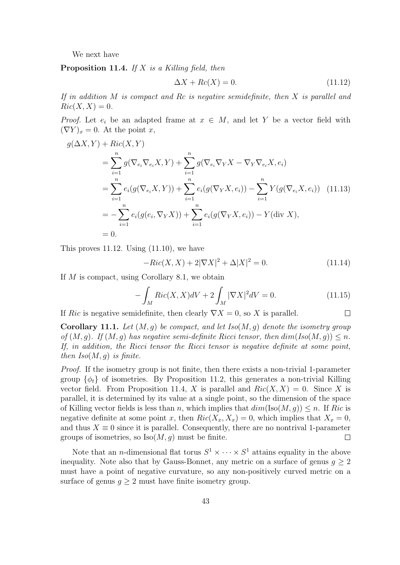We next have

**Proposition 11.4.** If  $X$  is a Killing field, then

$$
\Delta X + Rc(X) = 0. \tag{11.12}
$$

If in addition  $M$  is compact and  $Rc$  is negative semidefinite, then  $X$  is parallel and  $Ric(X, X) = 0.$ 

*Proof.* Let  $e_i$  be an adapted frame at  $x \in M$ , and let Y be a vector field with  $(\nabla Y)_x = 0$ . At the point x,

$$
g(\Delta X, Y) + Ric(X, Y)
$$
  
=  $\sum_{i=1}^{n} g(\nabla_{e_i} \nabla_{e_i} X, Y) + \sum_{i=1}^{n} g(\nabla_{e_i} \nabla_{Y} X - \nabla_{Y} \nabla_{e_i} X, e_i)$   
=  $\sum_{i=1}^{n} e_i (g(\nabla_{e_i} X, Y)) + \sum_{i=1}^{n} e_i (g(\nabla_{Y} X, e_i)) - \sum_{i=1}^{n} Y(g(\nabla_{e_i} X, e_i))$  (11.13)  
=  $-\sum_{i=1}^{n} e_i (g(e_i, \nabla_{Y} X)) + \sum_{i=1}^{n} e_i (g(\nabla_{Y} X, e_i)) - Y(\text{div } X),$   
= 0.

This proves 11.12. Using (11.10), we have

$$
-Ric(X, X) + 2|\nabla X|^2 + \Delta |X|^2 = 0.
$$
\n(11.14)

If M is compact, using Corollary 8.1, we obtain

$$
-\int_{M} Ric(X, X)dV + 2\int_{M} |\nabla X|^{2}dV = 0.
$$
 (11.15)  
sidefinite, then clearly  $\nabla X = 0$ , so X is parallel.

If Ric is negative semidefinite, then clearly  $\nabla X = 0$ , so X is parallel.

**Corollary 11.1.** Let  $(M, q)$  be compact, and let Iso $(M, q)$  denote the isometry group of  $(M, q)$ . If  $(M, q)$  has negative semi-definite Ricci tensor, then  $dim(Iso(M, q)) \leq n$ . If, in addition, the Ricci tensor the Ricci tensor is negative definite at some point, then  $Iso(M, g)$  is finite.

Proof. If the isometry group is not finite, then there exists a non-trivial 1-parameter group  $\{\phi_t\}$  of isometries. By Proposition 11.2, this generates a non-trivial Killing vector field. From Proposition 11.4, X is parallel and  $Ric(X, X) = 0$ . Since X is parallel, it is determined by its value at a single point, so the dimension of the space of Killing vector fields is less than n, which implies that  $dim(Iso(M, q)) \leq n$ . If Ric is negative definite at some point x, then  $Ric(X_x, X_x) = 0$ , which implies that  $X_x = 0$ , and thus  $X \equiv 0$  since it is parallel. Consequently, there are no nontrival 1-parameter groups of isometries, so  $\text{Iso}(M, q)$  must be finite.  $\Box$ 

Note that an *n*-dimensional flat torus  $S^1 \times \cdots \times S^1$  attains equality in the above inequality. Note also that by Gauss-Bonnet, any metric on a surface of genus  $g \geq 2$ must have a point of negative curvature, so any non-positively curved metric on a surface of genus  $g \geq 2$  must have finite isometry group.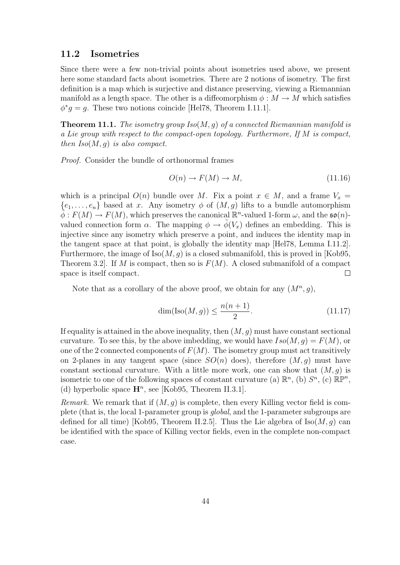#### 11.2 Isometries

Since there were a few non-trivial points about isometries used above, we present here some standard facts about isometries. There are 2 notions of isometry. The first definition is a map which is surjective and distance preserving, viewing a Riemannian manifold as a length space. The other is a diffeomorphism  $\phi : M \to M$  which satisfies  $\phi^* g = g$ . These two notions coincide [Hel78, Theorem I.11.1].

**Theorem 11.1.** The isometry group  $Iso(M, q)$  of a connected Riemannian manifold is a Lie group with respect to the compact-open topology. Furthermore, If M is compact, then  $Iso(M, q)$  is also compact.

Proof. Consider the bundle of orthonormal frames

$$
O(n) \to F(M) \to M,\tag{11.16}
$$

which is a principal  $O(n)$  bundle over M. Fix a point  $x \in M$ , and a frame  $V_x =$  $\{e_1, \ldots, e_n\}$  based at x. Any isometry  $\phi$  of  $(M, g)$  lifts to a bundle automorphism  $\phi: F(M) \to F(M)$ , which preserves the canonical  $\mathbb{R}^n$ -valued 1-form  $\omega$ , and the  $\mathfrak{so}(n)$ valued connection form  $\alpha$ . The mapping  $\phi \to \phi(V_x)$  defines an embedding. This is injective since any isometry which preserve a point, and induces the identity map in the tangent space at that point, is globally the identity map [Hel78, Lemma I.11.2]. Furthermore, the image of  $\text{Iso}(M, q)$  is a closed submanifold, this is proved in [Kob95, Theorem 3.2. If M is compact, then so is  $F(M)$ . A closed submanifold of a compact space is itself compact.  $\Box$ 

Note that as a corollary of the above proof, we obtain for any  $(M^n, g)$ ,

$$
\dim(\text{Iso}(M,g)) \le \frac{n(n+1)}{2}.\tag{11.17}
$$

If equality is attained in the above inequality, then  $(M, g)$  must have constant sectional curvature. To see this, by the above imbedding, we would have  $Iso(M, g) = F(M)$ , or one of the 2 connected components of  $F(M)$ . The isometry group must act transitively on 2-planes in any tangent space (since  $SO(n)$  does), therefore  $(M, q)$  must have constant sectional curvature. With a little more work, one can show that  $(M, g)$  is isometric to one of the following spaces of constant curvature (a)  $\mathbb{R}^n$ , (b)  $S^n$ , (c)  $\mathbb{R}P^n$ , (d) hyperbolic space  $\mathbf{H}^n$ , see [Kob95, Theorem II.3.1].

*Remark.* We remark that if  $(M, q)$  is complete, then every Killing vector field is complete (that is, the local 1-parameter group is global, and the 1-parameter subgroups are defined for all time) [Kob95, Theorem II.2.5]. Thus the Lie algebra of  $\text{Iso}(M, g)$  can be identified with the space of Killing vector fields, even in the complete non-compact case.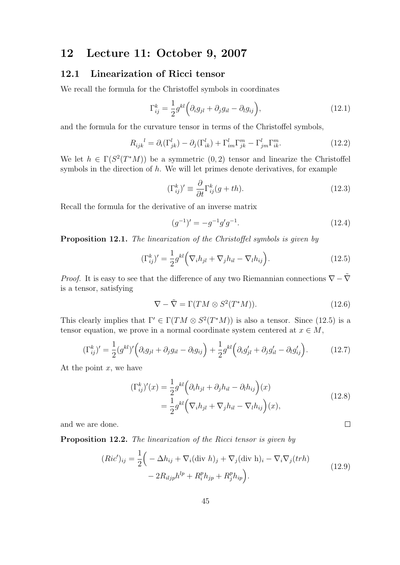## 12 Lecture 11: October 9, 2007

### 12.1 Linearization of Ricci tensor

We recall the formula for the Christoffel symbols in coordinates

$$
\Gamma_{ij}^{k} = \frac{1}{2} g^{kl} \left( \partial_{i} g_{jl} + \partial_{j} g_{il} - \partial_{l} g_{ij} \right), \qquad (12.1)
$$

and the formula for the curvature tensor in terms of the Christoffel symbols,

$$
R_{ijk}^{\quad l} = \partial_i(\Gamma_{jk}^l) - \partial_j(\Gamma_{ik}^l) + \Gamma_{im}^l \Gamma_{jk}^m - \Gamma_{jm}^l \Gamma_{ik}^m. \tag{12.2}
$$

We let  $h \in \Gamma(S^2(T^*M))$  be a symmetric  $(0, 2)$  tensor and linearize the Christoffel symbols in the direction of  $h$ . We will let primes denote derivatives, for example

$$
(\Gamma_{ij}^k)' \equiv \frac{\partial}{\partial t} \Gamma_{ij}^k (g + th). \tag{12.3}
$$

Recall the formula for the derivative of an inverse matrix

$$
(g^{-1})' = -g^{-1}g'g^{-1}.
$$
\n(12.4)

Proposition 12.1. The linearization of the Christoffel symbols is given by

$$
(\Gamma_{ij}^k)' = \frac{1}{2} g^{kl} \Big( \nabla_i h_{jl} + \nabla_j h_{il} - \nabla_l h_{ij} \Big). \tag{12.5}
$$

*Proof.* It is easy to see that the difference of any two Riemannian connections  $\nabla - \tilde{\nabla}$ is a tensor, satisfying

$$
\nabla - \tilde{\nabla} = \Gamma(TM \otimes S^2(T^*M)). \tag{12.6}
$$

This clearly implies that  $\Gamma' \in \Gamma(TM \otimes S^2(T^*M))$  is also a tensor. Since (12.5) is a tensor equation, we prove in a normal coordinate system centered at  $x \in M$ ,

$$
(\Gamma_{ij}^k)' = \frac{1}{2} (g^{kl})' \left( \partial_i g_{jl} + \partial_j g_{il} - \partial_l g_{ij} \right) + \frac{1}{2} g^{kl} \left( \partial_i g'_{jl} + \partial_j g'_{il} - \partial_l g'_{ij} \right).
$$
 (12.7)

At the point  $x$ , we have

$$
(\Gamma_{ij}^k)'(x) = \frac{1}{2} g^{kl} \left( \partial_i h_{jl} + \partial_j h_{il} - \partial_l h_{ij} \right)(x)
$$
  

$$
= \frac{1}{2} g^{kl} \left( \nabla_i h_{jl} + \nabla_j h_{il} - \nabla_l h_{ij} \right)(x),
$$
 (12.8)

 $\Box$ 

and we are done.

Proposition 12.2. The linearization of the Ricci tensor is given by

$$
(Ric')_{ij} = \frac{1}{2} \Big( -\Delta h_{ij} + \nabla_i (\text{div } h)_j + \nabla_j (\text{div } h)_i - \nabla_i \nabla_j (trh) - 2R_{iljp}h^{lp} + R_i^p h_{jp} + R_j^p h_{ip} \Big). \tag{12.9}
$$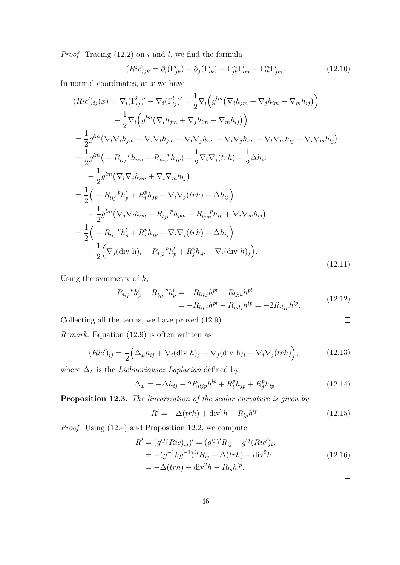*Proof.* Tracing  $(12.2)$  on i and l, we find the formula

$$
(Ric)_{jk} = \partial_l(\Gamma^l_{jk}) - \partial_j(\Gamma^l_{lk}) + \Gamma^m_{jk}\Gamma^l_{lm} - \Gamma^m_{lk}\Gamma^l_{jm}.
$$
 (12.10)

In normal coordinates, at  $x$  we have

$$
(Ric')_{ij}(x) = \nabla_l(\Gamma_{ij}^l)' - \nabla_i(\Gamma_{ij}^l)' = \frac{1}{2}\nabla_l(g^{lm}(\nabla_i h_{jm} + \nabla_j h_{im} - \nabla_m h_{ij}))
$$
  
\n
$$
- \frac{1}{2}\nabla_i(g^{lm}(\nabla_l h_{jm} + \nabla_j h_{lm} - \nabla_m h_{lj}))
$$
  
\n
$$
= \frac{1}{2}g^{lm}(\nabla_l\nabla_i h_{jm} - \nabla_i\nabla_l h_{jm} + \nabla_l\nabla_j h_{im} - \nabla_i\nabla_j h_{lm} - \nabla_l\nabla_m h_{ij} + \nabla_i\nabla_m h_{lj})
$$
  
\n
$$
= \frac{1}{2}g^{lm}(-R_{lij}{}^p h_{pm} - R_{lim}{}^p h_{jp}) - \frac{1}{2}\nabla_i\nabla_j(trh) - \frac{1}{2}\Delta h_{ij}
$$
  
\n
$$
+ \frac{1}{2}g^{lm}(\nabla_l\nabla_j h_{im} + \nabla_i\nabla_m h_{lj})
$$
  
\n
$$
= \frac{1}{2}\left(-R_{lij}{}^p h_p^l + R_i^p h_{jp} - \nabla_i\nabla_j(trh) - \Delta h_{ij}\right)
$$
  
\n
$$
+ \frac{1}{2}g^{lm}(\nabla_j\nabla_l h_{im} - R_{lj}{}^p h_{pm} - R_{lj}{}^p h_{ip} + \nabla_i\nabla_m h_{lj})
$$
  
\n
$$
= \frac{1}{2}\left(-R_{lij}{}^p h_p^l + R_i^p h_{jp} - \nabla_i\nabla_j(trh) - \Delta h_{ij}\right)
$$
  
\n
$$
+ \frac{1}{2}(\nabla_j(\text{div } h)_i - R_{lj}{}^p h_p + R_j^p h_{ip} + \nabla_i(\text{div } h)_j).
$$
\n(12.11)

Using the symmetry of  $h$ ,

$$
-R_{lij}^{\quad p}h_p^l - R_{lji}^{\quad p}h_p^l = -R_{lipj}h^{pl} - R_{ljpi}h^{pl}
$$
  
= 
$$
-R_{lipj}h^{pl} - R_{pilj}h^{lp} = -2R_{iljp}h^{lp}.
$$
 (12.12)

Collecting all the terms, we have proved (12.9).

Remark. Equation (12.9) is often written as

$$
(Ric')_{ij} = \frac{1}{2} \Big( \Delta_L h_{ij} + \nabla_i (\text{div } h)_j + \nabla_j (\text{div } h)_i - \nabla_i \nabla_j (trh) \Big), \tag{12.13}
$$

where  $\Delta_L$  is the *Lichneriowicz Laplacian* defined by

$$
\Delta_L = -\Delta h_{ij} - 2R_{iljp}h^{lp} + R_i^p h_{jp} + R_j^p h_{ip}.
$$
\n(12.14)

Proposition 12.3. The linearization of the scalar curvature is given by

$$
R' = -\Delta(trh) + \text{div}^2 h - R_{lp}h^{lp}.
$$
 (12.15)

Proof. Using (12.4) and Proposition 12.2, we compute

$$
R' = (g^{ij}(Ric)_{ij})' = (g^{ij})'R_{ij} + g^{ij}(Ric')_{ij}
$$
  
= -(g<sup>-1</sup>hg<sup>-1</sup>)<sup>ij</sup>R<sub>ij</sub> - \Delta(trh) + div<sup>2</sup>h  
= -\Delta(trh) + div<sup>2</sup>h - R<sub>lp</sub>h<sup>lp</sup>. (12.16)

 $\Box$ 

 $\Box$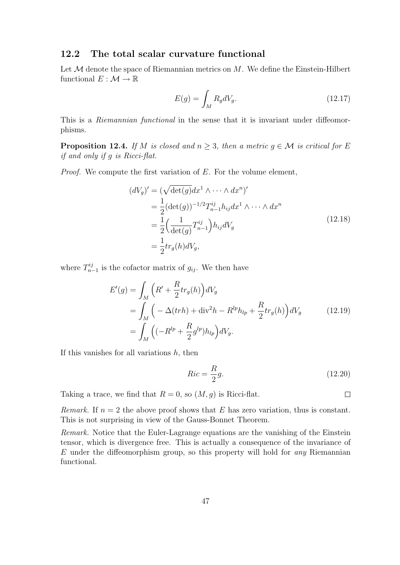### 12.2 The total scalar curvature functional

Let  $M$  denote the space of Riemannian metrics on  $M$ . We define the Einstein-Hilbert functional  $E : \mathcal{M} \to \mathbb{R}$ 

$$
E(g) = \int_{M} R_{g}dV_{g}.\tag{12.17}
$$

This is a *Riemannian functional* in the sense that it is invariant under diffeomorphisms.

**Proposition 12.4.** If M is closed and  $n \geq 3$ , then a metric  $g \in \mathcal{M}$  is critical for E if and only if g is Ricci-flat.

Proof. We compute the first variation of E. For the volume element,

$$
(dV_g)' = (\sqrt{\det(g)}dx^1 \wedge \cdots \wedge dx^n)'
$$
  
= 
$$
\frac{1}{2}(\det(g))^{-1/2}T_{n-1}^{ij}h_{ij}dx^1 \wedge \cdots \wedge dx^n
$$
  
= 
$$
\frac{1}{2}\left(\frac{1}{\det(g)}T_{n-1}^{ij}\right)h_{ij}dV_g
$$
  
= 
$$
\frac{1}{2}tr_g(h)dV_g,
$$
 (12.18)

where  $T_{n}^{ij}$  $\frac{n_j}{n-1}$  is the cofactor matrix of  $g_{ij}$ . We then have

$$
E'(g) = \int_M \left( R' + \frac{R}{2} tr_g(h) \right) dV_g
$$
  
= 
$$
\int_M \left( -\Delta (trh) + \text{div}^2 h - R^{lp} h_{lp} + \frac{R}{2} tr_g(h) \right) dV_g
$$
 (12.19)  
= 
$$
\int_M \left( (-R^{lp} + \frac{R}{2} g^{lp}) h_{lp} \right) dV_g.
$$

If this vanishes for all variations  $h$ , then

$$
Ric = \frac{R}{2}g.\tag{12.20}
$$

Taking a trace, we find that  $R = 0$ , so  $(M, g)$  is Ricci-flat.

 $\Box$ 

Remark. If  $n = 2$  the above proof shows that E has zero variation, thus is constant. This is not surprising in view of the Gauss-Bonnet Theorem.

Remark. Notice that the Euler-Lagrange equations are the vanishing of the Einstein tensor, which is divergence free. This is actually a consequence of the invariance of  $E$  under the diffeomorphism group, so this property will hold for *any* Riemannian functional.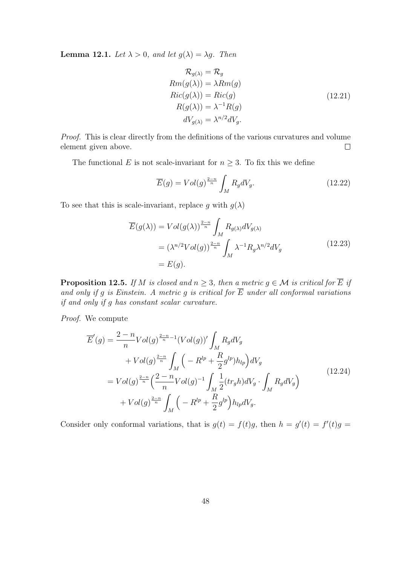**Lemma 12.1.** Let  $\lambda > 0$ , and let  $g(\lambda) = \lambda g$ . Then

$$
\mathcal{R}_{g(\lambda)} = \mathcal{R}_g
$$
  
\n
$$
Rm(g(\lambda)) = \lambda Rm(g)
$$
  
\n
$$
Ric(g(\lambda)) = Ric(g)
$$
  
\n
$$
R(g(\lambda)) = \lambda^{-1} R(g)
$$
  
\n
$$
dV_{g(\lambda)} = \lambda^{n/2} dV_g.
$$
\n(12.21)

Proof. This is clear directly from the definitions of the various curvatures and volume element given above.  $\Box$ 

The functional E is not scale-invariant for  $n \geq 3$ . To fix this we define

$$
\overline{E}(g) = Vol(g)^{\frac{2-n}{n}} \int_{M} R_g dV_g. \tag{12.22}
$$

To see that this is scale-invariant, replace g with  $g(\lambda)$ 

$$
\overline{E}(g(\lambda)) = Vol(g(\lambda))^{\frac{2-n}{n}} \int_M R_{g(\lambda)} dV_{g(\lambda)}
$$
  
=  $(\lambda^{n/2} Vol(g))^{\frac{2-n}{n}} \int_M \lambda^{-1} R_g \lambda^{n/2} dV_g$  (12.23)  
=  $E(g)$ .

**Proposition 12.5.** If M is closed and  $n \geq 3$ , then a metric  $g \in \mathcal{M}$  is critical for  $\overline{E}$  if and only if g is Einstein. A metric g is critical for  $\overline{E}$  under all conformal variations if and only if g has constant scalar curvature.

Proof. We compute

$$
\overline{E}'(g) = \frac{2 - n}{n} Vol(g)^{\frac{2-n}{n} - 1} (Vol(g))' \int_M R_g dV_g \n+ Vol(g)^{\frac{2-n}{n}} \int_M \left( -R^{lp} + \frac{R}{2} g^{lp} ) h_{lp} \right) dV_g \n= Vol(g)^{\frac{2-n}{n}} \left( \frac{2 - n}{n} Vol(g)^{-1} \int_M \frac{1}{2} (tr_g h) dV_g \cdot \int_M R_g dV_g \right) \n+ Vol(g)^{\frac{2-n}{n}} \int_M \left( -R^{lp} + \frac{R}{2} g^{lp} \right) h_{lp} dV_g.
$$
\n(12.24)

Consider only conformal variations, that is  $g(t) = f(t)g$ , then  $h = g'(t) = f'(t)g$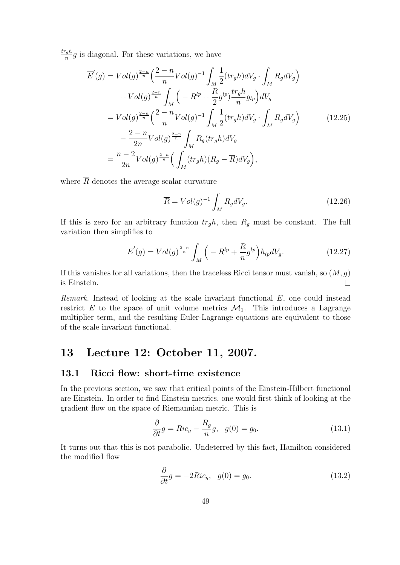$tr_gh$  $\frac{g_n}{n}g$  is diagonal. For these variations, we have

$$
\overline{E}'(g) = Vol(g)^{\frac{2-n}{n}} \left( \frac{2-n}{n} Vol(g)^{-1} \int_M \frac{1}{2} (tr_g h) dV_g \cdot \int_M R_g dV_g \right) \n+ Vol(g)^{\frac{2-n}{n}} \int_M \left( -R^{lp} + \frac{R}{2} g^{lp} \frac{tr_g h}{n} g_{lp} \right) dV_g \n= Vol(g)^{\frac{2-n}{n}} \left( \frac{2-n}{n} Vol(g)^{-1} \int_M \frac{1}{2} (tr_g h) dV_g \cdot \int_M R_g dV_g \right) \n- \frac{2-n}{2n} Vol(g)^{\frac{2-n}{n}} \int_M R_g (tr_g h) dV_g \n= \frac{n-2}{2n} Vol(g)^{\frac{2-n}{n}} \left( \int_M (tr_g h) (R_g - \overline{R}) dV_g \right),
$$
\n(12.25)

where  $\overline{R}$  denotes the average scalar curvature

$$
\overline{R} = Vol(g)^{-1} \int_{M} R_{g} dV_{g}. \qquad (12.26)
$$

If this is zero for an arbitrary function  $tr_{g}h$ , then  $R_{g}$  must be constant. The full variation then simplifies to

$$
\overline{E}'(g) = Vol(g)^{\frac{2-n}{n}} \int_M \left( -R^{lp} + \frac{R}{n} g^{lp} \right) h_{lp} dV_g. \tag{12.27}
$$

If this vanishes for all variations, then the traceless Ricci tensor must vanish, so  $(M, g)$ is Einstein.  $\Box$ 

Remark. Instead of looking at the scale invariant functional  $\overline{E}$ , one could instead restrict E to the space of unit volume metrics  $\mathcal{M}_1$ . This introduces a Lagrange multiplier term, and the resulting Euler-Lagrange equations are equivalent to those of the scale invariant functional.

## 13 Lecture 12: October 11, 2007.

### 13.1 Ricci flow: short-time existence

In the previous section, we saw that critical points of the Einstein-Hilbert functional are Einstein. In order to find Einstein metrics, one would first think of looking at the gradient flow on the space of Riemannian metric. This is

$$
\frac{\partial}{\partial t}g = Ric_g - \frac{R_g}{n}g, \quad g(0) = g_0.
$$
\n(13.1)

It turns out that this is not parabolic. Undeterred by this fact, Hamilton considered the modified flow

$$
\frac{\partial}{\partial t}g = -2Ric_g, \quad g(0) = g_0.
$$
\n(13.2)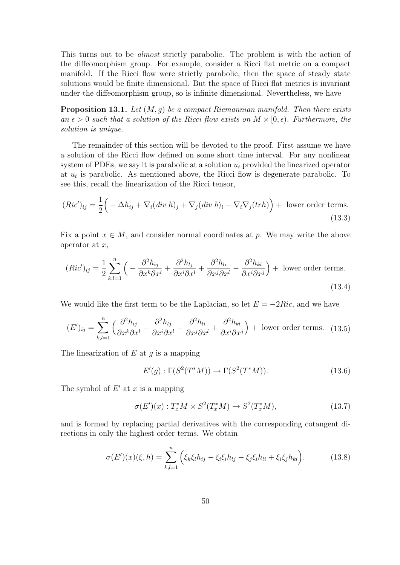This turns out to be almost strictly parabolic. The problem is with the action of the diffeomorphism group. For example, consider a Ricci flat metric on a compact manifold. If the Ricci flow were strictly parabolic, then the space of steady state solutions would be finite dimensional. But the space of Ricci flat metrics is invariant under the diffeomorphism group, so is infinite dimensional. Nevertheless, we have

**Proposition 13.1.** Let  $(M, q)$  be a compact Riemannian manifold. Then there exists an  $\epsilon > 0$  such that a solution of the Ricci flow exists on  $M \times [0, \epsilon)$ . Furthermore, the solution is unique.

The remainder of this section will be devoted to the proof. First assume we have a solution of the Ricci flow defined on some short time interval. For any nonlinear system of PDEs, we say it is parabolic at a solution  $u_t$  provided the linearized operator at  $u_t$  is parabolic. As mentioned above, the Ricci flow is degenerate parabolic. To see this, recall the linearization of the Ricci tensor,

$$
(Ric')_{ij} = \frac{1}{2} \Big( -\Delta h_{ij} + \nabla_i (\text{div } h)_j + \nabla_j (\text{div } h)_i - \nabla_i \nabla_j (\text{tr } h) \Big) + \text{ lower order terms.}
$$
\n(13.3)

Fix a point  $x \in M$ , and consider normal coordinates at p. We may write the above operator at  $x$ ,

$$
(Ric')_{ij} = \frac{1}{2} \sum_{k,l=1}^{n} \left( -\frac{\partial^2 h_{ij}}{\partial x^k \partial x^l} + \frac{\partial^2 h_{lj}}{\partial x^i \partial x^l} + \frac{\partial^2 h_{li}}{\partial x^j \partial x^l} - \frac{\partial^2 h_{kl}}{\partial x^i \partial x^j} \right) + \text{ lower order terms.}
$$
\n(13.4)

We would like the first term to be the Laplacian, so let  $E = -2Ric$ , and we have

$$
(E')_{ij} = \sum_{k,l=1}^{n} \left( \frac{\partial^2 h_{ij}}{\partial x^k \partial x^l} - \frac{\partial^2 h_{lj}}{\partial x^i \partial x^l} - \frac{\partial^2 h_{li}}{\partial x^j \partial x^l} + \frac{\partial^2 h_{kl}}{\partial x^i \partial x^j} \right) + \text{ lower order terms.} \quad (13.5)
$$

The linearization of  $E$  at  $g$  is a mapping

$$
E'(g): \Gamma(S^2(T^*M)) \to \Gamma(S^2(T^*M)).
$$
\n(13.6)

The symbol of  $E'$  at  $x$  is a mapping

$$
\sigma(E')(x) : T_x^* M \times S^2(T_x^* M) \to S^2(T_x^* M), \tag{13.7}
$$

and is formed by replacing partial derivatives with the corresponding cotangent directions in only the highest order terms. We obtain

$$
\sigma(E')(x)(\xi, h) = \sum_{k,l=1}^{n} \left( \xi_k \xi_l h_{ij} - \xi_i \xi_l h_{lj} - \xi_j \xi_l h_{li} + \xi_i \xi_j h_{kl} \right).
$$
(13.8)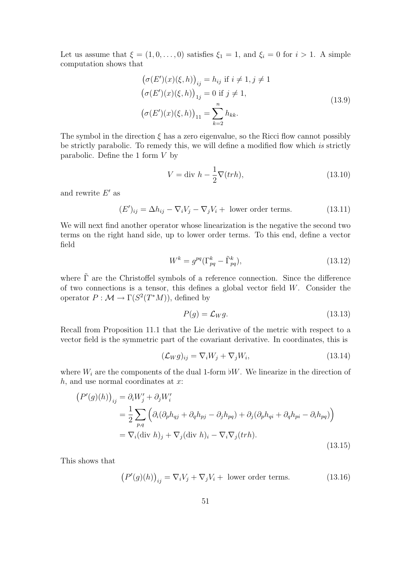Let us assume that  $\xi = (1, 0, \ldots, 0)$  satisfies  $\xi_1 = 1$ , and  $\xi_i = 0$  for  $i > 1$ . A simple computation shows that

$$
(\sigma(E')(x)(\xi, h))_{ij} = h_{ij} \text{ if } i \neq 1, j \neq 1
$$
  
\n
$$
(\sigma(E')(x)(\xi, h))_{1j} = 0 \text{ if } j \neq 1,
$$
  
\n
$$
(\sigma(E')(x)(\xi, h))_{11} = \sum_{k=2}^{n} h_{kk}.
$$
\n(13.9)

The symbol in the direction  $\xi$  has a zero eigenvalue, so the Ricci flow cannot possibly be strictly parabolic. To remedy this, we will define a modified flow which is strictly parabolic. Define the 1 form  $V$  by

$$
V = \text{div } h - \frac{1}{2} \nabla (trh), \qquad (13.10)
$$

and rewrite  $E'$  as

$$
(E')_{ij} = \Delta h_{ij} - \nabla_i V_j - \nabla_j V_i + \text{ lower order terms.} \tag{13.11}
$$

We will next find another operator whose linearization is the negative the second two terms on the right hand side, up to lower order terms. To this end, define a vector field

$$
W^k = g^{pq} (\Gamma^k_{pq} - \tilde{\Gamma}^k_{pq}), \qquad (13.12)
$$

where  $\tilde{\Gamma}$  are the Christoffel symbols of a reference connection. Since the difference of two connections is a tensor, this defines a global vector field  $W$ . Consider the operator  $P : \mathcal{M} \to \Gamma(S^2(T^*M))$ , defined by

$$
P(g) = \mathcal{L}_W g. \tag{13.13}
$$

Recall from Proposition 11.1 that the Lie derivative of the metric with respect to a vector field is the symmetric part of the covariant derivative. In coordinates, this is

$$
(\mathcal{L}_W g)_{ij} = \nabla_i W_j + \nabla_j W_i,
$$
\n(13.14)

where  $W_i$  are the components of the dual 1-form  $\flat W$ . We linearize in the direction of  $h$ , and use normal coordinates at  $x$ :

$$
(P'(g)(h))_{ij} = \partial_i W'_j + \partial_j W'_i
$$
  
=  $\frac{1}{2} \sum_{p,q} \left( \partial_i (\partial_p h_{qj} + \partial_q h_{pj} - \partial_j h_{pq}) + \partial_j (\partial_p h_{qi} + \partial_q h_{pi} - \partial_i h_{pq}) \right)$   
=  $\nabla_i (\text{div } h)_j + \nabla_j (\text{div } h)_i - \nabla_i \nabla_j (\text{tr } h).$  (13.15)

This shows that

$$
(P'(g)(h))_{ij} = \nabla_i V_j + \nabla_j V_i + \text{ lower order terms.} \tag{13.16}
$$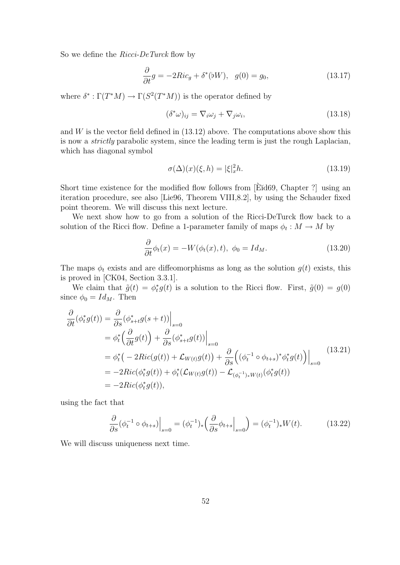So we define the *Ricci-DeTurck* flow by

$$
\frac{\partial}{\partial t}g = -2Ric_g + \delta^*(bW), \quad g(0) = g_0,\tag{13.17}
$$

where  $\delta^* : \Gamma(T^*M) \to \Gamma(S^2(T^*M))$  is the operator defined by

$$
(\delta^*\omega)_{ij} = \nabla_i\omega_j + \nabla_j\omega_i,
$$
\n(13.18)

and  $W$  is the vector field defined in  $(13.12)$  above. The computations above show this is now a strictly parabolic system, since the leading term is just the rough Laplacian, which has diagonal symbol

$$
\sigma(\Delta)(x)(\xi, h) = |\xi|_x^2 h. \tag{13.19}
$$

Short time existence for the modified flow follows from [E $\ddot{\text{E}}$ d69, Chapter ?] using an iteration procedure, see also [Lie96, Theorem VIII,8.2], by using the Schauder fixed point theorem. We will discuss this next lecture.

We next show how to go from a solution of the Ricci-DeTurck flow back to a solution of the Ricci flow. Define a 1-parameter family of maps  $\phi_t : M \to M$  by

$$
\frac{\partial}{\partial t}\phi_t(x) = -W(\phi_t(x), t), \ \phi_0 = Id_M.
$$
\n(13.20)

The maps  $\phi_t$  exists and are diffeomorphisms as long as the solution  $g(t)$  exists, this is proved in [CK04, Section 3.3.1].

We claim that  $\tilde{g}(t) = \phi_t^* g(t)$  is a solution to the Ricci flow. First,  $\tilde{g}(0) = g(0)$ since  $\phi_0 = Id_M$ . Then

$$
\frac{\partial}{\partial t}(\phi_t^* g(t)) = \frac{\partial}{\partial s}(\phi_{s+t}^* g(s+t))\Big|_{s=0}
$$
\n
$$
= \phi_t^* \left(\frac{\partial}{\partial t} g(t)\right) + \frac{\partial}{\partial s}(\phi_{s+t}^* g(t))\Big|_{s=0}
$$
\n
$$
= \phi_t^* \left(-2Ric(g(t)) + \mathcal{L}_{W(t)}g(t)\right) + \frac{\partial}{\partial s} \left((\phi_t^{-1} \circ \phi_{t+s})^* \phi_t^* g(t)\right)\Big|_{s=0}
$$
\n
$$
= -2Ric(\phi_t^* g(t)) + \phi_t^* (\mathcal{L}_{W(t)}g(t)) - \mathcal{L}_{(\phi_t^{-1})_* W(t)}(\phi_t^* g(t))
$$
\n
$$
= -2Ric(\phi_t^* g(t)),
$$
\n(13.21)

using the fact that

$$
\frac{\partial}{\partial s} (\phi_t^{-1} \circ \phi_{t+s}) \Big|_{s=0} = (\phi_t^{-1})_* \left( \frac{\partial}{\partial s} \phi_{t+s} \Big|_{s=0} \right) = (\phi_t^{-1})_* W(t). \tag{13.22}
$$

We will discuss uniqueness next time.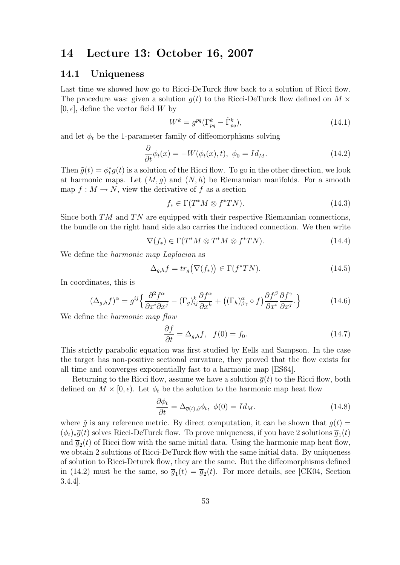## 14 Lecture 13: October 16, 2007

#### 14.1 Uniqueness

Last time we showed how go to Ricci-DeTurck flow back to a solution of Ricci flow. The procedure was: given a solution  $g(t)$  to the Ricci-DeTurck flow defined on  $M \times$  $[0, \epsilon]$ , define the vector field W by

$$
W^k = g^{pq} (\Gamma^k_{pq} - \tilde{\Gamma}^k_{pq}), \qquad (14.1)
$$

and let  $\phi_t$  be the 1-parameter family of diffeomorphisms solving

$$
\frac{\partial}{\partial t}\phi_t(x) = -W(\phi_t(x), t), \ \phi_0 = Id_M.
$$
\n(14.2)

Then  $\tilde{g}(t) = \phi_t^* g(t)$  is a solution of the Ricci flow. To go in the other direction, we look at harmonic maps. Let  $(M, q)$  and  $(N, h)$  be Riemannian manifolds. For a smooth map  $f: M \to N$ , view the derivative of f as a section

$$
f_* \in \Gamma(T^*M \otimes f^*TN). \tag{14.3}
$$

Since both  $TM$  and  $TN$  are equipped with their respective Riemannian connections, the bundle on the right hand side also carries the induced connection. We then write

$$
\nabla(f_*) \in \Gamma(T^*M \otimes T^*M \otimes f^*TN). \tag{14.4}
$$

We define the *harmonic map Laplacian* as

$$
\Delta_{g,h} f = tr_g(\nabla(f_*)) \in \Gamma(f^*TN). \tag{14.5}
$$

In coordinates, this is

$$
(\Delta_{g,h}f)^{\alpha} = g^{ij} \left\{ \frac{\partial^2 f^{\alpha}}{\partial x^i \partial x^j} - (\Gamma_g)_{ij}^k \frac{\partial f^{\alpha}}{\partial x^k} + ((\Gamma_h)_{\beta \gamma}^{\alpha} \circ f) \frac{\partial f^{\beta}}{\partial x^i} \frac{\partial f^{\gamma}}{\partial x^j} \right\}
$$
(14.6)

We define the *harmonic map flow* 

$$
\frac{\partial f}{\partial t} = \Delta_{g,h} f, \quad f(0) = f_0. \tag{14.7}
$$

This strictly parabolic equation was first studied by Eells and Sampson. In the case the target has non-positive sectional curvature, they proved that the flow exists for all time and converges exponentially fast to a harmonic map [ES64].

Returning to the Ricci flow, assume we have a solution  $\overline{g}(t)$  to the Ricci flow, both defined on  $M \times [0, \epsilon)$ . Let  $\phi_t$  be the solution to the harmonic map heat flow

$$
\frac{\partial \phi_t}{\partial t} = \Delta_{\bar{g}(t), \bar{g}} \phi_t, \ \phi(0) = Id_M. \tag{14.8}
$$

where  $\tilde{q}$  is any reference metric. By direct computation, it can be shown that  $q(t)$  =  $(\phi_t)_*\overline{g}(t)$  solves Ricci-DeTurck flow. To prove uniqueness, if you have 2 solutions  $\overline{g}_1(t)$ and  $\bar{g}_2(t)$  of Ricci flow with the same initial data. Using the harmonic map heat flow, we obtain 2 solutions of Ricci-DeTurck flow with the same initial data. By uniqueness of solution to Ricci-Deturck flow, they are the same. But the diffeomorphisms defined in (14.2) must be the same, so  $\overline{g}_1(t) = \overline{g}_2(t)$ . For more details, see [CK04, Section 3.4.4].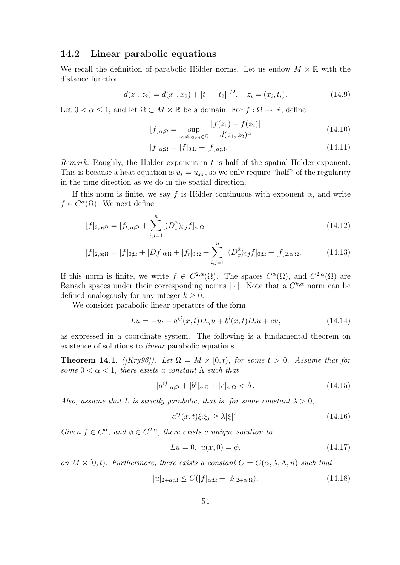#### 14.2 Linear parabolic equations

We recall the definition of parabolic Hölder norms. Let us endow  $M \times \mathbb{R}$  with the distance function

$$
d(z_1, z_2) = d(x_1, x_2) + |t_1 - t_2|^{1/2}, \quad z_i = (x_i, t_i). \tag{14.9}
$$

Let  $0 < \alpha \leq 1$ , and let  $\Omega \subset M \times \mathbb{R}$  be a domain. For  $f : \Omega \to \mathbb{R}$ , define

$$
[f]_{\alpha;\Omega} = \sup_{z_1 \neq z_2, z_i \in \Omega} \frac{|f(z_1) - f(z_2)|}{d(z_1, z_2)^{\alpha}}
$$
(14.10)

$$
|f|_{\alpha;\Omega} = |f|_{0,\Omega} + [f]_{\alpha;\Omega}.\tag{14.11}
$$

Remark. Roughly, the Hölder exponent in  $t$  is half of the spatial Hölder exponent. This is because a heat equation is  $u_t = u_{xx}$ , so we only require "half" of the regularity in the time direction as we do in the spatial direction.

If this norm is finite, we say f is Hölder continuous with exponent  $\alpha$ , and write  $f \in C^{\alpha}(\Omega)$ . We next define

$$
[f]_{2,\alpha;\Omega} = [f_t]_{\alpha;\Omega} + \sum_{i,j=1}^{n} [(D_x^2)_{i,j} f]_{\alpha;\Omega}
$$
\n(14.12)

$$
|f|_{2,\alpha;\Omega} = |f|_{0;\Omega} + |Df|_{0;\Omega} + |f_t|_{0;\Omega} + \sum_{i,j=1}^n |(D_x^2)_{i,j} f|_{0;\Omega} + [f]_{2,\alpha;\Omega}.
$$
 (14.13)

If this norm is finite, we write  $f \in C^{2,\alpha}(\Omega)$ . The spaces  $C^{\alpha}(\Omega)$ , and  $C^{2,\alpha}(\Omega)$  are Banach spaces under their corresponding norms  $|\cdot|$ . Note that a  $C^{k,\alpha}$  norm can be defined analogously for any integer  $k \geq 0$ .

We consider parabolic linear operators of the form

$$
Lu = -u_t + a^{ij}(x, t)D_{ij}u + b^i(x, t)D_iu + cu,
$$
\n(14.14)

as expressed in a coordinate system. The following is a fundamental theorem on existence of solutions to *linear* parabolic equations.

**Theorem 14.1.** ([Kry96]). Let  $\Omega = M \times [0, t)$ , for some  $t > 0$ . Assume that for some  $0 < \alpha < 1$ , there exists a constant  $\Lambda$  such that

$$
|a^{ij}|_{\alpha;\Omega} + |b^i|_{\alpha;\Omega} + |c|_{\alpha;\Omega} < \Lambda. \tag{14.15}
$$

Also, assume that L is strictly parabolic, that is, for some constant  $\lambda > 0$ ,

$$
a^{ij}(x,t)\xi_i\xi_j \ge \lambda|\xi|^2. \tag{14.16}
$$

Given  $f \in C^{\alpha}$ , and  $\phi \in C^{2,\alpha}$ , there exists a unique solution to

$$
Lu = 0, \ u(x,0) = \phi,\tag{14.17}
$$

on  $M \times [0, t)$ . Furthermore, there exists a constant  $C = C(\alpha, \lambda, \Lambda, n)$  such that

$$
|u|_{2+\alpha;\Omega} \le C(|f|_{\alpha;\Omega} + |\phi|_{2+\alpha;\Omega}).\tag{14.18}
$$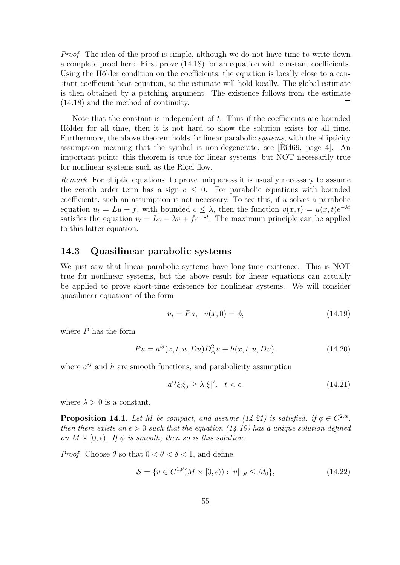Proof. The idea of the proof is simple, although we do not have time to write down a complete proof here. First prove (14.18) for an equation with constant coefficients. Using the Hölder condition on the coefficients, the equation is locally close to a constant coefficient heat equation, so the estimate will hold locally. The global estimate is then obtained by a patching argument. The existence follows from the estimate (14.18) and the method of continuity.  $\Box$ 

Note that the constant is independent of  $t$ . Thus if the coefficients are bounded Hölder for all time, then it is not hard to show the solution exists for all time. Furthermore, the above theorem holds for linear parabolic systems, with the ellipticity assumption meaning that the symbol is non-degenerate, see  $|E\tilde{d}69|$ , page 4. An important point: this theorem is true for linear systems, but NOT necessarily true for nonlinear systems such as the Ricci flow.

Remark. For elliptic equations, to prove uniqueness it is usually necessary to assume the zeroth order term has a sign  $c \leq 0$ . For parabolic equations with bounded coefficients, such an assumption is not necessary. To see this, if  $u$  solves a parabolic equation  $u_t = Lu + f$ , with bounded  $c \leq \lambda$ , then the function  $v(x,t) = u(x,t)e^{-\lambda t}$ satisfies the equation  $v_t = Lv - \lambda v + f e^{-\lambda t}$ . The maximum principle can be applied to this latter equation.

#### 14.3 Quasilinear parabolic systems

We just saw that linear parabolic systems have long-time existence. This is NOT true for nonlinear systems, but the above result for linear equations can actually be applied to prove short-time existence for nonlinear systems. We will consider quasilinear equations of the form

$$
u_t = Pu, \quad u(x,0) = \phi,
$$
\n(14.19)

where  $P$  has the form

$$
Pu = a^{ij}(x, t, u, Du)D_{ij}^2u + h(x, t, u, Du).
$$
\n(14.20)

where  $a^{ij}$  and h are smooth functions, and parabolicity assumption

$$
a^{ij}\xi_i\xi_j \ge \lambda |\xi|^2, \quad t < \epsilon. \tag{14.21}
$$

where  $\lambda > 0$  is a constant.

**Proposition 14.1.** Let M be compact, and assume (14.21) is satisfied. if  $\phi \in C^{2,\alpha}$ , then there exists an  $\epsilon > 0$  such that the equation (14.19) has a unique solution defined on  $M \times [0, \epsilon)$ . If  $\phi$  is smooth, then so is this solution.

*Proof.* Choose  $\theta$  so that  $0 < \theta < \delta < 1$ , and define

$$
S = \{ v \in C^{1,\theta}(M \times [0,\epsilon)) : |v|_{1,\theta} \le M_0 \},
$$
\n(14.22)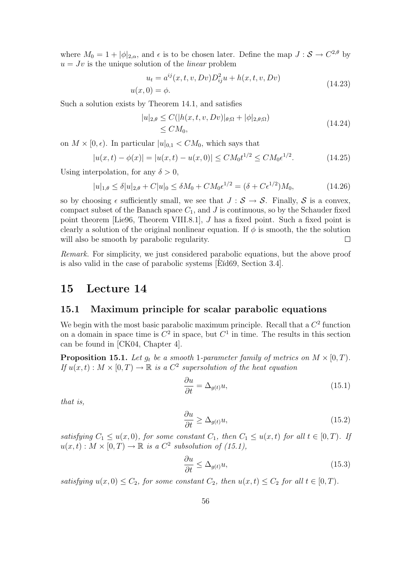where  $M_0 = 1 + |\phi|_{2,\alpha}$ , and  $\epsilon$  is to be chosen later. Define the map  $J : \mathcal{S} \to C^{2,\theta}$  by  $u = Jv$  is the unique solution of the *linear* problem

$$
u_t = a^{ij}(x, t, v, Dv)D_{ij}^2u + h(x, t, v, Dv)
$$
  

$$
u(x, 0) = \phi.
$$
 (14.23)

Such a solution exists by Theorem 14.1, and satisfies

$$
|u|_{2,\theta} \le C(|h(x,t,v,Dv)|_{\theta;\Omega} + |\phi|_{2,\theta;\Omega})
$$
  
\n
$$
\le CM_0,
$$
\n(14.24)

on  $M \times [0, \epsilon)$ . In particular  $|u|_{0,1} < CM_0$ , which says that

$$
|u(x,t) - \phi(x)| = |u(x,t) - u(x,0)| \le CM_0 t^{1/2} \le CM_0 \epsilon^{1/2}.
$$
 (14.25)

Using interpolation, for any  $\delta > 0$ ,

$$
|u|_{1,\theta} \le \delta |u|_{2,\theta} + C|u|_{0} \le \delta M_{0} + C M_{0} \epsilon^{1/2} = (\delta + C\epsilon^{1/2})M_{0}, \tag{14.26}
$$

so by choosing  $\epsilon$  sufficiently small, we see that  $J : \mathcal{S} \to \mathcal{S}$ . Finally,  $\mathcal{S}$  is a convex, compact subset of the Banach space  $C_1$ , and J is continuous, so by the Schauder fixed point theorem [Lie96, Theorem VIII.8.1], J has a fixed point. Such a fixed point is clearly a solution of the original nonlinear equation. If  $\phi$  is smooth, the the solution will also be smooth by parabolic regularity.  $\Box$ 

Remark. For simplicity, we just considered parabolic equations, but the above proof is also valid in the case of parabolic systems  $[Ed69, Section 3.4].$ 

### 15 Lecture 14

#### 15.1 Maximum principle for scalar parabolic equations

We begin with the most basic parabolic maximum principle. Recall that a  $C<sup>2</sup>$  function on a domain in space time is  $C^2$  in space, but  $C^1$  in time. The results in this section can be found in [CK04, Chapter 4].

**Proposition 15.1.** Let  $g_t$  be a smooth 1-parameter family of metrics on  $M \times [0, T)$ . If  $u(x,t) : M \times [0,T) \to \mathbb{R}$  is a  $C^2$  supersolution of the heat equation

$$
\frac{\partial u}{\partial t} = \Delta_{g(t)} u,\tag{15.1}
$$

that is,

$$
\frac{\partial u}{\partial t} \ge \Delta_{g(t)} u,\tag{15.2}
$$

satisfying  $C_1 \le u(x,0)$ , for some constant  $C_1$ , then  $C_1 \le u(x,t)$  for all  $t \in [0,T)$ . If  $u(x,t): M \times [0,T) \to \mathbb{R}$  is a  $C^2$  subsolution of (15.1),

$$
\frac{\partial u}{\partial t} \le \Delta_{g(t)} u,\tag{15.3}
$$

satisfying  $u(x, 0) \leq C_2$ , for some constant  $C_2$ , then  $u(x, t) \leq C_2$  for all  $t \in [0, T)$ .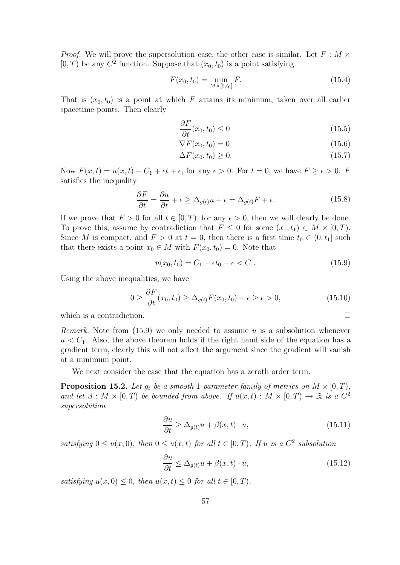*Proof.* We will prove the supersolution case, the other case is similar. Let  $F : M \times$  $[0, T)$  be any  $C^2$  function. Suppose that  $(x_0, t_0)$  is a point satisfying

$$
F(x_0, t_0) = \min_{M \times [0, t_0]} F.
$$
\n(15.4)

That is  $(x_0, t_0)$  is a point at which F attains its minimum, taken over all earlier spacetime points. Then clearly

$$
\frac{\partial F}{\partial t}(x_0, t_0) \le 0\tag{15.5}
$$

$$
\nabla F(x_0, t_0) = 0 \tag{15.6}
$$

$$
\Delta F(x_0, t_0) \ge 0. \tag{15.7}
$$

Now  $F(x,t) = u(x,t) - C_1 + \epsilon t + \epsilon$ , for any  $\epsilon > 0$ . For  $t = 0$ , we have  $F \ge \epsilon > 0$ . F satisfies the inequality

$$
\frac{\partial F}{\partial t} = \frac{\partial u}{\partial t} + \epsilon \ge \Delta_{g(t)} u + \epsilon = \Delta_{g(t)} F + \epsilon.
$$
 (15.8)

If we prove that  $F > 0$  for all  $t \in [0, T)$ , for any  $\epsilon > 0$ , then we will clearly be done. To prove this, assume by contradiction that  $F \leq 0$  for some  $(x_1, t_1) \in M \times [0, T)$ . Since M is compact, and  $F > 0$  at  $t = 0$ , then there is a first time  $t_0 \in (0, t_1]$  such that there exists a point  $x_0 \in M$  with  $F(x_0, t_0) = 0$ . Note that

$$
u(x_0, t_0) = C_1 - \epsilon t_0 - \epsilon < C_1. \tag{15.9}
$$

 $\Box$ 

Using the above inequalities, we have

$$
0 \ge \frac{\partial F}{\partial t}(x_0, t_0) \ge \Delta_{g(t)} F(x_0, t_0) + \epsilon \ge \epsilon > 0,
$$
\n(15.10)

which is a contradiction.

*Remark.* Note from  $(15.9)$  we only needed to assume u is a subsolution whenever  $u < C_1$ . Also, the above theorem holds if the right hand side of the equation has a gradient term, clearly this will not affect the argument since the gradient will vanish at a minimum point.

We next consider the case that the equation has a zeroth order term.

**Proposition 15.2.** Let  $g_t$  be a smooth 1-parameter family of metrics on  $M \times [0, T)$ , and let  $\beta : M \times [0,T)$  be bounded from above. If  $u(x,t) : M \times [0,T) \to \mathbb{R}$  is a  $C^2$ supersolution

$$
\frac{\partial u}{\partial t} \ge \Delta_{g(t)} u + \beta(x, t) \cdot u,\tag{15.11}
$$

satisfying  $0 \le u(x,0)$ , then  $0 \le u(x,t)$  for all  $t \in [0,T)$ . If u is a  $C^2$  subsolution

$$
\frac{\partial u}{\partial t} \le \Delta_{g(t)} u + \beta(x, t) \cdot u,\tag{15.12}
$$

satisfying  $u(x, 0) \leq 0$ , then  $u(x, t) \leq 0$  for all  $t \in [0, T)$ .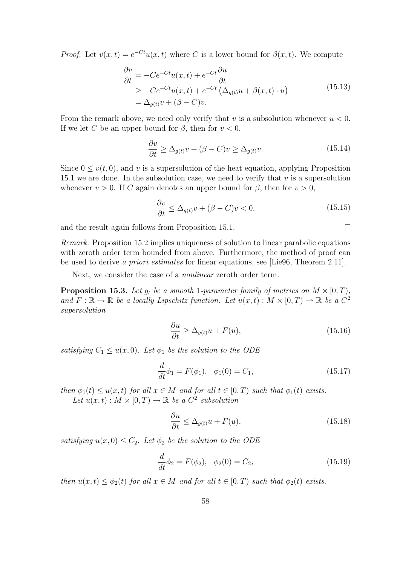*Proof.* Let  $v(x,t) = e^{-Ct}u(x,t)$  where C is a lower bound for  $\beta(x,t)$ . We compute

$$
\frac{\partial v}{\partial t} = -Ce^{-Ct}u(x,t) + e^{-Ct}\frac{\partial u}{\partial t}
$$
\n
$$
\geq -Ce^{-Ct}u(x,t) + e^{-Ct}\left(\Delta_{g(t)}u + \beta(x,t)\cdot u\right)
$$
\n
$$
= \Delta_{g(t)}v + (\beta - C)v.
$$
\n(15.13)

From the remark above, we need only verify that v is a subsolution whenever  $u < 0$ . If we let C be an upper bound for  $\beta$ , then for  $v < 0$ ,

$$
\frac{\partial v}{\partial t} \ge \Delta_{g(t)} v + (\beta - C)v \ge \Delta_{g(t)} v.
$$
\n(15.14)

Since  $0 \le v(t, 0)$ , and v is a supersolution of the heat equation, applying Proposition 15.1 we are done. In the subsolution case, we need to verify that  $v$  is a supersolution whenever  $v > 0$ . If C again denotes an upper bound for  $\beta$ , then for  $v > 0$ ,

$$
\frac{\partial v}{\partial t} \le \Delta_{g(t)} v + (\beta - C)v < 0,\tag{15.15}
$$

and the result again follows from Proposition 15.1.

Remark. Proposition 15.2 implies uniqueness of solution to linear parabolic equations with zeroth order term bounded from above. Furthermore, the method of proof can be used to derive a priori estimates for linear equations, see [Lie96, Theorem 2.11].

Next, we consider the case of a nonlinear zeroth order term.

**Proposition 15.3.** Let  $g_t$  be a smooth 1-parameter family of metrics on  $M \times [0, T)$ , and  $F: \mathbb{R} \to \mathbb{R}$  be a locally Lipschitz function. Let  $u(x,t): M \times [0,T) \to \mathbb{R}$  be a  $C^2$ supersolution

$$
\frac{\partial u}{\partial t} \ge \Delta_{g(t)} u + F(u),\tag{15.16}
$$

satisfying  $C_1 \leq u(x, 0)$ . Let  $\phi_1$  be the solution to the ODE

$$
\frac{d}{dt}\phi_1 = F(\phi_1), \quad \phi_1(0) = C_1,\tag{15.17}
$$

then  $\phi_1(t) \le u(x,t)$  for all  $x \in M$  and for all  $t \in [0,T)$  such that  $\phi_1(t)$  exists. Let  $u(x,t): M \times [0,T) \to \mathbb{R}$  be a  $C^2$  subsolution

$$
\frac{\partial u}{\partial t} \le \Delta_{g(t)} u + F(u),\tag{15.18}
$$

satisfying  $u(x, 0) \leq C_2$ . Let  $\phi_2$  be the solution to the ODE

$$
\frac{d}{dt}\phi_2 = F(\phi_2), \quad \phi_2(0) = C_2,\tag{15.19}
$$

then  $u(x, t) \leq \phi_2(t)$  for all  $x \in M$  and for all  $t \in [0, T)$  such that  $\phi_2(t)$  exists.

 $\Box$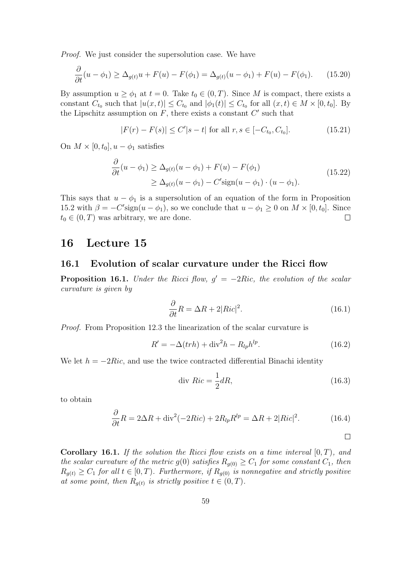Proof. We just consider the supersolution case. We have

$$
\frac{\partial}{\partial t}(u - \phi_1) \ge \Delta_{g(t)}u + F(u) - F(\phi_1) = \Delta_{g(t)}(u - \phi_1) + F(u) - F(\phi_1). \tag{15.20}
$$

By assumption  $u \geq \phi_1$  at  $t = 0$ . Take  $t_0 \in (0, T)$ . Since M is compact, there exists a constant  $C_{t_0}$  such that  $|u(x,t)| \leq C_{t_0}$  and  $|\phi_1(t)| \leq C_{t_0}$  for all  $(x,t) \in M \times [0,t_0]$ . By the Lipschitz assumption on  $F$ , there exists a constant  $C'$  such that

$$
|F(r) - F(s)| \le C'|s - t| \text{ for all } r, s \in [-C_{t_0}, C_{t_0}].
$$
 (15.21)

On  $M \times [0, t_0], u - \phi_1$  satisfies

$$
\frac{\partial}{\partial t}(u - \phi_1) \ge \Delta_{g(t)}(u - \phi_1) + F(u) - F(\phi_1)
$$
\n
$$
\ge \Delta_{g(t)}(u - \phi_1) - C' \operatorname{sign}(u - \phi_1) \cdot (u - \phi_1). \tag{15.22}
$$

This says that  $u - \phi_1$  is a supersolution of an equation of the form in Proposition 15.2 with  $\beta = -C'$ sign $(u - \phi_1)$ , so we conclude that  $u - \phi_1 \geq 0$  on  $M \times [0, t_0]$ . Since  $t_0 \in (0, T)$  was arbitrary, we are done.  $\Box$ 

### 16 Lecture 15

#### 16.1 Evolution of scalar curvature under the Ricci flow

**Proposition 16.1.** Under the Ricci flow,  $g' = -2Ric$ , the evolution of the scalar curvature is given by

$$
\frac{\partial}{\partial t}R = \Delta R + 2|Ric|^2.
$$
\n(16.1)

Proof. From Proposition 12.3 the linearization of the scalar curvature is

$$
R' = -\Delta(trh) + \text{div}^2 h - R_{lp}h^{lp}.
$$
\n(16.2)

We let  $h = -2Ric$ , and use the twice contracted differential Binachi identity

$$
\text{div } Ric = \frac{1}{2}dR,\tag{16.3}
$$

 $\Box$ 

to obtain

$$
\frac{\partial}{\partial t}R = 2\Delta R + \text{div}^2(-2Ric) + 2R_{lp}R^{lp} = \Delta R + 2|Ric|^2.
$$
 (16.4)

**Corollary 16.1.** If the solution the Ricci flow exists on a time interval  $[0, T)$ , and the scalar curvature of the metric  $g(0)$  satisfies  $R_{g(0)} \geq C_1$  for some constant  $C_1$ , then  $R_{g(t)} \geq C_1$  for all  $t \in [0, T)$ . Furthermore, if  $R_{g(0)}$  is nonnegative and strictly positive at some point, then  $R_{g(t)}$  is strictly positive  $t \in (0, T)$ .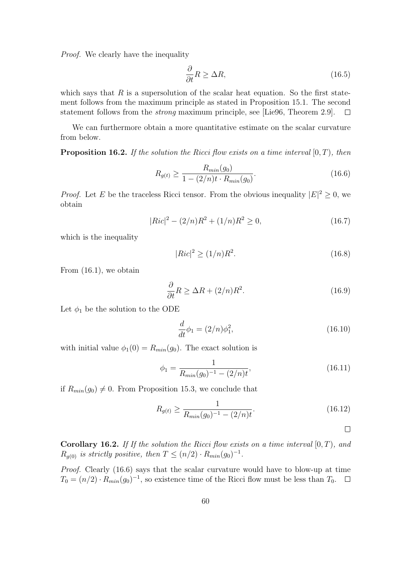Proof. We clearly have the inequality

$$
\frac{\partial}{\partial t}R \ge \Delta R,\tag{16.5}
$$

which says that  $R$  is a supersolution of the scalar heat equation. So the first statement follows from the maximum principle as stated in Proposition 15.1. The second statement follows from the strong maximum principle, see [Lie96, Theorem 2.9].  $\Box$ 

We can furthermore obtain a more quantitative estimate on the scalar curvature from below.

**Proposition 16.2.** If the solution the Ricci flow exists on a time interval  $[0, T)$ , then

$$
R_{g(t)} \ge \frac{R_{min}(g_0)}{1 - (2/n)t \cdot R_{min}(g_0)}.\tag{16.6}
$$

*Proof.* Let E be the traceless Ricci tensor. From the obvious inequality  $|E|^2 \geq 0$ , we obtain

$$
|Ric|^2 - (2/n)R^2 + (1/n)R^2 \ge 0,
$$
\n(16.7)

which is the inequality

$$
|Ric|^2 \ge (1/n)R^2. \tag{16.8}
$$

From (16.1), we obtain

$$
\frac{\partial}{\partial t}R \ge \Delta R + (2/n)R^2. \tag{16.9}
$$

Let  $\phi_1$  be the solution to the ODE

$$
\frac{d}{dt}\phi_1 = (2/n)\phi_1^2,\tag{16.10}
$$

with initial value  $\phi_1(0) = R_{min}(g_0)$ . The exact solution is

$$
\phi_1 = \frac{1}{R_{min}(g_0)^{-1} - (2/n)t},\tag{16.11}
$$

if  $R_{min}(g_0) \neq 0$ . From Proposition 15.3, we conclude that

$$
R_{g(t)} \ge \frac{1}{R_{min}(g_0)^{-1} - (2/n)t}.
$$
\n(16.12)

 $\Box$ 

**Corollary 16.2.** If If the solution the Ricci flow exists on a time interval  $[0, T)$ , and  $R_{g(0)}$  is strictly positive, then  $T \leq (n/2) \cdot R_{min}(g_0)^{-1}$ .

Proof. Clearly (16.6) says that the scalar curvature would have to blow-up at time  $T_0 = (n/2) \cdot R_{min}(g_0)^{-1}$ , so existence time of the Ricci flow must be less than  $T_0$ .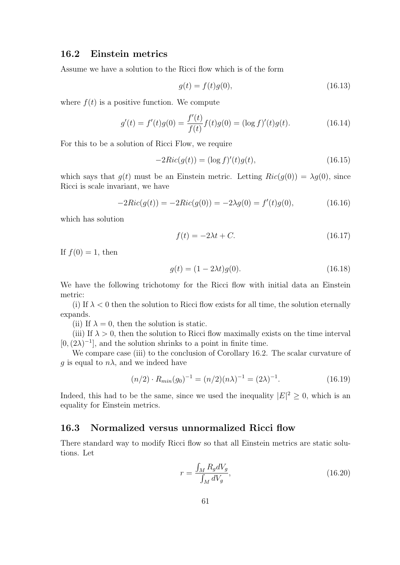### 16.2 Einstein metrics

Assume we have a solution to the Ricci flow which is of the form

$$
g(t) = f(t)g(0),
$$
\n(16.13)

where  $f(t)$  is a positive function. We compute

$$
g'(t) = f'(t)g(0) = \frac{f'(t)}{f(t)}f(t)g(0) = (\log f)'(t)g(t).
$$
 (16.14)

For this to be a solution of Ricci Flow, we require

$$
-2Ric(g(t)) = (\log f)'(t)g(t),
$$
\n(16.15)

which says that  $g(t)$  must be an Einstein metric. Letting  $Ric(g(0)) = \lambda g(0)$ , since Ricci is scale invariant, we have

$$
-2Ric(g(t)) = -2Ric(g(0)) = -2\lambda g(0) = f'(t)g(0),
$$
\n(16.16)

which has solution

$$
f(t) = -2\lambda t + C.\tag{16.17}
$$

If  $f(0) = 1$ , then

$$
g(t) = (1 - 2\lambda t)g(0).
$$
 (16.18)

We have the following trichotomy for the Ricci flow with initial data an Einstein metric:

(i) If  $\lambda < 0$  then the solution to Ricci flow exists for all time, the solution eternally expands.

(ii) If  $\lambda = 0$ , then the solution is static.

(iii) If  $\lambda > 0$ , then the solution to Ricci flow maximally exists on the time interval  $[0,(2\lambda)^{-1}]$ , and the solution shrinks to a point in finite time.

We compare case (iii) to the conclusion of Corollary 16.2. The scalar curvature of g is equal to  $n\lambda$ , and we indeed have

$$
(n/2) \cdot R_{min}(g_0)^{-1} = (n/2)(n\lambda)^{-1} = (2\lambda)^{-1}.
$$
 (16.19)

Indeed, this had to be the same, since we used the inequality  $|E|^2 \geq 0$ , which is an equality for Einstein metrics.

#### 16.3 Normalized versus unnormalized Ricci flow

There standard way to modify Ricci flow so that all Einstein metrics are static solutions. Let

$$
r = \frac{\int_M R_g dV_g}{\int_M dV_g},\tag{16.20}
$$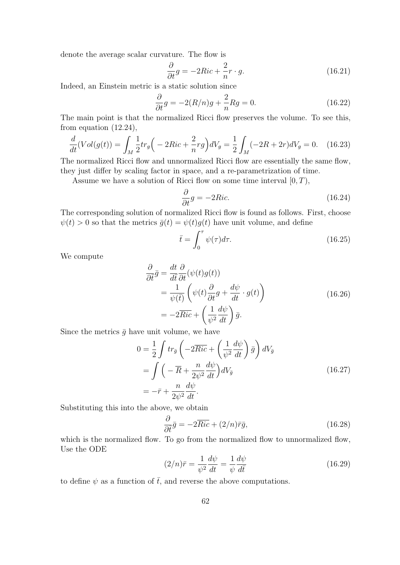denote the average scalar curvature. The flow is

$$
\frac{\partial}{\partial t}g = -2Ric + \frac{2}{n}r \cdot g. \tag{16.21}
$$

Indeed, an Einstein metric is a static solution since

$$
\frac{\partial}{\partial t}g = -2(R/n)g + \frac{2}{n}Rg = 0.
$$
\n(16.22)

The main point is that the normalized Ricci flow preserves the volume. To see this, from equation (12.24),

$$
\frac{d}{dt}(Vol(g(t))) = \int_M \frac{1}{2} tr_g \left( -2Ric + \frac{2}{n} rg \right) dV_g = \frac{1}{2} \int_M (-2R + 2r) dV_g = 0. \tag{16.23}
$$

The normalized Ricci flow and unnormalized Ricci flow are essentially the same flow, they just differ by scaling factor in space, and a re-parametrization of time.

Assume we have a solution of Ricci flow on some time interval  $[0, T)$ ,

$$
\frac{\partial}{\partial t}g = -2Ric.\tag{16.24}
$$

The corresponding solution of normalized Ricci flow is found as follows. First, choose  $\psi(t) > 0$  so that the metrics  $\bar{g}(t) = \psi(t)g(t)$  have unit volume, and define

$$
\bar{t} = \int_0^\tau \psi(\tau) d\tau.
$$
 (16.25)

We compute

$$
\frac{\partial}{\partial \bar{t}} \bar{g} = \frac{dt}{d\bar{t}} \frac{\partial}{\partial t} (\psi(t)g(t)) \n= \frac{1}{\psi(\bar{t})} \left( \psi(t) \frac{\partial}{\partial t} g + \frac{d\psi}{dt} \cdot g(t) \right) \n= -2\overline{Ric} + \left( \frac{1}{\psi^2} \frac{d\psi}{dt} \right) \bar{g}.
$$
\n(16.26)

Since the metrics  $\bar{g}$  have unit volume, we have

$$
0 = \frac{1}{2} \int tr_{\bar{g}} \left( -2\overline{Ric} + \left( \frac{1}{\psi^2} \frac{d\psi}{dt} \right) \bar{g} \right) dV_{\bar{g}}
$$
  
= 
$$
\int \left( -\overline{R} + \frac{n}{2\psi^2} \frac{d\psi}{dt} \right) dV_{\bar{g}}
$$
  
= 
$$
-\bar{r} + \frac{n}{2\psi^2} \frac{d\psi}{dt}.
$$
 (16.27)

Substituting this into the above, we obtain

$$
\frac{\partial}{\partial \bar{t}}\bar{g} = -2\overline{Ric} + (2/n)\bar{r}\bar{g},\qquad(16.28)
$$

which is the normalized flow. To go from the normalized flow to unnormalized flow, Use the ODE

$$
(2/n)\bar{r} = \frac{1}{\psi^2} \frac{d\psi}{dt} = \frac{1}{\psi} \frac{d\psi}{d\bar{t}} \tag{16.29}
$$

to define  $\psi$  as a function of  $\bar{t}$ , and reverse the above computations.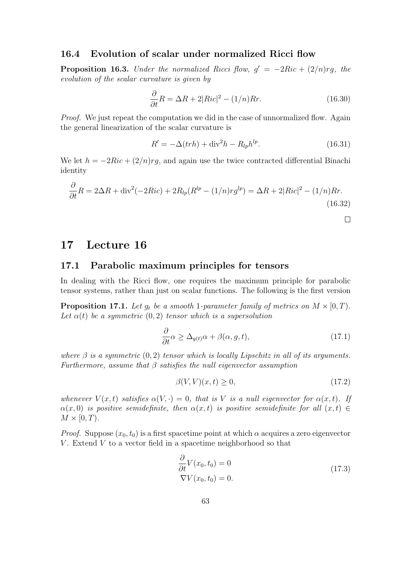### 16.4 Evolution of scalar under normalized Ricci flow

**Proposition 16.3.** Under the normalized Ricci flow,  $g' = -2Ric + (2/n)rg$ , the evolution of the scalar curvature is given by

$$
\frac{\partial}{\partial t}R = \Delta R + 2|Ric|^2 - (1/n)Rr.
$$
 (16.30)

Proof. We just repeat the computation we did in the case of unnormalized flow. Again the general linearization of the scalar curvature is

$$
R' = -\Delta(trh) + \text{div}^2 h - R_{lp}h^{lp}.
$$
\n(16.31)

We let  $h = -2Ric + (2/n)rg$ , and again use the twice contracted differential Binachi identity

$$
\frac{\partial}{\partial t}R = 2\Delta R + \text{div}^2(-2Ric) + 2R_{lp}(R^{lp} - (1/n)rg^{lp}) = \Delta R + 2|Ric|^2 - (1/n)Rr.
$$
\n(16.32)

 $\Box$ 

## 17 Lecture 16

#### 17.1 Parabolic maximum principles for tensors

In dealing with the Ricci flow, one requires the maximum principle for parabolic tensor systems, rather than just on scalar functions. The following is the first version

**Proposition 17.1.** Let  $g_t$  be a smooth 1-parameter family of metrics on  $M \times [0, T)$ . Let  $\alpha(t)$  be a symmetric  $(0, 2)$  tensor which is a supersolution

$$
\frac{\partial}{\partial t}\alpha \ge \Delta_{g(t)}\alpha + \beta(\alpha, g, t),\tag{17.1}
$$

where  $\beta$  is a symmetric  $(0, 2)$  tensor which is locally Lipschitz in all of its arguments. Furthermore, assume that  $\beta$  satisfies the null eigenvector assumption

$$
\beta(V,V)(x,t) \ge 0,\tag{17.2}
$$

whenever  $V(x,t)$  satisfies  $\alpha(V, \cdot) = 0$ , that is V is a null eigenvector for  $\alpha(x,t)$ . If  $\alpha(x, 0)$  is positive semidefinite, then  $\alpha(x, t)$  is positive semidefinite for all  $(x, t) \in$  $M \times [0, T)$ .

*Proof.* Suppose  $(x_0, t_0)$  is a first spacetime point at which  $\alpha$  acquires a zero eigenvector V. Extend  $V$  to a vector field in a spacetime neighborhood so that

$$
\frac{\partial}{\partial t} V(x_0, t_0) = 0
$$
\n
$$
\nabla V(x_0, t_0) = 0.
$$
\n(17.3)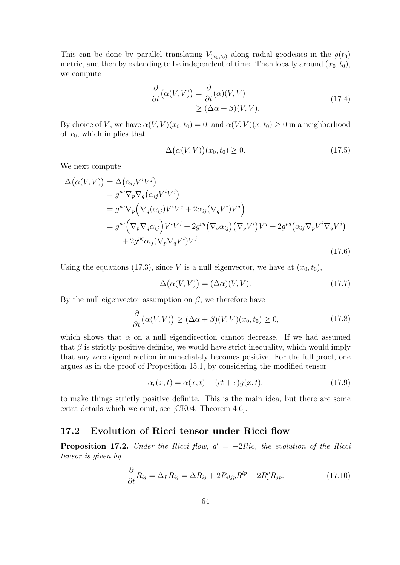This can be done by parallel translating  $V_{(x_0,t_0)}$  along radial geodesics in the  $g(t_0)$ metric, and then by extending to be independent of time. Then locally around  $(x_0, t_0)$ , we compute

$$
\frac{\partial}{\partial t} (\alpha(V,V)) = \frac{\partial}{\partial t} (\alpha)(V,V) \geq (\Delta \alpha + \beta)(V,V).
$$
\n(17.4)

By choice of V, we have  $\alpha(V, V)(x_0, t_0) = 0$ , and  $\alpha(V, V)(x, t_0) \geq 0$  in a neighborhood of  $x_0$ , which implies that

$$
\Delta(\alpha(V,V))(x_0, t_0) \ge 0. \tag{17.5}
$$

We next compute

$$
\Delta(\alpha(V,V)) = \Delta(\alpha_{ij}V^{i}V^{j})
$$
  
\n
$$
= g^{pq}\nabla_{p}\nabla_{q}(\alpha_{ij}V^{i}V^{j})
$$
  
\n
$$
= g^{pq}\nabla_{p}\left(\nabla_{q}(\alpha_{ij})V^{i}V^{j} + 2\alpha_{ij}(\nabla_{q}V^{i})V^{j}\right)
$$
  
\n
$$
= g^{pq}\left(\nabla_{p}\nabla_{q}\alpha_{ij}\right)V^{i}V^{j} + 2g^{pq}\left(\nabla_{q}\alpha_{ij}\right)\left(\nabla_{p}V^{i}\right)V^{j} + 2g^{pq}\left(\alpha_{ij}\nabla_{p}V^{i}\nabla_{q}V^{j}\right)
$$
  
\n
$$
+ 2g^{pq}\alpha_{ij}(\nabla_{p}\nabla_{q}V^{i})V^{j}.
$$
\n(17.6)

Using the equations (17.3), since V is a null eigenvector, we have at  $(x_0, t_0)$ ,

$$
\Delta(\alpha(V,V)) = (\Delta \alpha)(V,V). \tag{17.7}
$$

By the null eigenvector assumption on  $\beta$ , we therefore have

$$
\frac{\partial}{\partial t} \big( \alpha(V, V) \big) \ge (\Delta \alpha + \beta)(V, V)(x_0, t_0) \ge 0,
$$
\n(17.8)

which shows that  $\alpha$  on a null eigendirection cannot decrease. If we had assumed that  $\beta$  is strictly positive definite, we would have strict inequality, which would imply that any zero eigendirection immmediately becomes positive. For the full proof, one argues as in the proof of Proposition 15.1, by considering the modified tensor

$$
\alpha_{\epsilon}(x,t) = \alpha(x,t) + (\epsilon t + \epsilon)g(x,t),\tag{17.9}
$$

to make things strictly positive definite. This is the main idea, but there are some extra details which we omit, see [CK04, Theorem 4.6].  $\Box$ 

#### 17.2 Evolution of Ricci tensor under Ricci flow

**Proposition 17.2.** Under the Ricci flow,  $g' = -2Ric$ , the evolution of the Ricci tensor is given by

$$
\frac{\partial}{\partial t}R_{ij} = \Delta_L R_{ij} = \Delta R_{ij} + 2R_{iljp}R^{lp} - 2R_i^p R_{jp}.\tag{17.10}
$$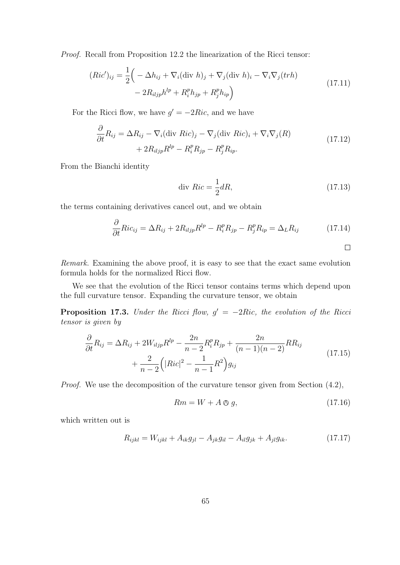Proof. Recall from Proposition 12.2 the linearization of the Ricci tensor:

$$
(Ric')_{ij} = \frac{1}{2} \left( -\Delta h_{ij} + \nabla_i (\text{div } h)_j + \nabla_j (\text{div } h)_i - \nabla_i \nabla_j (trh) - 2R_{iljp}h^{lp} + R_i^p h_{jp} + R_j^p h_{ip} \right)
$$
\n(17.11)

For the Ricci flow, we have  $g' = -2Ric$ , and we have

$$
\frac{\partial}{\partial t}R_{ij} = \Delta R_{ij} - \nabla_i (\text{div } Ric)_j - \nabla_j (\text{div } Ric)_i + \nabla_i \nabla_j (R) \n+ 2R_{iljp}R^{lp} - R_i^p R_{jp} - R_j^p R_{ip}.
$$
\n(17.12)

From the Bianchi identity

$$
\text{div } Ric = \frac{1}{2} dR,\tag{17.13}
$$

the terms containing derivatives cancel out, and we obtain

$$
\frac{\partial}{\partial t} Ric_{ij} = \Delta R_{ij} + 2R_{iljp}R^{lp} - R_i^p R_{jp} - R_j^p R_{ip} = \Delta_L R_{ij}
$$
 (17.14)

Remark. Examining the above proof, it is easy to see that the exact same evolution formula holds for the normalized Ricci flow.

We see that the evolution of the Ricci tensor contains terms which depend upon the full curvature tensor. Expanding the curvature tensor, we obtain

**Proposition 17.3.** Under the Ricci flow,  $g' = -2Ric$ , the evolution of the Ricci tensor is given by

$$
\frac{\partial}{\partial t}R_{ij} = \Delta R_{ij} + 2W_{iljp}R^{lp} - \frac{2n}{n-2}R_i^p R_{jp} + \frac{2n}{(n-1)(n-2)}RR_{ij} + \frac{2}{n-2}\Big(|Ric|^2 - \frac{1}{n-1}R^2\Big)g_{ij}
$$
\n(17.15)

Proof. We use the decomposition of the curvature tensor given from Section (4.2),

$$
Rm = W + A \otimes g,\tag{17.16}
$$

which written out is

$$
R_{ijkl} = W_{ijkl} + A_{ik}g_{jl} - A_{jk}g_{il} - A_{il}g_{jk} + A_{jl}g_{ik}.
$$
 (17.17)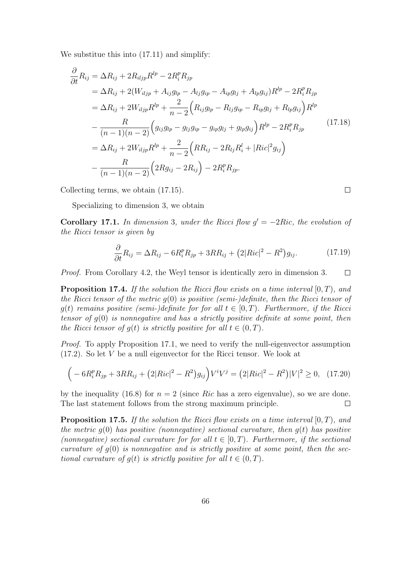We substitue this into (17.11) and simplify:

$$
\frac{\partial}{\partial t} R_{ij} = \Delta R_{ij} + 2R_{iljp}R^{lp} - 2R_i^p R_{jp}
$$
\n
$$
= \Delta R_{ij} + 2(W_{iljp} + A_{ij}g_{lp} - A_{lj}g_{ip} - A_{ip}g_{lj} + A_{lp}g_{ij})R^{lp} - 2R_i^p R_{jp}
$$
\n
$$
= \Delta R_{ij} + 2W_{iljp}R^{lp} + \frac{2}{n-2} \left( R_{ij}g_{lp} - R_{lj}g_{ip} - R_{ip}g_{lj} + R_{lp}g_{ij} \right) R^{lp}
$$
\n
$$
- \frac{R}{(n-1)(n-2)} \left( g_{ij}g_{lp} - g_{lj}g_{ip} - g_{ip}g_{lj} + g_{lp}g_{ij} \right) R^{lp} - 2R_i^p R_{jp}
$$
\n
$$
= \Delta R_{ij} + 2W_{iljp}R^{lp} + \frac{2}{n-2} \left( R R_{ij} - 2R_{lj}R_i^l + |Ric|^2 g_{ij} \right)
$$
\n
$$
- \frac{R}{(n-1)(n-2)} \left( 2R g_{ij} - 2R_{ij} \right) - 2R_i^p R_{jp}.
$$
\n(17.18)

Collecting terms, we obtain (17.15).

Specializing to dimension 3, we obtain

Corollary 17.1. In dimension 3, under the Ricci flow  $g' = -2Ric$ , the evolution of the Ricci tensor is given by

$$
\frac{\partial}{\partial t}R_{ij} = \Delta R_{ij} - 6R_i^p R_{jp} + 3RR_{ij} + (2|Ric|^2 - R^2)g_{ij}.
$$
 (17.19)

 $\Box$ 

Proof. From Corollary 4.2, the Weyl tensor is identically zero in dimension 3.  $\Box$ 

**Proposition 17.4.** If the solution the Ricci flow exists on a time interval  $[0, T)$ , and the Ricci tensor of the metric  $q(0)$  is positive (semi-)definite, then the Ricci tensor of  $g(t)$  remains positive (semi-)definite for for all  $t \in [0, T)$ . Furthermore, if the Ricci tensor of  $g(0)$  is nonnegative and has a strictly positive definite at some point, then the Ricci tensor of  $q(t)$  is strictly positive for all  $t \in (0, T)$ .

Proof. To apply Proposition 17.1, we need to verify the null-eigenvector assumption (17.2). So let V be a null eigenvector for the Ricci tensor. We look at

$$
(-6R_i^pR_{jp} + 3RR_{ij} + (2|Ric|^2 - R^2)g_{ij})V^iV^j = (2|Ric|^2 - R^2)|V|^2 \ge 0, \quad (17.20)
$$

by the inequality (16.8) for  $n = 2$  (since Ric has a zero eigenvalue), so we are done. The last statement follows from the strong maximum principle.  $\Box$ 

**Proposition 17.5.** If the solution the Ricci flow exists on a time interval  $[0, T)$ , and the metric  $q(0)$  has positive (nonnegative) sectional curvature, then  $q(t)$  has positive (nonnegative) sectional curvature for for all  $t \in [0, T)$ . Furthermore, if the sectional curvature of  $g(0)$  is nonnegative and is strictly positive at some point, then the sectional curvature of  $q(t)$  is strictly positive for all  $t \in (0, T)$ .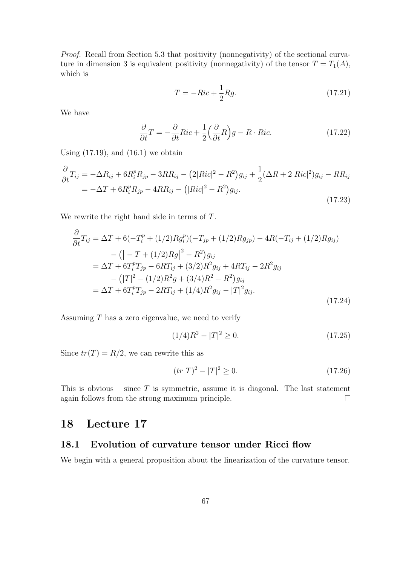Proof. Recall from Section 5.3 that positivity (nonnegativity) of the sectional curvature in dimension 3 is equivalent positivity (nonnegativity) of the tensor  $T = T_1(A)$ , which is

$$
T = -Ric + \frac{1}{2}Rg.
$$
\n
$$
(17.21)
$$

We have

$$
\frac{\partial}{\partial t}T = -\frac{\partial}{\partial t}Ric + \frac{1}{2}\left(\frac{\partial}{\partial t}R\right)g - R \cdot Ric.
$$
 (17.22)

Using  $(17.19)$ , and  $(16.1)$  we obtain

$$
\frac{\partial}{\partial t}T_{ij} = -\Delta R_{ij} + 6R_i^p R_{jp} - 3RR_{ij} - (2|Ric|^2 - R^2)g_{ij} + \frac{1}{2}(\Delta R + 2|Ric|^2)g_{ij} - RR_{ij}
$$
  
= -\Delta T + 6R\_i^p R\_{jp} - 4RR\_{ij} - (|Ric|^2 - R^2)g\_{ij}. (17.23)

We rewrite the right hand side in terms of T.

$$
\frac{\partial}{\partial t}T_{ij} = \Delta T + 6(-T_i^p + (1/2)Rg_i^p)(-T_{jp} + (1/2)Rg_{jp}) - 4R(-T_{ij} + (1/2)Rg_{ij}) \n- (|-T + (1/2)Rg|^2 - R^2)g_{ij} \n= \Delta T + 6T_i^pT_{jp} - 6RT_{ij} + (3/2)R^2g_{ij} + 4RT_{ij} - 2R^2g_{ij} \n- (|T|^2 - (1/2)R^2g + (3/4)R^2 - R^2)g_{ij} \n= \Delta T + 6T_i^pT_{jp} - 2RT_{ij} + (1/4)R^2g_{ij} - |T|^2g_{ij}.
$$
\n(17.24)

Assuming  $T$  has a zero eigenvalue, we need to verify

$$
(1/4)R^2 - |T|^2 \ge 0. \tag{17.25}
$$

Since  $tr(T) = R/2$ , we can rewrite this as

$$
(tr T)^2 - |T|^2 \ge 0. \tag{17.26}
$$

This is obvious – since  $T$  is symmetric, assume it is diagonal. The last statement again follows from the strong maximum principle.  $\Box$ 

## 18 Lecture 17

## 18.1 Evolution of curvature tensor under Ricci flow

We begin with a general proposition about the linearization of the curvature tensor.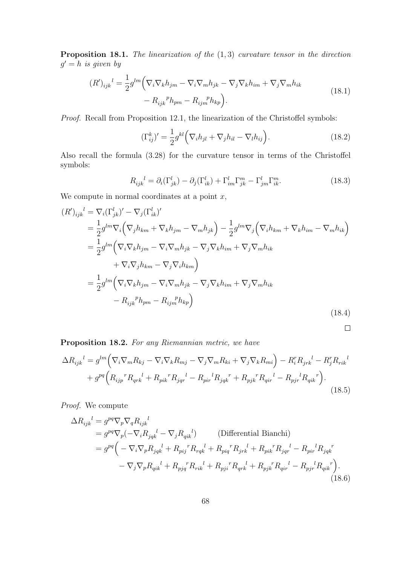**Proposition 18.1.** The linearization of the  $(1, 3)$  curvature tensor in the direction  $g' = h$  is given by

$$
(R')_{ijk}^{l} = \frac{1}{2} g^{lm} \Big( \nabla_i \nabla_k h_{jm} - \nabla_i \nabla_m h_{jk} - \nabla_j \nabla_k h_{im} + \nabla_j \nabla_m h_{ik} - R_{ijk}^{p} h_{pm} - R_{ijm}^{p} h_{kp} \Big).
$$
\n(18.1)

Proof. Recall from Proposition 12.1, the linearization of the Christoffel symbols:

$$
(\Gamma_{ij}^k)' = \frac{1}{2} g^{kl} \Big( \nabla_i h_{jl} + \nabla_j h_{il} - \nabla_l h_{ij} \Big). \tag{18.2}
$$

Also recall the formula (3.28) for the curvature tensor in terms of the Christoffel symbols:

$$
R_{ijk}^{\quad l} = \partial_i(\Gamma_{jk}^l) - \partial_j(\Gamma_{ik}^l) + \Gamma_{im}^l \Gamma_{jk}^m - \Gamma_{jm}^l \Gamma_{ik}^m. \tag{18.3}
$$

We compute in normal coordinates at a point  $x$ ,

$$
(R')_{ijk}^{l} = \nabla_i (\Gamma_{jk}^{l})' - \nabla_j (\Gamma_{ik}^{l})'
$$
  
\n
$$
= \frac{1}{2} g^{lm} \nabla_i \left( \nabla_j h_{km} + \nabla_k h_{jm} - \nabla_m h_{jk} \right) - \frac{1}{2} g^{lm} \nabla_j \left( \nabla_i h_{km} + \nabla_k h_{im} - \nabla_m h_{ik} \right)
$$
  
\n
$$
= \frac{1}{2} g^{lm} \left( \nabla_i \nabla_k h_{jm} - \nabla_i \nabla_m h_{jk} - \nabla_j \nabla_k h_{im} + \nabla_j \nabla_m h_{ik} \right)
$$
  
\n
$$
+ \nabla_i \nabla_j h_{km} - \nabla_j \nabla_i h_{km} \right)
$$
  
\n
$$
= \frac{1}{2} g^{lm} \left( \nabla_i \nabla_k h_{jm} - \nabla_i \nabla_m h_{jk} - \nabla_j \nabla_k h_{im} + \nabla_j \nabla_m h_{ik} \right)
$$
  
\n
$$
- R_{ijk}^{\ \ p} h_{pm} - R_{ijm}^{\ \ p} h_{kp} \right)
$$
  
\n(18.4)

 $\Box$ 

Proposition 18.2. For any Riemannian metric, we have

$$
\Delta R_{ijk}{}^{l} = g^{lm} \Big( \nabla_i \nabla_m R_{kj} - \nabla_i \nabla_k R_{mj} - \nabla_j \nabla_m R_{ki} + \nabla_j \nabla_k R_{mi} \Big) - R_i^r R_{jrk}{}^{l} - R_j^r R_{rik}{}^{l} + g^{pq} \Big( R_{ijp}{}^{r} R_{qrk}{}^{l} + R_{pik}{}^{r} R_{jqr}{}^{l} - R_{pir}{}^{l} R_{jqk}{}^{r} + R_{pjk}{}^{r} R_{qir}{}^{l} - R_{pjr}{}^{l} R_{qik}{}^{r} \Big).
$$
\n(18.5)

Proof. We compute

$$
\Delta R_{ijk}^{l} = g^{pq} \nabla_p \nabla_q R_{ijk}^{l}
$$
\n
$$
= g^{pq} \nabla_p (-\nabla_i R_{jqk}^{l} - \nabla_j R_{qik}^{l})
$$
 (Differential Bianchi)  
\n
$$
= g^{pq} \left( -\nabla_i \nabla_p R_{jqk}^{l} + R_{pij}^{r} R_{rqk}^{l} + R_{pij}^{r} R_{jrk}^{l} + R_{pik}^{r} R_{jqr}^{l} - R_{pir}^{l} R_{jqk}^{r}
$$
\n
$$
- \nabla_j \nabla_p R_{qik}^{l} + R_{pjq}^{r} R_{rik}^{l} + R_{pji}^{r} R_{qrk}^{l} + R_{pjk}^{r} R_{qir}^{l} - R_{pjr}^{l} R_{qik}^{r} \right).
$$
\n(18.6)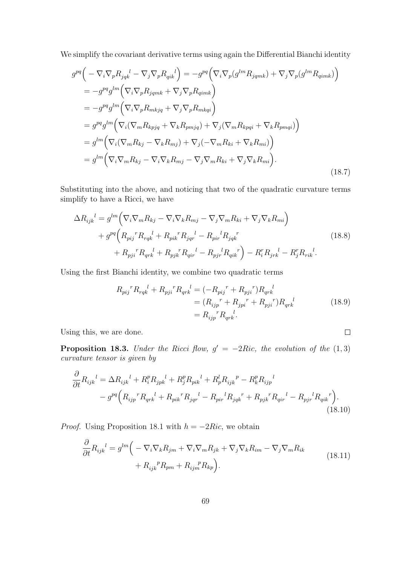We simplify the covariant derivative terms using again the Differential Bianchi identity

$$
g^{pq}\left(-\nabla_{i}\nabla_{p}R_{jqk}{}^{l} - \nabla_{j}\nabla_{p}R_{qik}{}^{l}\right) = -g^{pq}\left(\nabla_{i}\nabla_{p}(g^{lm}R_{jqmk}) + \nabla_{j}\nabla_{p}(g^{lm}R_{qimk})\right)
$$
  
\n
$$
= -g^{pq}g^{lm}\left(\nabla_{i}\nabla_{p}R_{jqmk} + \nabla_{j}\nabla_{p}R_{qimk}\right)
$$
  
\n
$$
= -g^{pq}g^{lm}\left(\nabla_{i}\nabla_{p}R_{mkjq} + \nabla_{j}\nabla_{p}R_{mkqi}\right)
$$
  
\n
$$
= g^{pq}g^{lm}\left(\nabla_{i}(\nabla_{m}R_{kpjq} + \nabla_{k}R_{pmjq}) + \nabla_{j}(\nabla_{m}R_{kpqi} + \nabla_{k}R_{pmqi})\right)
$$
  
\n
$$
= g^{lm}\left(\nabla_{i}(\nabla_{m}R_{kj} - \nabla_{k}R_{mj}) + \nabla_{j}(-\nabla_{m}R_{ki} + \nabla_{k}R_{mi})\right)
$$
  
\n
$$
= g^{lm}\left(\nabla_{i}\nabla_{m}R_{kj} - \nabla_{i}\nabla_{k}R_{mj} - \nabla_{j}\nabla_{m}R_{ki} + \nabla_{j}\nabla_{k}R_{mi}\right).
$$
\n(18.7)

Substituting into the above, and noticing that two of the quadratic curvature terms simplify to have a Ricci, we have

$$
\Delta R_{ijk}^{l} = g^{lm} \Big( \nabla_i \nabla_m R_{kj} - \nabla_i \nabla_k R_{mj} - \nabla_j \nabla_m R_{ki} + \nabla_j \nabla_k R_{mi} \Big) + g^{pq} \Big( R_{pij}^{r} R_{rqk}^{l} + R_{pik}^{r} R_{jqr}^{l} - R_{pir}^{l} R_{jqk}^{r} + R_{pji}^{r} R_{qrk}^{l} + R_{pjk}^{r} R_{qir}^{l} - R_{pjr}^{l} R_{qik}^{r} \Big) - R_i^{r} R_{jrk}^{l} - R_j^{r} R_{rik}^{l}.
$$
\n(18.8)

Using the first Bianchi identity, we combine two quadratic terms

$$
R_{pij}^{\ \ r}R_{rqk}^{\ \ l} + R_{pji}^{\ \ r}R_{qrk}^{\ \ l} = (-R_{pij}^{\ \ r} + R_{pji}^{\ \ r})R_{qrk}^{\ \ l}
$$

$$
= (R_{ijp}^{\ \ r} + R_{jpi}^{\ \ r} + R_{pji}^{\ \ r})R_{qrk}^{\ \ l}
$$

$$
= R_{ijp}^{\ \ r}R_{qrk}^{\ \ l}. \tag{18.9}
$$

 $\Box$ 

Using this, we are done.

**Proposition 18.3.** Under the Ricci flow,  $g' = -2Ric$ , the evolution of the  $(1,3)$ curvature tensor is given by

$$
\frac{\partial}{\partial t} R_{ijk}^{l} = \Delta R_{ijk}^{l} + R_{i}^{p} R_{jpk}^{l} + R_{j}^{p} R_{pik}^{l} + R_{p}^{l} R_{ijk}^{p} - R_{k}^{p} R_{ijp}^{l} - g^{pq} \Big( R_{ijp}^{r} R_{qrk}^{l} + R_{pik}^{r} R_{jqr}^{l} - R_{pri}^{l} R_{jqk}^{r} + R_{pjk}^{r} R_{qir}^{l} - R_{pjr}^{l} R_{qik}^{r} \Big). \tag{18.10}
$$

*Proof.* Using Proposition 18.1 with  $h = -2Ric$ , we obtain

$$
\frac{\partial}{\partial t} R_{ijk}^{\ \ l} = g^{lm} \Big( -\nabla_i \nabla_k R_{jm} + \nabla_i \nabla_m R_{jk} + \nabla_j \nabla_k R_{im} - \nabla_j \nabla_m R_{ik} + R_{ijk}^{\ \ p} R_{pm} + R_{ijm}^{\ \ p} R_{kp} \Big). \tag{18.11}
$$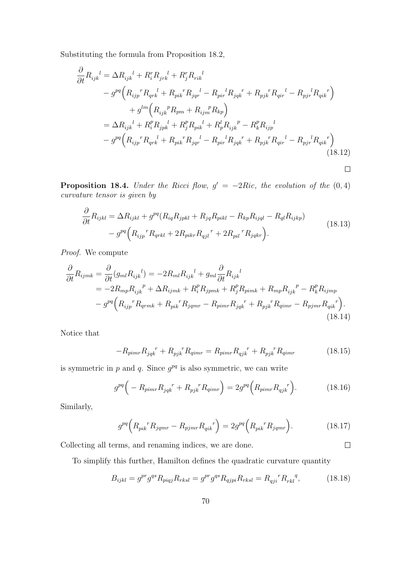Substituting the formula from Proposition 18.2,

$$
\frac{\partial}{\partial t} R_{ijk}^{l} = \Delta R_{ijk}^{l} + R_{i}^{r} R_{jrk}^{l} + R_{j}^{r} R_{rik}^{l} \n- g^{pq} \left( R_{ijp}^{r} R_{qrk}^{l} + R_{pik}^{r} R_{jqr}^{l} - R_{pri}^{l} R_{jqk}^{r} + R_{pjk}^{r} R_{qir}^{l} - R_{pjr}^{l} R_{qik}^{r} \right) \n+ g^{lm} \left( R_{ijk}^{p} R_{pm} + R_{ijm}^{p} R_{kp} \right) \n= \Delta R_{ijk}^{l} + R_{i}^{p} R_{jpk}^{l} + R_{j}^{p} R_{pik}^{l} + R_{p}^{l} R_{ijk}^{p} - R_{k}^{p} R_{ijp}^{l} \n- g^{pq} \left( R_{ijp}^{r} R_{qrk}^{l} + R_{pik}^{r} R_{jqr}^{l} - R_{pi}^{l} R_{jqk}^{r} + R_{pjk}^{r} R_{qir}^{l} - R_{pjr}^{l} R_{qik}^{r} \right)
$$
\n(18.12)

**Proposition 18.4.** Under the Ricci flow,  $g' = -2Ric$ , the evolution of the  $(0, 4)$ curvature tensor is given by

$$
\frac{\partial}{\partial t} R_{ijkl} = \Delta R_{ijkl} + g^{pq} (R_{iq} R_{jpkl} + R_{jq} R_{pikl} - R_{kp} R_{ijql} - R_{ql} R_{ijkp})
$$
\n
$$
- g^{pq} (R_{ijp}{}^r R_{qrkl} + 2R_{pikr} R_{qjl}{}^r + 2R_{pil}{}^r R_{jqkr}).
$$
\n(18.13)

 $\Box$ 

 $\Box$ 

Proof. We compute

$$
\frac{\partial}{\partial t} R_{ijmk} = \frac{\partial}{\partial t} (g_{ml} R_{ijk}^{l}) = -2R_{ml} R_{ijk}^{l} + g_{ml} \frac{\partial}{\partial t} R_{ijk}^{l}
$$
\n
$$
= -2R_{mp} R_{ijk}^{p} + \Delta R_{ijmk} + R_{i}^{p} R_{jpmk} + R_{j}^{p} R_{pimk} + R_{mp} R_{ijk}^{p} - R_{k}^{p} R_{ijmp}
$$
\n
$$
- g^{pq} \left( R_{ijp}^{r} R_{qrmk} + R_{pik}^{r} R_{jqmr} - R_{pimr} R_{jqk}^{r} + R_{pjk}^{r} R_{qimr} - R_{pjmr} R_{qik}^{r} \right). \tag{18.14}
$$

Notice that

$$
-R_{pimr}R_{jqk}^{\quad r} + R_{pjk}^{\quad r}R_{qimr} = R_{pimr}R_{qjk}^{\quad r} + R_{pjk}^{\quad r}R_{qimr}
$$
 (18.15)

is symmetric in  $p$  and  $q$ . Since  $q^{pq}$  is also symmetric, we can write

$$
g^{pq} \left( -R_{pimr} R_{jqk}^{\ \ r} + R_{pjk}^{\ \ r} R_{qimr} \right) = 2g^{pq} \left( R_{pimr} R_{qjk}^{\ \ r} \right). \tag{18.16}
$$

Similarly,

$$
g^{pq} \left( R_{pik}{}^{r} R_{jqmr} - R_{pjm}{}^{r} R_{qik}{}^{r} \right) = 2g^{pq} \left( R_{pik}{}^{r} R_{jqmr} \right). \tag{18.17}
$$

Collecting all terms, and renaming indices, we are done.

To simplify this further, Hamilton defines the quadratic curvature quantity

$$
B_{ijkl} = g^{pr} g^{qs} R_{piqj} R_{rksl} = g^{pr} g^{qs} R_{qjpi} R_{rksl} = R_{qji} {r R_{rkl}}^{q}, \qquad (18.18)
$$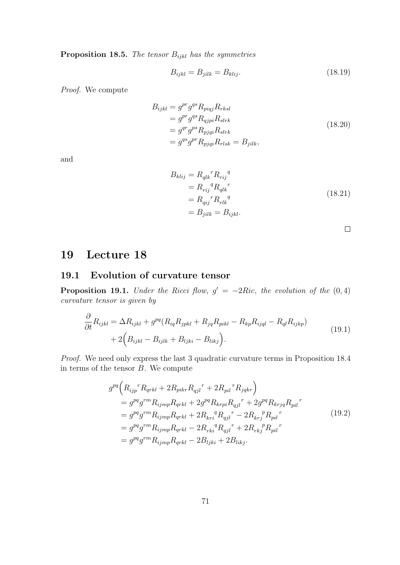**Proposition 18.5.** The tensor  $B_{ijkl}$  has the symmetries

$$
B_{ijkl} = B_{jilk} = B_{klij}.\tag{18.19}
$$

Proof. We compute

$$
B_{ijkl} = g^{pr} g^{qs} R_{piqj} R_{rksl}
$$
  
\n
$$
= g^{pr} g^{qs} R_{qjpi} R_{slrk}
$$
  
\n
$$
= g^{qr} g^{ps} R_{pjqi} R_{slrk}
$$
  
\n
$$
= g^{qs} g^{pr} R_{pjqi} R_{rlsk} = B_{jilk},
$$
  
\n(18.20)

and

$$
B_{klij} = R_{qlk}^{\ \ r} R_{rij}^{\ q}
$$
  
\n
$$
= R_{rij}^{\ \ q} R_{qlk}^{\ \ r}
$$
  
\n
$$
= R_{qij}^{\ \ r} R_{rlk}^{\ \ q}
$$
  
\n
$$
= B_{jilk} = B_{ijkl}.
$$
  
\n(18.21)

# 19 Lecture 18

### 19.1 Evolution of curvature tensor

**Proposition 19.1.** Under the Ricci flow,  $g' = -2Ric$ , the evolution of the  $(0, 4)$ curvature tensor is given by

$$
\frac{\partial}{\partial t} R_{ijkl} = \Delta R_{ijkl} + g^{pq} (R_{iq} R_{jpkl} + R_{jq} R_{pikl} - R_{kp} R_{ijql} - R_{ql} R_{ijkp})
$$
\n
$$
+ 2 \Big( B_{ijkl} - B_{ijlk} + B_{ljki} - B_{likj} \Big). \tag{19.1}
$$

Proof. We need only express the last 3 quadratic curvature terms in Proposition 18.4 in terms of the tensor  $B$ . We compute

$$
g^{pq}\left(R_{ijp}{}^{r}R_{qrkl} + 2R_{pikr}R_{qjl}{}^{r} + 2R_{pil}{}^{r}R_{jqkr}\right)
$$
  
\n
$$
= g^{pq}g^{rm}R_{ijmp}R_{qrkl} + 2g^{pq}R_{krpi}R_{qjl}{}^{r} + 2g^{pq}R_{krjq}R_{pil}{}^{r}
$$
  
\n
$$
= g^{pq}g^{rm}R_{ijmp}R_{qrkl} + 2R_{kr}{}^{q}R_{qjl}{}^{r} - 2R_{kr}{}^{p}R_{pil}{}^{r}
$$
  
\n
$$
= g^{pq}g^{rm}R_{ijmp}R_{qrkl} - 2R_{rk}{}^{q}R_{qjl}{}^{r} + 2R_{rk}{}^{p}R_{pil}{}^{r}
$$
  
\n
$$
= g^{pq}g^{rm}R_{ijmp}R_{qrkl} - 2B_{ljki} + 2B_{likj}.
$$
  
\n(19.2)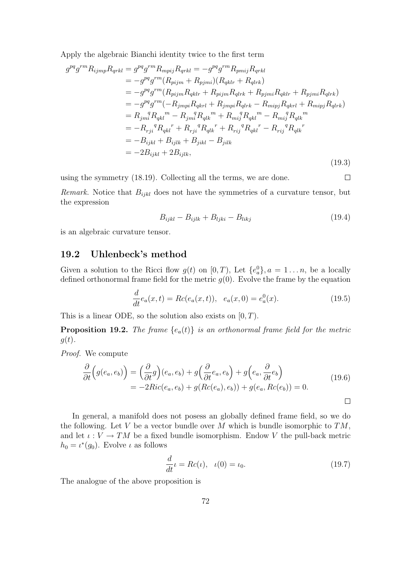Apply the algebraic Bianchi identity twice to the first term

$$
g^{pq}g^{rm}R_{ijmp}R_{qrkl} = g^{pq}g^{rm}R_{mpij}R_{qrkl} = -g^{pq}g^{rm}R_{pmij}R_{qrkl}
$$
  
\n
$$
= -g^{pq}g^{rm}(R_{pijm} + R_{pjmi})(R_{qklr} + R_{qlrk})
$$
  
\n
$$
= -g^{pq}g^{rm}(R_{pijm}R_{qklr} + R_{pjmi}R_{qlrk} + R_{pjmi}R_{qklr} + R_{pjmi}R_{qlrk})
$$
  
\n
$$
= -g^{pq}g^{rm}(-R_{jmpi}R_{qklr} + R_{jmpi}R_{qlrk} - R_{mipj}R_{qklr} + R_{mipj}R_{qlrk})
$$
  
\n
$$
= R_{jm}^qR_{qkl}^m - R_{jm}^qR_{qlk}^m + R_{mj}^qR_{qkl}^m - R_{mj}^qR_{qlk}^m
$$
  
\n
$$
= -R_{rji}^qR_{qkl}^r + R_{rji}^qR_{qlk}^r + R_{rij}^qR_{qkl}^r - R_{rij}^qR_{qlk}^r
$$
  
\n
$$
= -B_{ijkl} + B_{ijlk} + B_{jikl} - B_{jilk}
$$
  
\n
$$
= -2B_{ijkl} + 2B_{ijlk},
$$
  
\n(19.3)

using the symmetry (18.19). Collecting all the terms, we are done.

*Remark.* Notice that  $B_{ijkl}$  does not have the symmetries of a curvature tensor, but the expression

$$
B_{ijkl} - B_{ijlk} + B_{ljki} - B_{likj}
$$
\n
$$
(19.4)
$$

is an algebraic curvature tensor.

#### 19.2 Uhlenbeck's method

Given a solution to the Ricci flow  $g(t)$  on  $[0, T)$ , Let  $\{e_a^0\}$ ,  $a = 1...n$ , be a locally defined orthonormal frame field for the metric  $g(0)$ . Evolve the frame by the equation

$$
\frac{d}{dt}e_a(x,t) = Rc(e_a(x,t)), \quad e_a(x,0) = e_a^0(x). \tag{19.5}
$$

This is a linear ODE, so the solution also exists on  $[0, T)$ .

**Proposition 19.2.** The frame  ${e_a(t)}$  is an orthonormal frame field for the metric  $g(t)$ .

Proof. We compute

$$
\frac{\partial}{\partial t}\Big(g(e_a, e_b)\Big) = \Big(\frac{\partial}{\partial t}g\Big)(e_a, e_b) + g\Big(\frac{\partial}{\partial t}e_a, e_b\Big) + g\Big(e_a, \frac{\partial}{\partial t}e_b\Big) \n= -2Ric(e_a, e_b) + g(Rc(e_a), e_b)) + g(e_a, Rc(e_b)) = 0.
$$
\n(19.6)

 $\Box$ 

 $\Box$ 

In general, a manifold does not posess an globally defined frame field, so we do the following. Let V be a vector bundle over M which is bundle isomorphic to  $TM$ , and let  $\iota: V \to TM$  be a fixed bundle isomorphism. Endow V the pull-back metric  $h_0 = \iota^*(g_0)$ . Evolve  $\iota$  as follows

$$
\frac{d}{dt}\iota = Rc(\iota), \quad \iota(0) = \iota_0. \tag{19.7}
$$

The analogue of the above proposition is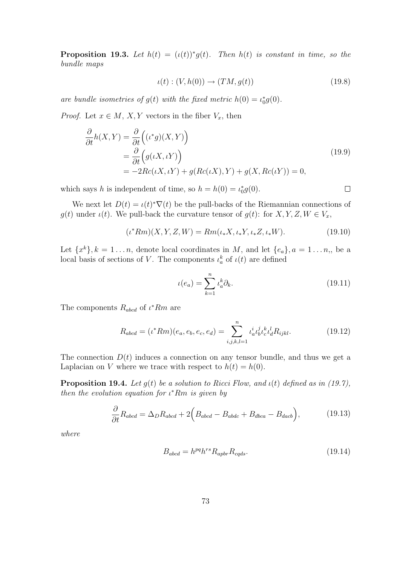**Proposition 19.3.** Let  $h(t) = (h(t))^* g(t)$ . Then  $h(t)$  is constant in time, so the bundle maps

$$
\iota(t) : (V, h(0)) \to (TM, g(t)) \tag{19.8}
$$

are bundle isometries of  $g(t)$  with the fixed metric  $h(0) = \iota_0^* g(0)$ .

*Proof.* Let  $x \in M$ ,  $X, Y$  vectors in the fiber  $V_x$ , then

$$
\frac{\partial}{\partial t}h(X,Y) = \frac{\partial}{\partial t} ((\iota^*g)(X,Y))
$$
\n
$$
= \frac{\partial}{\partial t} (g(\iota X, \iota Y))
$$
\n
$$
= -2Rc(\iota X, \iota Y) + g(Rc(\iota X), Y) + g(X, Rc(\iota Y)) = 0,
$$
\n(19.9)

which says h is independent of time, so  $h = h(0) = \iota_0^* g(0)$ .

We next let  $D(t) = \iota(t)^* \nabla(t)$  be the pull-backs of the Riemannian connections of  $g(t)$  under  $\iota(t)$ . We pull-back the curvature tensor of  $g(t)$ : for  $X, Y, Z, W \in V_x$ ,

$$
(\iota^* Rm)(X, Y, Z, W) = Rm(\iota_* X, \iota_* Y, \iota_* Z, \iota_* W). \tag{19.10}
$$

Let  $\{x^k\}, k = 1 \ldots n$ , denote local coordinates in M, and let  $\{e_a\}, a = 1 \ldots n$ , be a local basis of sections of V. The components  $\iota_a^k$  of  $\iota(t)$  are defined

$$
\iota(e_a) = \sum_{k=1}^n \iota_a^k \partial_k.
$$
\n(19.11)

 $\Box$ 

The components  $R_{abcd}$  of  $\iota^* Rm$  are

$$
R_{abcd} = (\iota^* Rm)(e_a, e_b, e_c, e_d) = \sum_{i,j,k,l=1}^n \iota_a^i \iota_b^j \iota_c^k \iota_d^l R_{ijkl}.
$$
 (19.12)

The connection  $D(t)$  induces a connection on any tensor bundle, and thus we get a Laplacian on V where we trace with respect to  $h(t) = h(0)$ .

**Proposition 19.4.** Let  $g(t)$  be a solution to Ricci Flow, and  $\iota(t)$  defined as in (19.7), then the evolution equation for  $\iota^* Rm$  is given by

$$
\frac{\partial}{\partial t} R_{abcd} = \Delta_D R_{abcd} + 2 \Big( B_{abcd} - B_{abdc} + B_{dbca} - B_{dacb} \Big), \tag{19.13}
$$

where

$$
B_{abcd} = h^{pq} h^{rs} R_{apbr} R_{c q ds}.
$$
\n(19.14)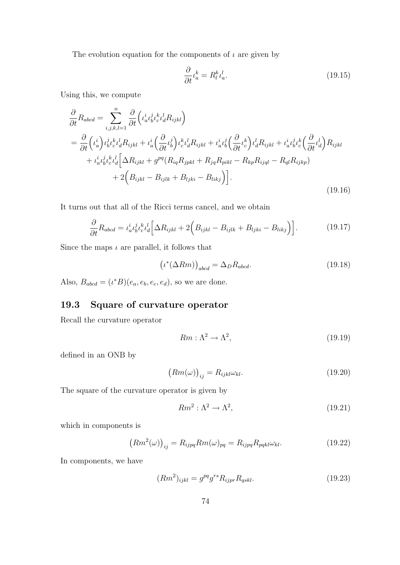The evolution equation for the components of  $\iota$  are given by

$$
\frac{\partial}{\partial t} \iota_a^k = R_l^k \iota_a^l. \tag{19.15}
$$

Using this, we compute

$$
\frac{\partial}{\partial t} R_{abcd} = \sum_{i,j,k,l=1}^{n} \frac{\partial}{\partial t} \left( \iota_a^i \iota_b^j \iota_c^k \iota_d^l R_{ijkl} \right)
$$
\n
$$
= \frac{\partial}{\partial t} \left( \iota_a^i \right) \iota_b^j \iota_c^k \iota_d^l R_{ijkl} + \iota_a^i \left( \frac{\partial}{\partial t} \iota_b^i \right) \iota_c^k \iota_d^l R_{ijkl} + \iota_a^i \iota_b^j \left( \frac{\partial}{\partial t} \iota_c^k \right) \iota_d^l R_{ijkl} + \iota_a^i \iota_b^j \iota_c^k \left( \frac{\partial}{\partial t} \iota_d^l \right) R_{ijkl}
$$
\n
$$
+ \iota_a^i \iota_b^j \iota_c^k \iota_d^l \left[ \Delta R_{ijkl} + g^{pq} (R_{iq} R_{jpkl} + R_{jq} R_{pikl} - R_{kp} R_{ijql} - R_{ql} R_{ijkp}) \right]
$$
\n
$$
+ 2 \left( B_{ijkl} - B_{ijlk} + B_{ljki} - B_{likj} \right) \bigg].
$$
\n(19.16)

It turns out that all of the Ricci terms cancel, and we obtain

$$
\frac{\partial}{\partial t} R_{abcd} = \iota_a^i \iota_b^j \iota_c^k \iota_d^l \left[ \Delta R_{ijkl} + 2 \left( B_{ijkl} - B_{ijlk} + B_{ljki} - B_{likj} \right) \right]. \tag{19.17}
$$

Since the maps  $\iota$  are parallel, it follows that

$$
\left(\iota^*(\Delta Rm)\right)_{abcd} = \Delta_D R_{abcd}.\tag{19.18}
$$

Also,  $B_{abcd} = (i^*B)(e_a, e_b, e_c, e_d)$ , so we are done.

## 19.3 Square of curvature operator

Recall the curvature operator

$$
Rm: \Lambda^2 \to \Lambda^2,\tag{19.19}
$$

defined in an ONB by

$$
(Rm(\omega))_{ij} = R_{ijkl}\omega_{kl}.
$$
\n(19.20)

The square of the curvature operator is given by

$$
Rm^2: \Lambda^2 \to \Lambda^2,\tag{19.21}
$$

which in components is

$$
(Rm^2(\omega))_{ij} = R_{ijpq}Rm(\omega)_{pq} = R_{ijpq}R_{pqkl}\omega_{kl}.
$$
 (19.22)

In components, we have

$$
(Rm2)ijkl = gpqgrsRijprRqskl.
$$
 (19.23)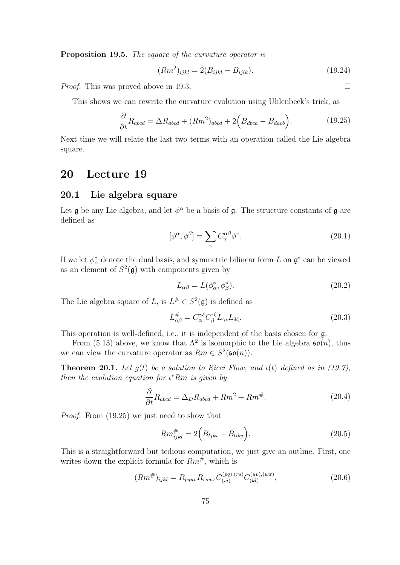Proposition 19.5. The square of the curvature operator is

$$
(Rm2)ijkl = 2(Bijkl - Bijlk).
$$
 (19.24)

Proof. This was proved above in 19.3.

This shows we can rewrite the curvature evolution using Uhlenbeck's trick, as

$$
\frac{\partial}{\partial t} R_{abcd} = \Delta R_{abcd} + (Rm^2)_{abcd} + 2\Big(B_{dbca} - B_{dacb}\Big). \tag{19.25}
$$

Next time we will relate the last two terms with an operation called the Lie algebra square.

# 20 Lecture 19

#### 20.1 Lie algebra square

Let  $\mathfrak g$  be any Lie algebra, and let  $\phi^\alpha$  be a basis of  $\mathfrak g$ . The structure constants of  $\mathfrak g$  are defined as

$$
[\phi^{\alpha}, \phi^{\beta}] = \sum_{\gamma} C^{\alpha \beta}_{\gamma} \phi^{\gamma}.
$$
 (20.1)

If we let  $\phi_{\alpha}^*$  denote the dual basis, and symmetric bilinear form L on  $\mathfrak{g}^*$  can be viewed as an element of  $S^2(\mathfrak{g})$  with components given by

$$
L_{\alpha\beta} = L(\phi_{\alpha}^*, \phi_{\beta}^*). \tag{20.2}
$$

The Lie algebra square of L, is  $L^{\#} \in S^2(\mathfrak{g})$  is defined as

$$
L_{\alpha\beta}^{\#} = C_{\alpha}^{\gamma\delta} C_{\beta}^{\epsilon\zeta} L_{\gamma\epsilon} L_{\delta\zeta}.
$$
\n(20.3)

This operation is well-defined, i.e., it is independent of the basis chosen for g.

From (5.13) above, we know that  $\Lambda^2$  is isomorphic to the Lie algebra  $\mathfrak{so}(n)$ , thus we can view the curvature operator as  $Rm \in S^2(\mathfrak{so}(n)).$ 

**Theorem 20.1.** Let  $g(t)$  be a solution to Ricci Flow, and  $\iota(t)$  defined as in (19.7), then the evolution equation for  $\iota^* Rm$  is given by

$$
\frac{\partial}{\partial t}R_{abcd} = \Delta_D R_{abcd} + Rm^2 + Rm^{\#}.
$$
 (20.4)

Proof. From (19.25) we just need to show that

$$
Rm_{ijkl}^{\#} = 2\Big(B_{ljki} - B_{likj}\Big). \tag{20.5}
$$

This is a straightforward but tedious computation, we just give an outline. First, one writes down the explicit formula for  $Rm^{\#}$ , which is

$$
(Rm^{\#})_{ijkl} = R_{pquv} R_{rswx} C_{(ij)}^{(pq),(rs)} C_{(kl)}^{(uv),(wx)}, \qquad (20.6)
$$

 $\Box$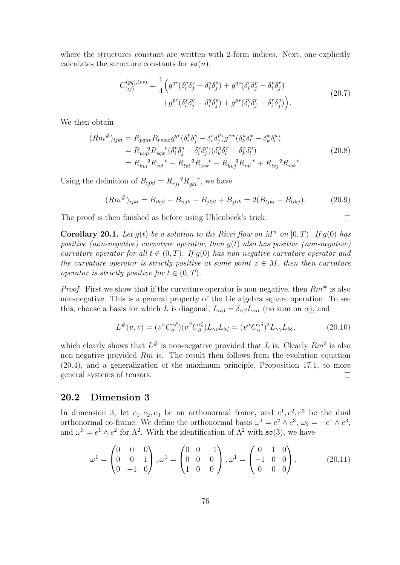where the structures constant are written with 2-form indices. Next, one explicitly calculates the structure constants for  $\mathfrak{so}(n)$ ,

$$
C_{(ij)}^{(pq),(rs)} = \frac{1}{4} \Big( g^{qr} (\delta_i^p \delta_j^s - \delta_i^s \delta_j^p) + g^{qs} (\delta_i^r \delta_j^p - \delta_i^p \delta_j^r) + g^{pr} (\delta_i^s \delta_j^q - \delta_i^q \delta_j^s) + g^{ps} (\delta_i^q \delta_j^r - \delta_i^r \delta_j^q) \Big).
$$
(20.7)

We then obtain

$$
(Rm^{\#})_{ijkl} = R_{pquv} R_{rswx} g^{qr} (\delta_i^p \delta_j^s - \delta_i^s \delta_j^p) g^{vw} (\delta_k^u \delta_l^x - \delta_k^x \delta_l^u) = R_{uvp}^q R_{sqx}^{\quad v} (\delta_i^p \delta_j^s - \delta_i^s \delta_j^p) (\delta_k^u \delta_l^x - \delta_k^x \delta_l^u) = R_{kvi}^{\quad q} R_{jql}^{\quad v} - R_{lvi}^{\quad q} R_{jqk}^{\quad v} - R_{kvj}^{\quad q} R_{iql}^{\quad v} + R_{lvj}^{\quad q} R_{iqk}^{\quad v}.
$$
 (20.8)

Using the definition of  $B_{ijkl} = R_{rji}{}^q R_{qkl}{}^r$ , we have

$$
(Rm^{\#})_{ijkl} = B_{ikjl} - B_{iljk} - B_{jkil} + B_{jlik} = 2(B_{ljki} - B_{likj}).
$$
 (20.9)

 $\Box$ 

The proof is then finished as before using Uhlenbeck's trick.

**Corollary 20.1.** Let  $q(t)$  be a solution to the Ricci flow on  $M^n$  on  $[0, T)$ . If  $q(0)$  has positive (non-negative) curvature operator, then  $q(t)$  also has positive (non-negative) curvature operator for all  $t \in (0, T)$ . If  $q(0)$  has non-negative curvature operator and the curvature operator is strictly positive at some point  $x \in M$ , then then curvature operator is strictly positive for  $t \in (0, T)$ .

*Proof.* First we show that if the curvature operator is non-negative, then  $Rm^{\#}$  is also non-negative. This is a general property of the Lie algebra square operation. To see this, choose a basis for which L is diagonal,  $L_{\alpha\beta} = \delta_{\alpha\beta} L_{\alpha\alpha}$  (no sum on  $\alpha$ ), and

$$
L^{\#}(v,v) = (v^{\alpha} C_{\alpha}^{\gamma\delta})(v^{\beta} C_{\beta}^{\epsilon\zeta}) L_{\gamma\epsilon} L_{\delta\zeta} = (v^{\alpha} C_{\alpha}^{\gamma\delta})^2 L_{\gamma\gamma} L_{\delta\delta}, \qquad (20.10)
$$

which clearly shows that  $L^{\#}$  is non-negative provided that L is. Clearly  $Rm^2$  is also non-negative provided  $Rm$  is. The result then follows from the evolution equation (20.4), and a generalization of the maximum principle, Proposition 17.1, to more general systems of tensors.  $\Box$ 

## 20.2 Dimension 3

In dimension 3, let  $e_1, e_2, e_3$  be an orthonormal frame, and  $e^1, e^2, e^3$  be the dual orthonormal co-frame. We define the orthonormal basis  $\omega^1 = e^2 \wedge e^3$ ,  $\omega_2 = -e^1 \wedge e^3$ , and  $\omega^3 = e^1 \wedge e^2$  for  $\Lambda^2$ . With the identification of  $\Lambda^2$  with  $\mathfrak{so}(3)$ , we have

$$
\omega^1 = \begin{pmatrix} 0 & 0 & 0 \\ 0 & 0 & 1 \\ 0 & -1 & 0 \end{pmatrix}, \omega^1 = \begin{pmatrix} 0 & 0 & -1 \\ 0 & 0 & 0 \\ 1 & 0 & 0 \end{pmatrix}, \omega^1 = \begin{pmatrix} 0 & 1 & 0 \\ -1 & 0 & 0 \\ 0 & 0 & 0 \end{pmatrix}.
$$
 (20.11)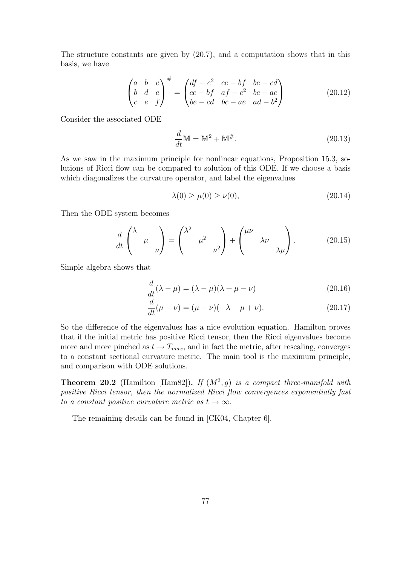The structure constants are given by (20.7), and a computation shows that in this basis, we have

$$
\begin{pmatrix} a & b & c \\ b & d & e \\ c & e & f \end{pmatrix}^{\#} = \begin{pmatrix} df - e^2 & ce - bf & be - cd \\ ce - bf & af - c^2 & bc - ae \\ be - cd & bc - ae & ad - b^2 \end{pmatrix}
$$
 (20.12)

Consider the associated ODE

$$
\frac{d}{dt}\mathbb{M} = \mathbb{M}^2 + \mathbb{M}^\#.
$$
\n(20.13)

As we saw in the maximum principle for nonlinear equations, Proposition 15.3, solutions of Ricci flow can be compared to solution of this ODE. If we choose a basis which diagonalizes the curvature operator, and label the eigenvalues

$$
\lambda(0) \ge \mu(0) \ge \nu(0),\tag{20.14}
$$

Then the ODE system becomes

$$
\frac{d}{dt}\begin{pmatrix} \lambda & & \\ & \mu & \\ & & \nu \end{pmatrix} = \begin{pmatrix} \lambda^2 & & \\ & \mu^2 & \\ & & \nu^2 \end{pmatrix} + \begin{pmatrix} \mu\nu & & \\ & \lambda\nu & \\ & & \lambda\mu \end{pmatrix} . \tag{20.15}
$$

Simple algebra shows that

$$
\frac{d}{dt}(\lambda - \mu) = (\lambda - \mu)(\lambda + \mu - \nu)
$$
\n(20.16)

$$
\frac{d}{dt}(\mu - \nu) = (\mu - \nu)(-\lambda + \mu + \nu).
$$
 (20.17)

So the difference of the eigenvalues has a nice evolution equation. Hamilton proves that if the initial metric has positive Ricci tensor, then the Ricci eigenvalues become more and more pinched as  $t \to T_{max}$ , and in fact the metric, after rescaling, converges to a constant sectional curvature metric. The main tool is the maximum principle, and comparison with ODE solutions.

**Theorem 20.2** (Hamilton [Ham82]). If  $(M^3, g)$  is a compact three-manifold with positive Ricci tensor, then the normalized Ricci flow convergences exponentially fast to a constant positive curvature metric as  $t \to \infty$ .

The remaining details can be found in [CK04, Chapter 6].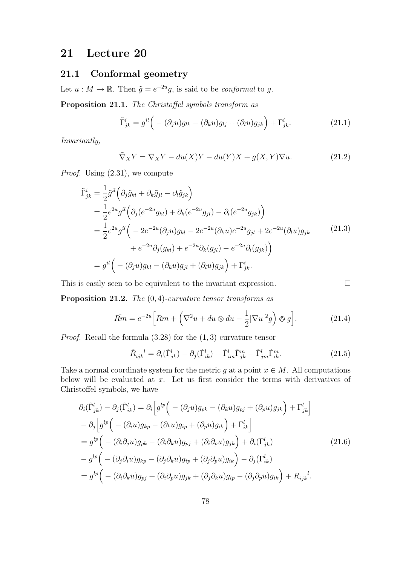# 21 Lecture 20

## 21.1 Conformal geometry

Let  $u : M \to \mathbb{R}$ . Then  $\tilde{g} = e^{-2u}g$ , is said to be *conformal* to g.

Proposition 21.1. The Christoffel symbols transform as

$$
\tilde{\Gamma}^i_{jk} = g^{il} \Big( - (\partial_j u) g_{lk} - (\partial_k u) g_{lj} + (\partial_l u) g_{jk} \Big) + \Gamma^i_{jk}.
$$
\n(21.1)

Invariantly,

$$
\tilde{\nabla}_X Y = \nabla_X Y - du(X)Y - du(Y)X + g(X,Y)\nabla u.
$$
\n(21.2)

Proof. Using (2.31), we compute

$$
\tilde{\Gamma}^{i}_{jk} = \frac{1}{2} \tilde{g}^{il} \left( \partial_{j} \tilde{g}_{kl} + \partial_{k} \tilde{g}_{jl} - \partial_{l} \tilde{g}_{jk} \right)
$$
\n
$$
= \frac{1}{2} e^{2u} g^{il} \left( \partial_{j} (e^{-2u} g_{kl}) + \partial_{k} (e^{-2u} g_{jl}) - \partial_{l} (e^{-2u} g_{jk}) \right)
$$
\n
$$
= \frac{1}{2} e^{2u} g^{il} \left( -2e^{-2u} (\partial_{j} u) g_{kl} - 2e^{-2u} (\partial_{k} u) e^{-2u} g_{jl} + 2e^{-2u} (\partial_{l} u) g_{jk} \right)
$$
\n
$$
+ e^{-2u} \partial_{j} (g_{kl}) + e^{-2u} \partial_{k} (g_{jl}) - e^{-2u} \partial_{l} (g_{jk}) \right)
$$
\n
$$
= g^{il} \left( -(\partial_{j} u) g_{kl} - (\partial_{k} u) g_{jl} + (\partial_{l} u) g_{jk} \right) + \Gamma^{i}_{jk}.
$$
\n(21.3)

This is easily seen to be equivalent to the invariant expression.

**Proposition 21.2.** The  $(0, 4)$ -curvature tensor transforms as

$$
\tilde{Rm} = e^{-2u} \Big[ Rm + \left( \nabla^2 u + du \otimes du - \frac{1}{2} |\nabla u|^2 g \right) \otimes g \Big]. \tag{21.4}
$$

*Proof.* Recall the formula  $(3.28)$  for the  $(1, 3)$  curvature tensor

$$
\tilde{R}_{ijk}^{l} = \partial_i(\tilde{\Gamma}_{jk}^l) - \partial_j(\tilde{\Gamma}_{ik}^l) + \tilde{\Gamma}_{im}^l \tilde{\Gamma}_{jk}^m - \tilde{\Gamma}_{jm}^l \tilde{\Gamma}_{ik}^m.
$$
\n(21.5)

 $\Box$ 

Take a normal coordinate system for the metric g at a point  $x \in M$ . All computations below will be evaluated at  $x$ . Let us first consider the terms with derivatives of Christoffel symbols, we have

$$
\partial_i(\tilde{\Gamma}^l_{jk}) - \partial_j(\tilde{\Gamma}^l_{ik}) = \partial_i \Big[ g^{lp} \Big( -(\partial_j u) g_{pk} - (\partial_k u) g_{pj} + (\partial_p u) g_{jk} \Big) + \Gamma^l_{jk} \Big] \n- \partial_j \Big[ g^{lp} \Big( -(\partial_i u) g_{kp} - (\partial_k u) g_{ip} + (\partial_p u) g_{ik} \Big) + \Gamma^l_{ik} \Big] \n= g^{lp} \Big( -(\partial_i \partial_j u) g_{pk} - (\partial_i \partial_k u) g_{pj} + (\partial_i \partial_p u) g_{jk} \Big) + \partial_i(\Gamma^l_{jk}) \n- g^{lp} \Big( -(\partial_j \partial_i u) g_{kp} - (\partial_j \partial_k u) g_{ip} + (\partial_j \partial_p u) g_{ik} \Big) - \partial_j(\Gamma^l_{ik}) \n= g^{lp} \Big( -(\partial_i \partial_k u) g_{pj} + (\partial_i \partial_p u) g_{jk} + (\partial_j \partial_k u) g_{ip} - (\partial_j \partial_p u) g_{ik} \Big) + R_{ijk}^l.
$$
\n
$$
(21.6)
$$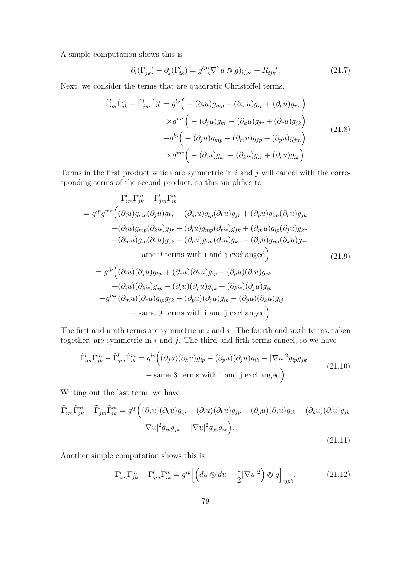A simple computation shows this is

$$
\partial_i(\tilde{\Gamma}^l_{jk}) - \partial_j(\tilde{\Gamma}^l_{ik}) = g^{lp}(\nabla^2 u \otimes g)_{ijpk} + R_{ijk}^{\quad l}.
$$
 (21.7)

Next, we consider the terms that are quadratic Christoffel terms.

$$
\tilde{\Gamma}^l_{im}\tilde{\Gamma}^m_{jk} - \tilde{\Gamma}^l_{jm}\tilde{\Gamma}^m_{ik} = g^{lp} \Big( -(\partial_i u)g_{mp} - (\partial_m u)g_{ip} + (\partial_p u)g_{im} \Big) \times g^{mr} \Big( -(\partial_j u)g_{kr} - (\partial_k u)g_{jr} + (\partial_r u)g_{jk} \Big) \n-g^{lp} \Big( -(\partial_j u)g_{mp} - (\partial_m u)g_{jp} + (\partial_p u)g_{jm} \Big) \times g^{mr} \Big( -(\partial_i u)g_{kr} - (\partial_k u)g_{ir} + (\partial_r u)g_{ik} \Big).
$$
\n(21.8)

Terms in the first product which are symmetric in  $i$  and  $j$  will cancel with the corresponding terms of the second product, so this simplifies to

$$
\tilde{\Gamma}_{im}^{l}\tilde{\Gamma}_{jk}^{m} - \tilde{\Gamma}_{jm}^{l}\tilde{\Gamma}_{ik}^{m}
$$
\n
$$
= g^{lp}g^{mr} \Big( (\partial_{i}u)g_{mp}(\partial_{j}u)g_{kr} + (\partial_{m}u)g_{ip}(\partial_{k}u)g_{jr} + (\partial_{p}u)g_{im}(\partial_{r}u)g_{jk} + (\partial_{i}u)g_{mp}(\partial_{k}u)g_{jr} - (\partial_{i}u)g_{mp}(\partial_{r}u)g_{jk} + (\partial_{m}u)g_{ip}(\partial_{j}u)g_{kr} - (\partial_{m}u)g_{ip}(\partial_{r}u)g_{jk} - (\partial_{p}u)g_{im}(\partial_{j}u)g_{kr} - (\partial_{p}u)g_{im}(\partial_{k}u)g_{jr} - \text{same 9 terms with i and j exchanged} \Big) \qquad (21.9)
$$
\n
$$
= g^{lp} \Big( (\partial_{i}u)(\partial_{j}u)g_{kp} + (\partial_{j}u)(\partial_{k}u)g_{ip} + (\partial_{p}u)(\partial_{i}u)g_{jk} + (\partial_{i}u)(\partial_{i}u)g_{jp} - (\partial_{i}u)(\partial_{p}u)g_{jk} + (\partial_{k}u)(\partial_{j}u)g_{ip} - g^{mr}(\partial_{m}u)(\partial_{r}u)g_{ip}g_{jk} - (\partial_{p}u)(\partial_{j}u)g_{ik} - (\partial_{p}u)(\partial_{k}u)g_{ij} - \text{same 9 terms with i and j exchanged} \Big)
$$

The first and ninth terms are symmetric in  $i$  and  $j$ . The fourth and sixth terms, taken together, are symmetric in  $i$  and  $j$ . The third and fifth terms cancel, so we have

$$
\tilde{\Gamma}_{im}^{l}\tilde{\Gamma}_{jk}^{m} - \tilde{\Gamma}_{jm}^{l}\tilde{\Gamma}_{ik}^{m} = g^{lp}((\partial_j u)(\partial_k u)g_{ip} - (\partial_p u)(\partial_j u)g_{ik} - |\nabla u|^2 g_{ip}g_{jk}
$$
\n
$$
-\text{ same 3 terms with i and j exchanged}\bigg). \tag{21.10}
$$

Writing out the last term, we have

$$
\tilde{\Gamma}_{im}^l \tilde{\Gamma}_{jk}^m - \tilde{\Gamma}_{jm}^l \tilde{\Gamma}_{ik}^m = g^{lp} \Big( (\partial_j u)(\partial_k u) g_{ip} - (\partial_i u)(\partial_k u) g_{jp} - (\partial_p u)(\partial_j u) g_{ik} + (\partial_p u)(\partial_i u) g_{jk} - |\nabla u|^2 g_{ip} g_{jk} + |\nabla u|^2 g_{jp} g_{ik} \Big). \tag{21.11}
$$

Another simple computation shows this is

$$
\tilde{\Gamma}_{im}^l \tilde{\Gamma}_{jk}^m - \tilde{\Gamma}_{jm}^l \tilde{\Gamma}_{ik}^m = g^{lp} \left[ \left( du \otimes du - \frac{1}{2} |\nabla u|^2 \right) \otimes g \right]_{ijpk}.
$$
\n(21.12)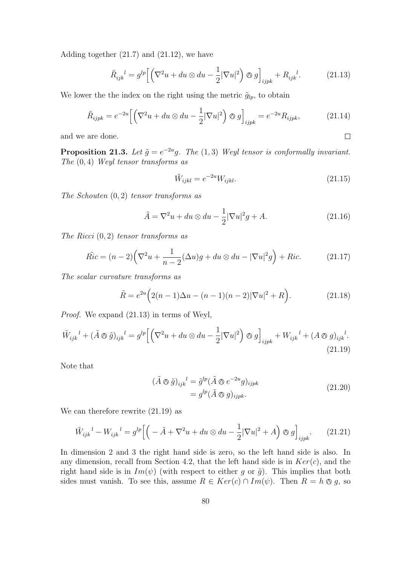Adding together (21.7) and (21.12), we have

$$
\tilde{R}_{ijk}^{\quad l} = g^{lp} \left[ \left( \nabla^2 u + du \otimes du - \frac{1}{2} |\nabla u|^2 \right) \otimes g \right]_{ijpk} + R_{ijk}^{\quad l}.\tag{21.13}
$$

We lower the the index on the right using the metric  $\tilde{g}_{lp}$ , to obtain

$$
\tilde{R}_{ijpk} = e^{-2u} \left[ \left( \nabla^2 u + du \otimes du - \frac{1}{2} |\nabla u|^2 \right) \otimes g \right]_{ijpk} = e^{-2u} R_{ijpk}, \tag{21.14}
$$

and we are done.

**Proposition 21.3.** Let  $\tilde{g} = e^{-2u}g$ . The (1,3) Weyl tensor is conformally invariant. The (0, 4) Weyl tensor transforms as

$$
\tilde{W}_{ijkl} = e^{-2u} W_{ijkl}.
$$
\n
$$
(21.15)
$$

 $\Box$ 

The Schouten  $(0, 2)$  tensor transforms as

$$
\tilde{A} = \nabla^2 u + du \otimes du - \frac{1}{2} |\nabla u|^2 g + A.
$$
\n(21.16)

The Ricci  $(0, 2)$  tensor transforms as

$$
\tilde{Ric} = (n-2)\left(\nabla^2 u + \frac{1}{n-2}(\Delta u)g + du \otimes du - |\nabla u|^2 g\right) + Ric.
$$
 (21.17)

The scalar curvature transforms as

$$
\tilde{R} = e^{2u} \Big( 2(n-1)\Delta u - (n-1)(n-2)|\nabla u|^2 + R \Big). \tag{21.18}
$$

Proof. We expand (21.13) in terms of Weyl,

$$
\tilde{W}_{ijk}^l + (\tilde{A} \otimes \tilde{g})_{ijk}^l = g^{lp} \Big[ \Big( \nabla^2 u + du \otimes du - \frac{1}{2} |\nabla u|^2 \Big) \otimes g \Big]_{ijpk} + W_{ijk}^l + (A \otimes g)_{ijk}^l. \tag{21.19}
$$

Note that

$$
(\tilde{A} \otimes \tilde{g})_{ijk}^{\quad l} = \tilde{g}^{lp} (\tilde{A} \otimes e^{-2u} g)_{ijpk}
$$
  
=  $g^{lp} (\tilde{A} \otimes g)_{ijpk}.$  (21.20)

We can therefore rewrite (21.19) as

$$
\tilde{W}_{ijk}^l - W_{ijk}^l = g^{lp} \Big[ \Big( -\tilde{A} + \nabla^2 u + du \otimes du - \frac{1}{2} |\nabla u|^2 + A \Big) \otimes g \Big]_{ijpk} . \tag{21.21}
$$

In dimension 2 and 3 the right hand side is zero, so the left hand side is also. In any dimension, recall from Section 4.2, that the left hand side is in  $Ker(c)$ , and the right hand side is in  $Im(\psi)$  (with respect to either g or  $\tilde{g}$ ). This implies that both sides must vanish. To see this, assume  $R \in Ker(c) \cap Im(\psi)$ . Then  $R = h \otimes g$ , so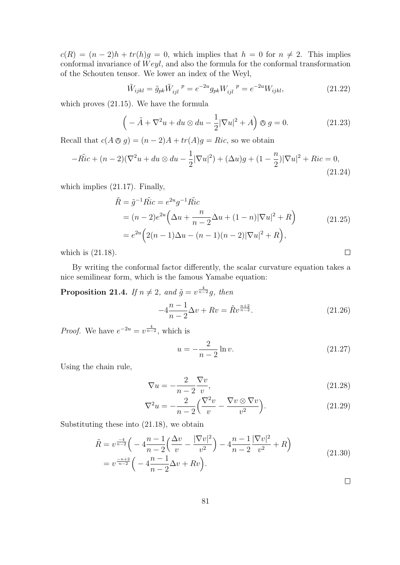$c(R) = (n-2)h + tr(h)g = 0$ , which implies that  $h = 0$  for  $n \neq 2$ . This implies conformal invariance of  $Weyl$ , and also the formula for the conformal transformation of the Schouten tensor. We lower an index of the Weyl,

$$
\tilde{W}_{ijkl} = \tilde{g}_{pk} \tilde{W}_{ijl}^{\ \ p} = e^{-2u} g_{pk} W_{ijl}^{\ \ p} = e^{-2u} W_{ijkl},\tag{21.22}
$$

which proves (21.15). We have the formula

$$
\left(-\tilde{A} + \nabla^2 u + du \otimes du - \frac{1}{2}|\nabla u|^2 + A\right) \otimes g = 0.
$$
 (21.23)

Recall that  $c(A \otimes g) = (n-2)A + tr(A)g = Ric$ , so we obtain

$$
-\tilde{Ric} + (n-2)(\nabla^2 u + du \otimes du - \frac{1}{2}|\nabla u|^2) + (\Delta u)g + (1 - \frac{n}{2})|\nabla u|^2 + Ric = 0,
$$
\n(21.24)

which implies (21.17). Finally,

$$
\tilde{R} = \tilde{g}^{-1} \tilde{Ric} = e^{2u} g^{-1} \tilde{Ric} \n= (n-2)e^{2u} \left( \Delta u + \frac{n}{n-2} \Delta u + (1-n) |\nabla u|^2 + R \right) \n= e^{2u} \left( 2(n-1) \Delta u - (n-1)(n-2) |\nabla u|^2 + R \right),
$$
\n(21.25)

which is (21.18).

By writing the conformal factor differently, the scalar curvature equation takes a nice semilinear form, which is the famous Yamabe equation:

**Proposition 21.4.** If  $n \neq 2$ , and  $\tilde{g} = v^{\frac{4}{n-2}}g$ , then

$$
-4\frac{n-1}{n-2}\Delta v + Rv = \tilde{R}v^{\frac{n+2}{n-2}}.
$$
\n(21.26)

*Proof.* We have  $e^{-2u} = v^{\frac{4}{n-2}}$ , which is

$$
u = -\frac{2}{n-2}\ln v.
$$
 (21.27)

Using the chain rule,

$$
\nabla u = -\frac{2}{n-2} \frac{\nabla v}{v},\tag{21.28}
$$

$$
\nabla^2 u = -\frac{2}{n-2} \left( \frac{\nabla^2 v}{v} - \frac{\nabla v \otimes \nabla v}{v^2} \right).
$$
 (21.29)

Substituting these into (21.18), we obtain

$$
\tilde{R} = v^{\frac{-4}{n-2}} \left( -4 \frac{n-1}{n-2} \left( \frac{\Delta v}{v} - \frac{|\nabla v|^2}{v^2} \right) - 4 \frac{n-1}{n-2} \frac{|\nabla v|^2}{v^2} + R \right)
$$
\n
$$
= v^{\frac{-n+2}{n-2}} \left( -4 \frac{n-1}{n-2} \Delta v + R v \right).
$$
\n(21.30)

 $\Box$ 

 $\Box$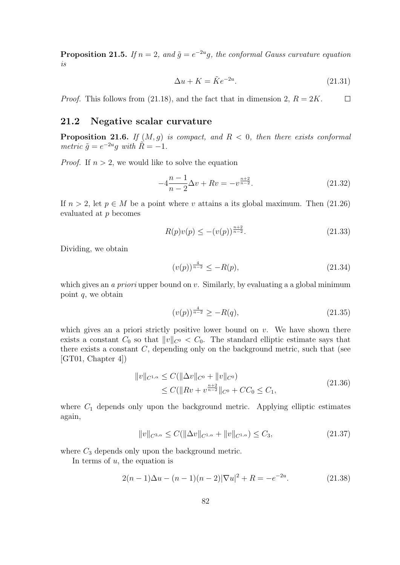**Proposition 21.5.** If  $n = 2$ , and  $\tilde{g} = e^{-2u}g$ , the conformal Gauss curvature equation is

$$
\Delta u + K = \tilde{K}e^{-2u}.\tag{21.31}
$$

*Proof.* This follows from (21.18), and the fact that in dimension 2,  $R = 2K$ .  $\Box$ 

## 21.2 Negative scalar curvature

**Proposition 21.6.** If  $(M, q)$  is compact, and  $R < 0$ , then there exists conformal metric  $\tilde{g} = e^{-2u}g$  with  $\tilde{R} = -1$ .

*Proof.* If  $n > 2$ , we would like to solve the equation

$$
-4\frac{n-1}{n-2}\Delta v + Rv = -v^{\frac{n+2}{n-2}}.\t(21.32)
$$

If  $n > 2$ , let  $p \in M$  be a point where v attains a its global maximum. Then (21.26) evaluated at p becomes

$$
R(p)v(p) \le -(v(p))^{\frac{n+2}{n-2}}.\t(21.33)
$$

Dividing, we obtain

$$
(v(p))^{\frac{4}{n-2}} \le -R(p),\tag{21.34}
$$

which gives an *a priori* upper bound on  $v$ . Similarly, by evaluating a a global minimum point  $q$ , we obtain

$$
(v(p))^{\frac{4}{n-2}} \ge -R(q),\tag{21.35}
$$

which gives an a priori strictly positive lower bound on  $v$ . We have shown there exists a constant  $C_0$  so that  $||v||_{C^0} < C_0$ . The standard elliptic estimate says that there exists a constant  $C$ , depending only on the background metric, such that (see  $[GT01, Chapter 4]$ 

$$
||v||_{C^{1,\alpha}} \leq C(||\Delta v||_{C^0} + ||v||_{C^0})
$$
  
\n
$$
\leq C(||Rv + v^{\frac{n+2}{n-2}}||_{C^0} + CC_0 \leq C_1,
$$
\n(21.36)

where  $C_1$  depends only upon the background metric. Applying elliptic estimates again,

$$
||v||_{C^{3,\alpha}} \le C(||\Delta v||_{C^{1,\alpha}} + ||v||_{C^{1,\alpha}}) \le C_3,
$$
\n(21.37)

where  $C_3$  depends only upon the background metric.

In terms of  $u$ , the equation is

$$
2(n-1)\Delta u - (n-1)(n-2)|\nabla u|^2 + R = -e^{-2u}.
$$
 (21.38)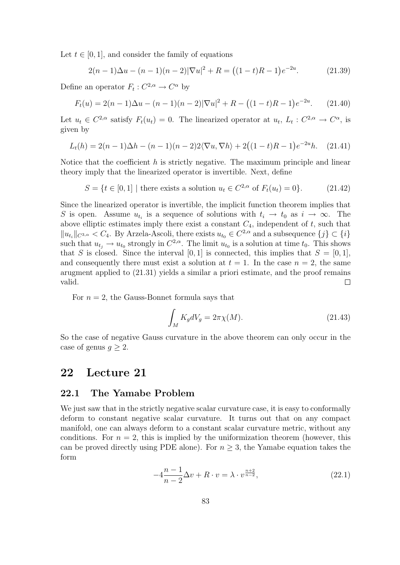Let  $t \in [0, 1]$ , and consider the family of equations

$$
2(n-1)\Delta u - (n-1)(n-2)|\nabla u|^2 + R = ((1-t)R - 1)e^{-2u}.
$$
 (21.39)

Define an operator  $F_t: C^{2,\alpha} \to C^{\alpha}$  by

$$
F_t(u) = 2(n-1)\Delta u - (n-1)(n-2)|\nabla u|^2 + R - ((1-t)R - 1)e^{-2u}.
$$
 (21.40)

Let  $u_t \in C^{2,\alpha}$  satisfy  $F_t(u_t) = 0$ . The linearized operator at  $u_t$ ,  $L_t: C^{2,\alpha} \to C^{\alpha}$ , is given by

$$
L_t(h) = 2(n-1)\Delta h - (n-1)(n-2)2\langle \nabla u, \nabla h \rangle + 2((1-t)R - 1)e^{-2u}h. \quad (21.41)
$$

Notice that the coefficient  $h$  is strictly negative. The maximum principle and linear theory imply that the linearized operator is invertible. Next, define

$$
S = \{ t \in [0, 1] \mid \text{there exists a solution } u_t \in C^{2, \alpha} \text{ of } F_t(u_t) = 0 \}. \tag{21.42}
$$

Since the linearized operator is invertible, the implicit function theorem implies that S is open. Assume  $u_{t_i}$  is a sequence of solutions with  $t_i \to t_0$  as  $i \to \infty$ . The above elliptic estimates imply there exist a constant  $C_4$ , independent of t, such that  $||u_{t_i}||_{C^{3,\alpha}} < C_4$ . By Arzela-Ascoli, there exists  $u_{t_0} \in C^{2,\alpha}$  and a subsequence  $\{j\} \subset \{i\}$ such that  $u_{t_j} \to u_{t_0}$  strongly in  $C^{2,\alpha}$ . The limit  $u_{t_0}$  is a solution at time  $t_0$ . This shows that S is closed. Since the interval [0, 1] is connected, this implies that  $S = [0, 1]$ , and consequently there must exist a solution at  $t = 1$ . In the case  $n = 2$ , the same arugment applied to (21.31) yields a similar a priori estimate, and the proof remains valid.  $\Box$ 

For  $n = 2$ , the Gauss-Bonnet formula says that

$$
\int_{M} K_{g} dV_{g} = 2\pi \chi(M). \tag{21.43}
$$

So the case of negative Gauss curvature in the above theorem can only occur in the case of genus  $q \geq 2$ .

## 22 Lecture 21

#### 22.1 The Yamabe Problem

We just saw that in the strictly negative scalar curvature case, it is easy to conformally deform to constant negative scalar curvature. It turns out that on any compact manifold, one can always deform to a constant scalar curvature metric, without any conditions. For  $n = 2$ , this is implied by the uniformization theorem (however, this can be proved directly using PDE alone). For  $n \geq 3$ , the Yamabe equation takes the form

$$
-4\frac{n-1}{n-2}\Delta v + R \cdot v = \lambda \cdot v^{\frac{n+2}{n-2}},\tag{22.1}
$$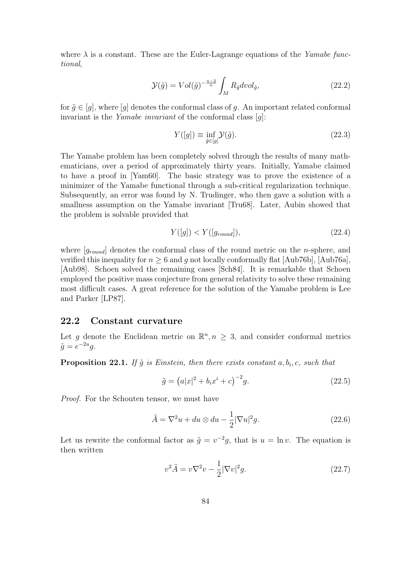where  $\lambda$  is a constant. These are the Euler-Lagrange equations of the Yamabe functional,

$$
\mathcal{Y}(\tilde{g}) = Vol(\tilde{g})^{-\frac{n-2}{n}} \int_{M} R_{\tilde{g}} dvol_{\tilde{g}}, \qquad (22.2)
$$

for  $\tilde{g} \in [g]$ , where  $[g]$  denotes the conformal class of g. An important related conformal invariant is the *Yamabe invariant* of the conformal class  $[q]$ :

$$
Y([g]) \equiv \inf_{\tilde{g} \in [g]} \mathcal{Y}(\tilde{g}).\tag{22.3}
$$

The Yamabe problem has been completely solved through the results of many mathematicians, over a period of approximately thirty years. Initially, Yamabe claimed to have a proof in [Yam60]. The basic strategy was to prove the existence of a minimizer of the Yamabe functional through a sub-critical regularization technique. Subsequently, an error was found by N. Trudinger, who then gave a solution with a smallness assumption on the Yamabe invariant [Tru68]. Later, Aubin showed that the problem is solvable provided that

$$
Y([g]) < Y([g_{round}]),\tag{22.4}
$$

where  $[g_{round}]$  denotes the conformal class of the round metric on the *n*-sphere, and verified this inequality for  $n \geq 6$  and g not locally conformally flat [Aub76b], [Aub76a], [Aub98]. Schoen solved the remaining cases [Sch84]. It is remarkable that Schoen employed the positive mass conjecture from general relativity to solve these remaining most difficult cases. A great reference for the solution of the Yamabe problem is Lee and Parker [LP87].

#### 22.2 Constant curvature

Let g denote the Euclidean metric on  $\mathbb{R}^n, n \geq 3$ , and consider conformal metrics  $\tilde{g} = e^{-2u}g.$ 

**Proposition 22.1.** If  $\tilde{g}$  is Einstein, then there exists constant  $a, b_i, c$ , such that

$$
\tilde{g} = (a|x|^2 + b_i x^i + c)^{-2} g.
$$
\n(22.5)

Proof. For the Schouten tensor, we must have

$$
\tilde{A} = \nabla^2 u + du \otimes du - \frac{1}{2} |\nabla u|^2 g.
$$
\n(22.6)

Let us rewrite the conformal factor as  $\tilde{g} = v^{-2}g$ , that is  $u = \ln v$ . The equation is then written

$$
v^2 \tilde{A} = v \nabla^2 v - \frac{1}{2} |\nabla v|^2 g. \tag{22.7}
$$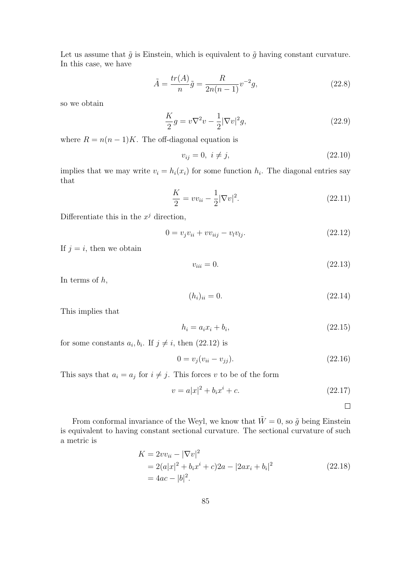Let us assume that  $\tilde{g}$  is Einstein, which is equivalent to  $\tilde{g}$  having constant curvature. In this case, we have

$$
\tilde{A} = \frac{tr(A)}{n}\tilde{g} = \frac{R}{2n(n-1)}v^{-2}g,
$$
\n(22.8)

so we obtain

$$
\frac{K}{2}g = v\nabla^2 v - \frac{1}{2}|\nabla v|^2 g,
$$
\n(22.9)

where  $R = n(n-1)K$ . The off-diagonal equation is

$$
v_{ij} = 0, \ i \neq j,
$$
\n(22.10)

implies that we may write  $v_i = h_i(x_i)$  for some function  $h_i$ . The diagonal entries say that

$$
\frac{K}{2} = v v_{ii} - \frac{1}{2} |\nabla v|^2.
$$
\n(22.11)

Differentiate this in the  $x^j$  direction,

$$
0 = v_j v_{ii} + v v_{iij} - v_i v_{lj}.
$$
\n(22.12)

If  $j = i$ , then we obtain

 $v_{ii} = 0.$  (22.13)

In terms of  $h$ ,

$$
(h_i)_{ii} = 0.\t(22.14)
$$

This implies that

$$
h_i = a_i x_i + b_i, \t\t(22.15)
$$

for some constants  $a_i, b_i$ . If  $j \neq i$ , then  $(22.12)$  is

$$
0 = v_j(v_{ii} - v_{jj}).
$$
\n(22.16)

This says that  $a_i = a_j$  for  $i \neq j$ . This forces v to be of the form

$$
v = a|x|^2 + b_i x^i + c.
$$
 (22.17)

 $\Box$ 

From conformal invariance of the Weyl, we know that  $\tilde{W} = 0$ , so  $\tilde{g}$  being Einstein is equivalent to having constant sectional curvature. The sectional curvature of such a metric is

$$
K = 2vv_{ii} - |\nabla v|^2
$$
  
= 2(a|x|<sup>2</sup> + b<sub>i</sub>x<sup>i</sup> + c)2a - |2ax<sub>i</sub> + b<sub>i</sub>|<sup>2</sup>  
= 4ac - |b|<sup>2</sup>. (22.18)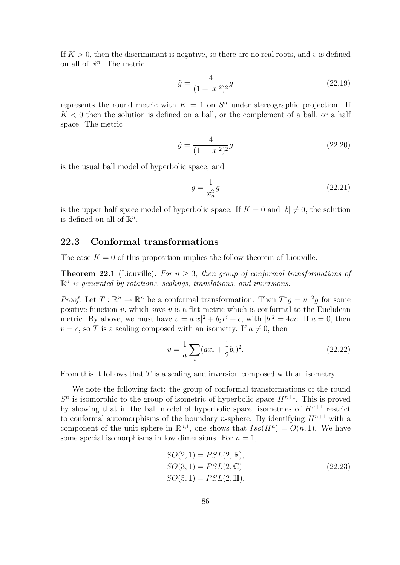If  $K > 0$ , then the discriminant is negative, so there are no real roots, and v is defined on all of  $\mathbb{R}^n$ . The metric

$$
\tilde{g} = \frac{4}{(1+|x|^2)^2}g\tag{22.19}
$$

represents the round metric with  $K = 1$  on  $S<sup>n</sup>$  under stereographic projection. If  $K < 0$  then the solution is defined on a ball, or the complement of a ball, or a half space. The metric

$$
\tilde{g} = \frac{4}{(1 - |x|^2)^2} g \tag{22.20}
$$

is the usual ball model of hyperbolic space, and

$$
\tilde{g} = \frac{1}{x_n^2} g \tag{22.21}
$$

is the upper half space model of hyperbolic space. If  $K = 0$  and  $|b| \neq 0$ , the solution is defined on all of  $\mathbb{R}^n$ .

#### 22.3 Conformal transformations

The case  $K = 0$  of this proposition implies the follow theorem of Liouville.

**Theorem 22.1** (Liouville). For  $n \geq 3$ , then group of conformal transformations of  $\mathbb{R}^n$  is generated by rotations, scalings, translations, and inversions.

*Proof.* Let  $T : \mathbb{R}^n \to \mathbb{R}^n$  be a conformal transformation. Then  $T^*g = v^{-2}g$  for some positive function  $v$ , which says  $v$  is a flat metric which is conformal to the Euclidean metric. By above, we must have  $v = a|x|^2 + b_i x^i + c$ , with  $|b|^2 = 4ac$ . If  $a = 0$ , then  $v = c$ , so T is a scaling composed with an isometry. If  $a \neq 0$ , then

$$
v = \frac{1}{a} \sum_{i} (ax_i + \frac{1}{2}b_i)^2.
$$
 (22.22)

From this it follows that T is a scaling and inversion composed with an isometry.  $\square$ 

We note the following fact: the group of conformal transformations of the round  $S<sup>n</sup>$  is isomorphic to the group of isometric of hyperbolic space  $H<sup>n+1</sup>$ . This is proved by showing that in the ball model of hyperbolic space, isometries of  $H^{n+1}$  restrict to conformal automorphisms of the boundary *n*-sphere. By identifying  $H^{n+1}$  with a component of the unit sphere in  $\mathbb{R}^{n,1}$ , one shows that  $Iso(H^n) = O(n,1)$ . We have some special isomorphisms in low dimensions. For  $n = 1$ ,

$$
SO(2, 1) = PSL(2, \mathbb{R}),\nSO(3, 1) = PSL(2, \mathbb{C})\nSO(5, 1) = PSL(2, \mathbb{H}).
$$
\n(22.23)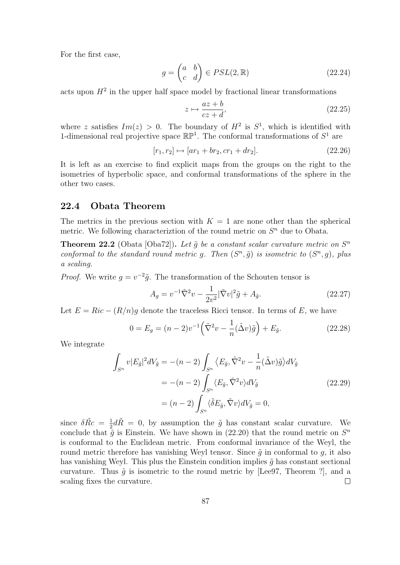For the first case,

$$
g = \begin{pmatrix} a & b \\ c & d \end{pmatrix} \in PSL(2, \mathbb{R})
$$
 (22.24)

acts upon  $H^2$  in the upper half space model by fractional linear transformations

$$
z \mapsto \frac{az+b}{cz+d},\tag{22.25}
$$

where z satisfies  $Im(z) > 0$ . The boundary of  $H^2$  is  $S^1$ , which is identified with 1-dimensional real projective space  $\mathbb{RP}^1$ . The conformal transformations of  $S^1$  are

$$
[r_1, r_2] \mapsto [ar_1 + br_2, cr_1 + dr_2]. \tag{22.26}
$$

It is left as an exercise to find explicit maps from the groups on the right to the isometries of hyperbolic space, and conformal transformations of the sphere in the other two cases.

#### 22.4 Obata Theorem

The metrics in the previous section with  $K = 1$  are none other than the spherical metric. We following characterization of the round metric on  $S<sup>n</sup>$  due to Obata.

**Theorem 22.2** (Obata [Oba72]). Let  $\tilde{g}$  be a constant scalar curvature metric on  $S<sup>n</sup>$ conformal to the standard round metric g. Then  $(S^n, \tilde{g})$  is isometric to  $(S^n, g)$ , plus a scaling.

*Proof.* We write  $g = v^{-2}\tilde{g}$ . The transformation of the Schouten tensor is

$$
A_g = v^{-1}\tilde{\nabla}^2 v - \frac{1}{2v^2} |\tilde{\nabla}v|^2 \tilde{g} + A_{\tilde{g}}.
$$
\n(22.27)

Let  $E = Ric - (R/n)g$  denote the traceless Ricci tensor. In terms of E, we have

$$
0 = E_g = (n-2)v^{-1} \left(\tilde{\nabla}^2 v - \frac{1}{n} (\tilde{\Delta} v) \tilde{g}\right) + E_{\tilde{g}}.
$$
 (22.28)

We integrate

$$
\int_{S^n} v |E_{\tilde{g}}|^2 dV_{\tilde{g}} = -(n-2) \int_{S^n} \left\langle E_{\tilde{g}}, \tilde{\nabla}^2 v - \frac{1}{n} (\tilde{\Delta} v) \tilde{g} \right\rangle dV_{\tilde{g}}
$$
  

$$
= -(n-2) \int_{S^n} \left\langle E_{\tilde{g}}, \tilde{\nabla}^2 v \right\rangle dV_{\tilde{g}}
$$
(22.29)  

$$
= (n-2) \int_{S^n} \left\langle \tilde{\delta} E_{\tilde{g}}, \tilde{\nabla} v \right\rangle dV_{\tilde{g}} = 0,
$$

since  $\delta \tilde{R}c = \frac{1}{2}$  $\frac{1}{2}d\tilde{R} = 0$ , by assumption the  $\tilde{g}$  has constant scalar curvature. We conclude that  $\tilde{g}$  is Einstein. We have shown in (22.20) that the round metric on  $S<sup>n</sup>$ is conformal to the Euclidean metric. From conformal invariance of the Weyl, the round metric therefore has vanishing Weyl tensor. Since  $\tilde{q}$  in conformal to q, it also has vanishing Weyl. This plus the Einstein condition implies  $\tilde{q}$  has constant sectional curvature. Thus  $\tilde{g}$  is isometric to the round metric by [Lee97, Theorem ?], and a scaling fixes the curvature.  $\Box$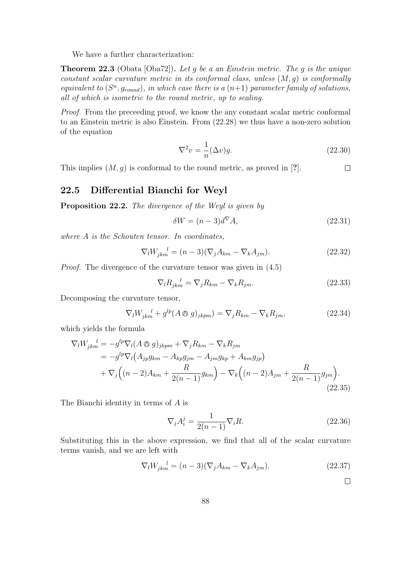We have a further characterization:

**Theorem 22.3** (Obata [Oba72]). Let g be a an Einstein metric. The g is the unique constant scalar curvature metric in its conformal class, unless  $(M, q)$  is conformally equivalent to  $(S<sup>n</sup>, g<sub>round</sub>)$ , in which case there is a  $(n+1)$  parameter family of solutions, all of which is isometric to the round metric, up to scaling.

Proof. From the preceeding proof, we know the any constant scalar metric conformal to an Einstein metric is also Einstein. From (22.28) we thus have a non-zero solution of the equation

$$
\nabla^2 v = \frac{1}{n} (\Delta v) g. \tag{22.30}
$$

This implies  $(M, g)$  is conformal to the round metric, as proved in [?].  $\Box$ 

### 22.5 Differential Bianchi for Weyl

Proposition 22.2. The divergence of the Weyl is given by

$$
\delta W = (n-3)d^{\nabla}A,\tag{22.31}
$$

where A is the Schouten tensor. In coordinates,

$$
\nabla_l W_{jkm}^{\quad l} = (n-3)(\nabla_j A_{km} - \nabla_k A_{jm}).\tag{22.32}
$$

Proof. The divergence of the curvature tensor was given in (4.5)

$$
\nabla_l R_{jkm}^{\ \ l} = \nabla_j R_{km} - \nabla_k R_{jm}.\tag{22.33}
$$

Decomposing the curvature tensor,

$$
\nabla_l W_{jkm}^{\ \ l} + g^{lp}(A \otimes g)_{jkpm}) = \nabla_j R_{km} - \nabla_k R_{jm},\tag{22.34}
$$

which yields the formula

$$
\nabla_l W_{jkm}^l = -g^{lp} \nabla_l (A \otimes g)_{jkm} + \nabla_j R_{km} - \nabla_k R_{jm}
$$
  
=  $-g^{lp} \nabla_l (A_{jp} g_{km} - A_{kp} g_{jm} - A_{jm} g_{kp} + A_{km} g_{jp})$   
+  $\nabla_j ((n-2) A_{km} + \frac{R}{2(n-1)} g_{km}) - \nabla_k ((n-2) A_{jm} + \frac{R}{2(n-1)} g_{jm}).$  (22.35)

The Bianchi identity in terms of A is

$$
\nabla_j A_i^j = \frac{1}{2(n-1)} \nabla_i R. \tag{22.36}
$$

Substituting this in the above expression, we find that all of the scalar curvature terms vanish, and we are left with

$$
\nabla_l W_{jkm}^{\quad l} = (n-3)(\nabla_j A_{km} - \nabla_k A_{jm}).\tag{22.37}
$$

 $\Box$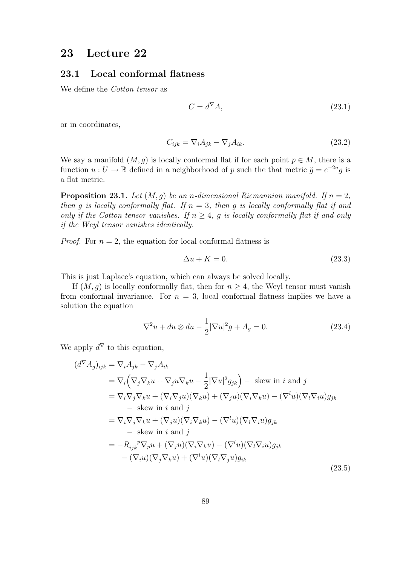## 23 Lecture 22

### 23.1 Local conformal flatness

We define the *Cotton tensor* as

$$
C = d^{\nabla} A,\tag{23.1}
$$

or in coordinates,

$$
C_{ijk} = \nabla_i A_{jk} - \nabla_j A_{ik}.
$$
\n(23.2)

We say a manifold  $(M, g)$  is locally conformal flat if for each point  $p \in M$ , there is a function  $u: U \to \mathbb{R}$  defined in a neighborhood of p such the that metric  $\tilde{g} = e^{-2u}g$  is a flat metric.

**Proposition 23.1.** Let  $(M, g)$  be an n-dimensional Riemannian manifold. If  $n = 2$ , then g is locally conformally flat. If  $n = 3$ , then g is locally conformally flat if and only if the Cotton tensor vanishes. If  $n \geq 4$ , g is locally conformally flat if and only if the Weyl tensor vanishes identically.

*Proof.* For  $n = 2$ , the equation for local conformal flatness is

$$
\Delta u + K = 0. \tag{23.3}
$$

This is just Laplace's equation, which can always be solved locally.

If  $(M, g)$  is locally conformally flat, then for  $n \geq 4$ , the Weyl tensor must vanish from conformal invariance. For  $n = 3$ , local conformal flatness implies we have a solution the equation

$$
\nabla^2 u + du \otimes du - \frac{1}{2} |\nabla u|^2 g + A_g = 0.
$$
 (23.4)

We apply  $d^{\nabla}$  to this equation,

$$
(d^{\nabla} A_g)_{ijk} = \nabla_i A_{jk} - \nabla_j A_{ik}
$$
  
\n
$$
= \nabla_i \left( \nabla_j \nabla_k u + \nabla_j u \nabla_k u - \frac{1}{2} |\nabla u|^2 g_{jk} \right) - \text{ skew in } i \text{ and } j
$$
  
\n
$$
= \nabla_i \nabla_j \nabla_k u + (\nabla_i \nabla_j u)(\nabla_k u) + (\nabla_j u)(\nabla_i \nabla_k u) - (\nabla^l u)(\nabla_l \nabla_i u) g_{jk}
$$
  
\n
$$
- \text{ skew in } i \text{ and } j
$$
  
\n
$$
= \nabla_i \nabla_j \nabla_k u + (\nabla_j u)(\nabla_i \nabla_k u) - (\nabla^l u)(\nabla_l \nabla_i u) g_{jk}
$$
  
\n
$$
- \text{ skew in } i \text{ and } j
$$
  
\n
$$
= -R_{ijk}{}^p \nabla_p u + (\nabla_j u)(\nabla_i \nabla_k u) - (\nabla^l u)(\nabla_l \nabla_i u) g_{jk}
$$
  
\n
$$
- (\nabla_i u)(\nabla_j \nabla_k u) + (\nabla^l u)(\nabla_l \nabla_j u) g_{ik}
$$
\n(23.5)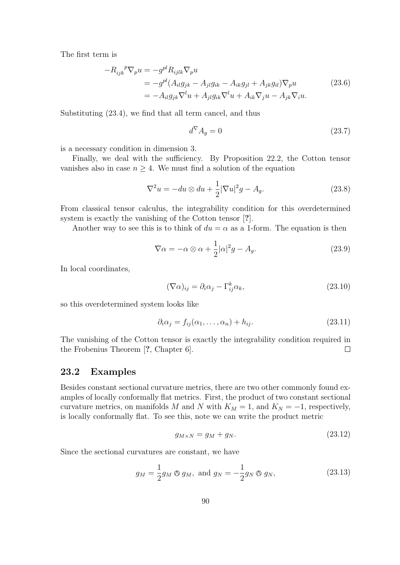The first term is

$$
-R_{ijk}{}^{p}\nabla_{p}u = -g^{pl}R_{ijkl}\nabla_{p}u
$$
  
= 
$$
-g^{pl}(A_{il}g_{jk} - A_{jl}g_{ik} - A_{ik}g_{jl} + A_{jk}g_{il})\nabla_{p}u
$$
  
= 
$$
-A_{il}g_{jk}\nabla^{l}u + A_{jl}g_{ik}\nabla^{l}u + A_{ik}\nabla_{j}u - A_{jk}\nabla_{i}u.
$$
 (23.6)

Substituting (23.4), we find that all term cancel, and thus

$$
d^{\nabla} A_g = 0 \tag{23.7}
$$

is a necessary condition in dimension 3.

Finally, we deal with the sufficiency. By Proposition 22.2, the Cotton tensor vanishes also in case  $n \geq 4$ . We must find a solution of the equation

$$
\nabla^2 u = -du \otimes du + \frac{1}{2} |\nabla u|^2 g - A_g. \tag{23.8}
$$

From classical tensor calculus, the integrability condition for this overdetermined system is exactly the vanishing of the Cotton tensor [?].

Another way to see this is to think of  $du = \alpha$  as a 1-form. The equation is then

$$
\nabla \alpha = -\alpha \otimes \alpha + \frac{1}{2} |\alpha|^2 g - A_g. \tag{23.9}
$$

In local coordinates,

$$
(\nabla \alpha)_{ij} = \partial_i \alpha_j - \Gamma^k_{ij} \alpha_k, \qquad (23.10)
$$

so this overdetermined system looks like

$$
\partial_i \alpha_j = f_{ij}(\alpha_1, \dots, \alpha_n) + h_{ij}.
$$
\n(23.11)

The vanishing of the Cotton tensor is exactly the integrability condition required in the Frobenius Theorem [?, Chapter 6].  $\Box$ 

#### 23.2 Examples

Besides constant sectional curvature metrics, there are two other commonly found examples of locally conformally flat metrics. First, the product of two constant sectional curvature metrics, on manifolds M and N with  $K_M = 1$ , and  $K_N = -1$ , respectively, is locally conformally flat. To see this, note we can write the product metric

$$
g_{M \times N} = g_M + g_N. \tag{23.12}
$$

Since the sectional curvatures are constant, we have

$$
g_M = \frac{1}{2} g_M \otimes g_M, \text{ and } g_N = -\frac{1}{2} g_N \otimes g_N,
$$
 (23.13)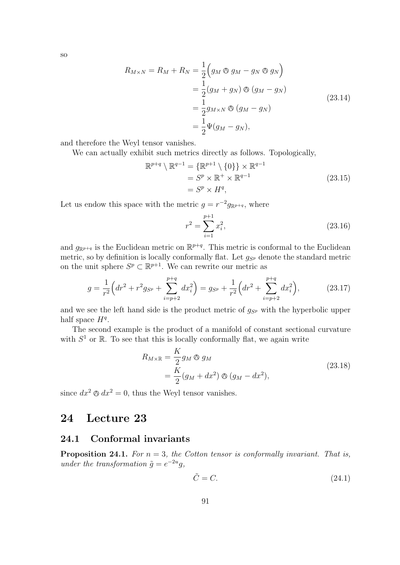so

$$
R_{M\times N} = R_M + R_N = \frac{1}{2} \left( g_M \otimes g_M - g_N \otimes g_N \right)
$$
  
= 
$$
\frac{1}{2} (g_M + g_N) \otimes (g_M - g_N)
$$
  
= 
$$
\frac{1}{2} g_{M\times N} \otimes (g_M - g_N)
$$
  
= 
$$
\frac{1}{2} \Psi (g_M - g_N),
$$
 (23.14)

and therefore the Weyl tensor vanishes.

We can actually exhibit such metrics directly as follows. Topologically,

$$
\mathbb{R}^{p+q} \setminus \mathbb{R}^{q-1} = \{ \mathbb{R}^{p+1} \setminus \{0\} \} \times \mathbb{R}^{q-1}
$$
  
=  $S^p \times \mathbb{R}^+ \times \mathbb{R}^{q-1}$   
=  $S^p \times H^q$ , (23.15)

Let us endow this space with the metric  $g = r^{-2} g_{\mathbb{R}^{p+q}}$ , where

$$
r^2 = \sum_{i=1}^{p+1} x_i^2,\tag{23.16}
$$

and  $g_{\mathbb{R}^{p+q}}$  is the Euclidean metric on  $\mathbb{R}^{p+q}$ . This metric is conformal to the Euclidean metric, so by definition is locally conformally flat. Let  $g_{S_p}$  denote the standard metric on the unit sphere  $S^p \subset \mathbb{R}^{p+1}$ . We can rewrite our metric as

$$
g = \frac{1}{r^2} \left( dr^2 + r^2 g_{S^p} + \sum_{i=p+2}^{p+q} dx_i^2 \right) = g_{S^p} + \frac{1}{r^2} \left( dr^2 + \sum_{i=p+2}^{p+q} dx_i^2 \right),\tag{23.17}
$$

and we see the left hand side is the product metric of  $g_{S_p}$  with the hyperbolic upper half space  $H<sup>q</sup>$ .

The second example is the product of a manifold of constant sectional curvature with  $S<sup>1</sup>$  or  $\mathbb R$ . To see that this is locally conformally flat, we again write

$$
R_{M \times \mathbb{R}} = \frac{K}{2} g_M \otimes g_M
$$
  
= 
$$
\frac{K}{2} (g_M + dx^2) \otimes (g_M - dx^2),
$$
 (23.18)

since  $dx^2 \otimes dx^2 = 0$ , thus the Weyl tensor vanishes.

# 24 Lecture 23

### 24.1 Conformal invariants

**Proposition 24.1.** For  $n = 3$ , the Cotton tensor is conformally invariant. That is, under the transformation  $\tilde{g} = e^{-2u}g$ ,

$$
\tilde{C} = C.\t(24.1)
$$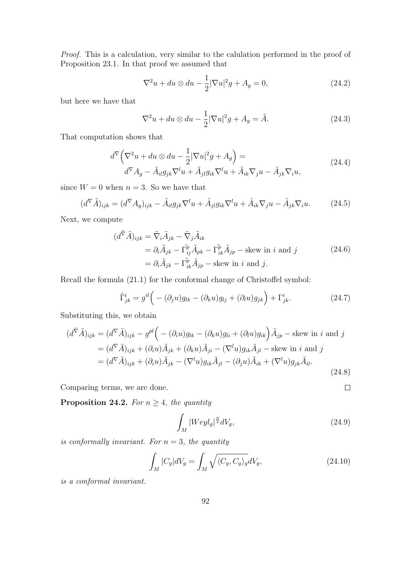Proof. This is a calculation, very similar to the calulation performed in the proof of Proposition 23.1. In that proof we assumed that

$$
\nabla^2 u + du \otimes du - \frac{1}{2} |\nabla u|^2 g + A_g = 0,
$$
\n(24.2)

but here we have that

$$
\nabla^2 u + du \otimes du - \frac{1}{2} |\nabla u|^2 g + A_g = \tilde{A}.
$$
 (24.3)

That computation shows that

$$
d^{\nabla} \left( \nabla^2 u + du \otimes du - \frac{1}{2} |\nabla u|^2 g + A_g \right) =
$$
  
\n
$$
d^{\nabla} A_g - \tilde{A}_{il} g_{jk} \nabla^l u + \tilde{A}_{jl} g_{ik} \nabla^l u + \tilde{A}_{ik} \nabla_j u - \tilde{A}_{jk} \nabla_i u,
$$
\n(24.4)

since  $W = 0$  when  $n = 3$ . So we have that

$$
(d^{\nabla}\tilde{A})_{ijk} = (d^{\nabla}A_g)_{ijk} - \tilde{A}_{il}g_{jk}\nabla^l u + \tilde{A}_{jl}g_{ik}\nabla^l u + \tilde{A}_{ik}\nabla_j u - \tilde{A}_{jk}\nabla_i u.
$$
 (24.5)

Next, we compute

$$
(d^{\tilde{\nabla}}\tilde{A})_{ijk} = \tilde{\nabla}_i \tilde{A}_{jk} - \tilde{\nabla}_j \tilde{A}_{ik}
$$
  
=  $\partial_i \tilde{A}_{jk} - \Gamma^{\tilde{p}}_{ij} \tilde{A}_{pk} - \Gamma^{\tilde{p}}_{ik} \tilde{A}_{jp}$  - skew in *i* and *j*  
=  $\partial_i \tilde{A}_{jk} - \Gamma^{\tilde{p}}_{ik} \tilde{A}_{jp}$  - skew in *i* and *j*. (24.6)

Recall the formula (21.1) for the conformal change of Christoffel symbol:

$$
\tilde{\Gamma}^i_{jk} = g^{il} \Big( - (\partial_j u) g_{lk} - (\partial_k u) g_{lj} + (\partial_l u) g_{jk} \Big) + \Gamma^i_{jk}.
$$
\n(24.7)

Substituting this, we obtain

$$
(d^{\tilde{\nabla}}\tilde{A})_{ijk} = (d^{\nabla}\tilde{A})_{ijk} - g^{pl} \Big( -(\partial_i u)g_{lk} - (\partial_k u)g_{li} + (\partial_l u)g_{ik} \Big) \tilde{A}_{jp} - \text{skew in } i \text{ and } j
$$
  
\n
$$
= (d^{\nabla}\tilde{A})_{ijk} + (\partial_i u) \tilde{A}_{jk} + (\partial_k u) \tilde{A}_{ji} - (\nabla^l u)g_{ik}\tilde{A}_{jl} - \text{skew in } i \text{ and } j
$$
  
\n
$$
= (d^{\nabla}\tilde{A})_{ijk} + (\partial_i u) \tilde{A}_{jk} - (\nabla^l u)g_{ik}\tilde{A}_{jl} - (\partial_j u) \tilde{A}_{ik} + (\nabla^l u)g_{jk}\tilde{A}_{il}.
$$
\n(24.8)

Comparing terms, we are done.

**Proposition 24.2.** For  $n \geq 4$ , the quantity

$$
\int_{M} |Weyl_{g}|^{\frac{n}{2}}dV_{g},\tag{24.9}
$$

 $\Box$ 

is conformally invariant. For  $n = 3$ , the quantity

$$
\int_{M} |C_g| dV_g = \int_{M} \sqrt{\langle C_g, C_g \rangle_g} dV_g,\tag{24.10}
$$

is a conformal invariant.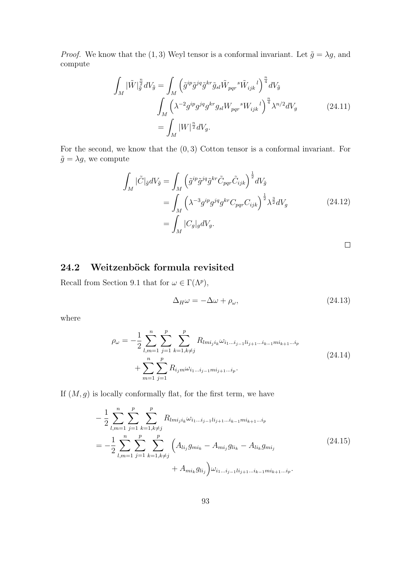*Proof.* We know that the (1, 3) Weyl tensor is a conformal invariant. Let  $\tilde{g} = \lambda g$ , and compute

$$
\int_{M} |\tilde{W}|_{\tilde{g}}^{\frac{n}{2}} dV_{\tilde{g}} = \int_{M} \left( \tilde{g}^{ip} \tilde{g}^{jq} \tilde{g}^{kr} \tilde{g}_{sl} \tilde{W}_{pqr} {s \tilde{W}_{ijk}}^{l} \right)^{\frac{n}{4}} dV_{\tilde{g}}
$$
\n
$$
\int_{M} \left( \lambda^{-2} g^{ip} g^{jq} g^{kr} g_{sl} W_{pqr} {s \tilde{W}_{ijk}}^{l} \right)^{\frac{n}{4}} \lambda^{n/2} dV_{g}
$$
\n
$$
= \int_{M} |W|^{\frac{n}{2}} dV_{g}.
$$
\n(24.11)

For the second, we know that the  $(0, 3)$  Cotton tensor is a conformal invariant. For  $\tilde{g} = \lambda g$ , we compute

$$
\int_{M} |\tilde{C}|_{\tilde{g}} dV_{\tilde{g}} = \int_{M} \left( \tilde{g}^{ip} \tilde{g}^{jq} \tilde{g}^{kr} \tilde{C}_{pqr} \tilde{C}_{ijk} \right)^{\frac{1}{2}} dV_{\tilde{g}}
$$
\n
$$
= \int_{M} \left( \lambda^{-3} g^{ip} g^{jq} g^{kr} C_{pqr} C_{ijk} \right)^{\frac{1}{2}} \lambda^{\frac{3}{2}} dV_{g}
$$
\n
$$
= \int_{M} |C_{g}|_{g} dV_{g}.
$$
\n(24.12)

 $\Box$ 

## 24.2 Weitzenböck formula revisited

Recall from Section 9.1 that for  $\omega \in \Gamma(\Lambda^p)$ ,

$$
\Delta_H \omega = -\Delta \omega + \rho_\omega,\tag{24.13}
$$

where

$$
\rho_{\omega} = -\frac{1}{2} \sum_{l,m=1}^{n} \sum_{j=1}^{p} \sum_{k=1, k \neq j}^{p} R_{lmi_j i_k} \omega_{i_1 \dots i_{j-1} l i_{j+1} \dots i_{k-1} m i_{k+1} \dots i_p}
$$
  
+ 
$$
\sum_{m=1}^{n} \sum_{j=1}^{p} R_{i_j m} \omega_{i_1 \dots i_{j-1} m i_{j+1} \dots i_p}.
$$
 (24.14)

If  $(M, g)$  is locally conformally flat, for the first term, we have

$$
-\frac{1}{2} \sum_{l,m=1}^{n} \sum_{j=1}^{p} \sum_{k=1,k\neq j}^{p} R_{lm i_j i_k} \omega_{i_1 \dots i_{j-1} l i_{j+1} \dots i_{k-1} m i_{k+1} \dots i_p}
$$
  
=  $-\frac{1}{2} \sum_{l,m=1}^{n} \sum_{j=1}^{p} \sum_{k=1,k\neq j}^{p} \left( A_{l i_j} g_{m i_k} - A_{m i_j} g_{l i_k} - A_{l i_k} g_{m i_j} + A_{m i_k} g_{l i_j} \right) \omega_{i_1 \dots i_{j-1} l i_{j+1} \dots i_{k-1} m i_{k+1} \dots i_p}.$  (24.15)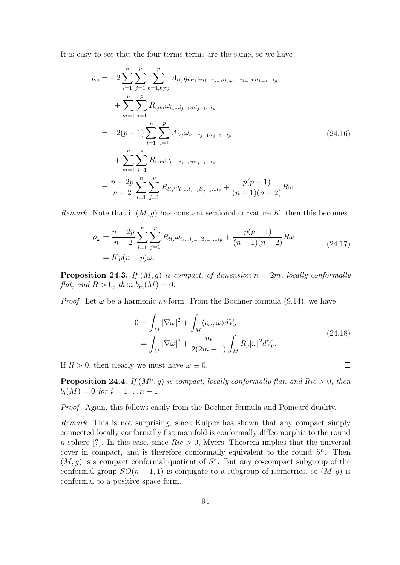It is easy to see that the four terms terms are the same, so we have

$$
\rho_{\omega} = -2 \sum_{l=1}^{n} \sum_{j=1}^{p} \sum_{k=1, k \neq j}^{p} A_{lij} g_{mi_k} \omega_{i_1 \dots i_{j-1} l i_{j+1} \dots i_{k-1} m i_{k+1} \dots i_p}
$$
  
+ 
$$
\sum_{m=1}^{n} \sum_{j=1}^{p} R_{i_j m} \omega_{i_1 \dots i_{j-1} m i_{j+1} \dots i_p}
$$
  
= 
$$
-2(p-1) \sum_{l=1}^{n} \sum_{j=1}^{p} A_{li_j} \omega_{i_1 \dots i_{j-1} l i_{j+1} \dots i_p}
$$
  
+ 
$$
\sum_{m=1}^{n} \sum_{j=1}^{p} R_{i_j m} \omega_{i_1 \dots i_{j-1} m i_{j+1} \dots i_p}
$$
  
= 
$$
\frac{n - 2p}{n - 2} \sum_{l=1}^{n} \sum_{j=1}^{p} R_{li_j} \omega_{i_1 \dots i_{j-1} l i_{j+1} \dots i_p} + \frac{p(p-1)}{(n-1)(n-2)} R \omega.
$$
 (24.16)

Remark. Note that if  $(M, g)$  has constant sectional curvature K, then this becomes

$$
\rho_{\omega} = \frac{n - 2p}{n - 2} \sum_{l=1}^{n} \sum_{j=1}^{p} R_{li_j} \omega_{i_1 \dots i_{j-1} l i_{j+1} \dots i_p} + \frac{p(p - 1)}{(n - 1)(n - 2)} R \omega
$$
\n
$$
= K p(n - p) \omega.
$$
\n(24.17)

**Proposition 24.3.** If  $(M, q)$  is compact, of dimension  $n = 2m$ , locally conformally flat, and  $R > 0$ , then  $b_m(M) = 0$ .

*Proof.* Let  $\omega$  be a harmonic m-form. From the Bochner formula (9.14), we have

$$
0 = \int_M |\nabla \omega|^2 + \int_M \langle \rho_\omega, \omega \rangle dV_g
$$
  
= 
$$
\int_M |\nabla \omega|^2 + \frac{m}{2(2m-1)} \int_M R_g |\omega|^2 dV_g.
$$
 (24.18)

 $\Box$ 

If  $R > 0$ , then clearly we must have  $\omega \equiv 0$ .

**Proposition 24.4.** If  $(M^n, g)$  is compact, locally conformally flat, and Ric  $> 0$ , then  $b_i(M) = 0$  for  $i = 1...n - 1$ .

Proof. Again, this follows easily from the Bochner formula and Poincaré duality.  $\Box$ 

Remark. This is not surprising, since Kuiper has shown that any compact simply connected locally conformally flat manifold is conformally diffeomorphic to the round n-sphere [?]. In this case, since  $Ric > 0$ , Myers' Theorem implies that the universal cover in compact, and is therefore conformally equivalent to the round  $S<sup>n</sup>$ . Then  $(M, g)$  is a compact conformal quotient of  $S<sup>n</sup>$ . But any co-compact subgroup of the conformal group  $SO(n + 1, 1)$  is conjugate to a subgroup of isometries, so  $(M, g)$  is conformal to a positive space form.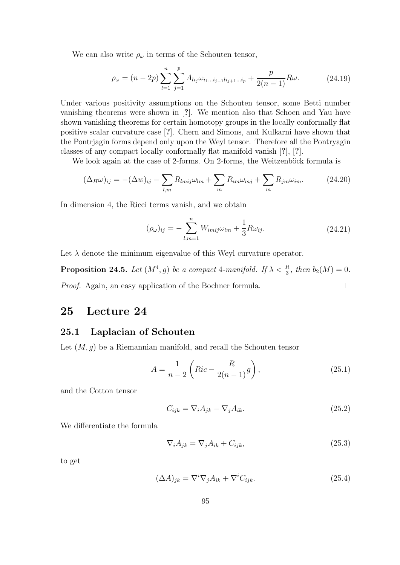We can also write  $\rho_{\omega}$  in terms of the Schouten tensor,

$$
\rho_{\omega} = (n - 2p) \sum_{l=1}^{n} \sum_{j=1}^{p} A_{li_j} \omega_{i_1 \dots i_{j-1} l i_{j+1} \dots i_p} + \frac{p}{2(n-1)} R \omega.
$$
 (24.19)

Under various positivity assumptions on the Schouten tensor, some Betti number vanishing theorems were shown in [?]. We mention also that Schoen and Yau have shown vanishing theorems for certain homotopy groups in the locally conformally flat positive scalar curvature case [?]. Chern and Simons, and Kulkarni have shown that the Pontrjagin forms depend only upon the Weyl tensor. Therefore all the Pontryagin classes of any compact locally conformally flat manifold vanish [?], [?].

We look again at the case of 2-forms. On 2-forms, the Weitzenböck formula is

$$
(\Delta_H \omega)_{ij} = -(\Delta w)_{ij} - \sum_{l,m} R_{lmij}\omega_{lm} + \sum_m R_{im}\omega_{mj} + \sum_m R_{jm}\omega_{im}.
$$
 (24.20)

In dimension 4, the Ricci terms vanish, and we obtain

$$
(\rho_{\omega})_{ij} = -\sum_{l,m=1}^{n} W_{lmij}\omega_{lm} + \frac{1}{3}R\omega_{ij}.
$$
 (24.21)

Let  $\lambda$  denote the minimum eigenvalue of this Weyl curvature operator.

**Proposition 24.5.** Let  $(M^4, g)$  be a compact 4-manifold. If  $\lambda < \frac{R}{3}$ , then  $b_2(M) = 0$ . Proof. Again, an easy application of the Bochner formula.  $\Box$ 

## 25 Lecture 24

#### 25.1 Laplacian of Schouten

Let  $(M, g)$  be a Riemannian manifold, and recall the Schouten tensor

$$
A = \frac{1}{n-2} \left( Ric - \frac{R}{2(n-1)} g \right),
$$
 (25.1)

and the Cotton tensor

$$
C_{ijk} = \nabla_i A_{jk} - \nabla_j A_{ik}.
$$
\n(25.2)

We differentiate the formula

$$
\nabla_i A_{jk} = \nabla_j A_{ik} + C_{ijk},\tag{25.3}
$$

to get

$$
(\Delta A)_{jk} = \nabla^i \nabla_j A_{ik} + \nabla^i C_{ijk}.
$$
\n(25.4)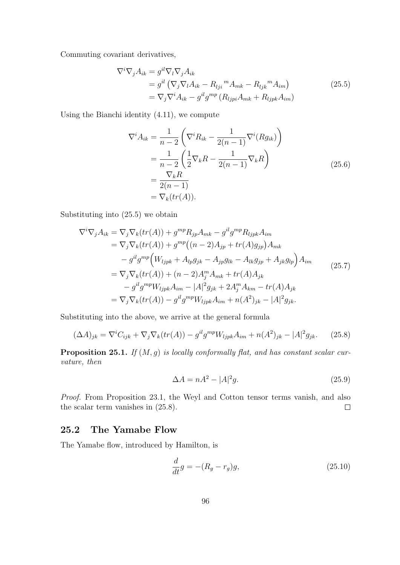Commuting covariant derivatives,

$$
\nabla^i \nabla_j A_{ik} = g^{il} \nabla_l \nabla_j A_{ik}
$$
  
=  $g^{il} \left( \nabla_j \nabla_l A_{ik} - R_{lji}{}^m A_{mk} - R_{ljk}{}^m A_{im} \right)$   
=  $\nabla_j \nabla^i A_{ik} - g^{il} g^{mp} (R_{ljpi} A_{mk} + R_{ljpk} A_{im})$  (25.5)

Using the Bianchi identity (4.11), we compute

$$
\nabla^i A_{ik} = \frac{1}{n-2} \left( \nabla^i R_{ik} - \frac{1}{2(n-1)} \nabla^i (R g_{ik}) \right)
$$
  
= 
$$
\frac{1}{n-2} \left( \frac{1}{2} \nabla_k R - \frac{1}{2(n-1)} \nabla_k R \right)
$$
  
= 
$$
\frac{\nabla_k R}{2(n-1)}
$$
  
= 
$$
\nabla_k (tr(A)).
$$
 (25.6)

Substituting into (25.5) we obtain

$$
\nabla^i \nabla_j A_{ik} = \nabla_j \nabla_k (tr(A)) + g^{mp} R_{jp} A_{mk} - g^{il} g^{mp} R_{ljpk} A_{im}
$$
  
\n
$$
= \nabla_j \nabla_k (tr(A)) + g^{mp} ((n-2) A_{jp} + tr(A) g_{jp}) A_{mk}
$$
  
\n
$$
- g^{il} g^{mp} (W_{ljpk} + A_{lp} g_{jk} - A_{jp} g_{lk} - A_{lk} g_{jp} + A_{jk} g_{lp}) A_{im}
$$
  
\n
$$
= \nabla_j \nabla_k (tr(A)) + (n-2) A_j^m A_{mk} + tr(A) A_{jk}
$$
  
\n
$$
- g^{il} g^{mp} W_{ljpk} A_{im} - |A|^2 g_{jk} + 2 A_j^m A_{km} - tr(A) A_{jk}
$$
  
\n
$$
= \nabla_j \nabla_k (tr(A)) - g^{il} g^{mp} W_{ljpk} A_{im} + n(A^2)_{jk} - |A|^2 g_{jk}.
$$
 (25.7)

Substituting into the above, we arrive at the general formula

$$
(\Delta A)_{jk} = \nabla^i C_{ijk} + \nabla_j \nabla_k (tr(A)) - g^{il} g^{mp} W_{ljpk} A_{im} + n(A^2)_{jk} - |A|^2 g_{jk}.
$$
 (25.8)

**Proposition 25.1.** If  $(M, g)$  is locally conformally flat, and has constant scalar curvature, then

$$
\Delta A = nA^2 - |A|^2 g. \tag{25.9}
$$

Proof. From Proposition 23.1, the Weyl and Cotton tensor terms vanish, and also the scalar term vanishes in (25.8).  $\Box$ 

### 25.2 The Yamabe Flow

The Yamabe flow, introduced by Hamilton, is

$$
\frac{d}{dt}g = -(R_g - r_g)g,\tag{25.10}
$$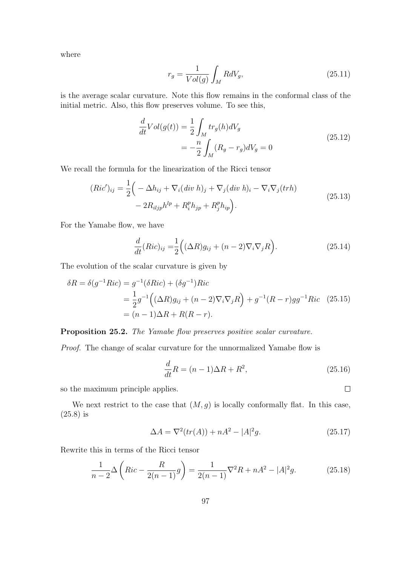where

$$
r_g = \frac{1}{Vol(g)} \int_M R dV_g,\tag{25.11}
$$

is the average scalar curvature. Note this flow remains in the conformal class of the initial metric. Also, this flow preserves volume. To see this,

$$
\frac{d}{dt}Vol(g(t)) = \frac{1}{2} \int_{M} tr_{g}(h) dV_{g}
$$
\n
$$
= -\frac{n}{2} \int_{M} (R_{g} - r_{g}) dV_{g} = 0
$$
\n(25.12)

We recall the formula for the linearization of the Ricci tensor

$$
(Ric')_{ij} = \frac{1}{2} \Big( -\Delta h_{ij} + \nabla_i (div \ h)_j + \nabla_j (div \ h)_i - \nabla_i \nabla_j (trh) - 2R_{iljp}h^{lp} + R_i^p h_{jp} + R_j^p h_{ip} \Big). \tag{25.13}
$$

For the Yamabe flow, we have

$$
\frac{d}{dt}(Ric)_{ij} = \frac{1}{2} \left( (\Delta R)g_{ij} + (n-2)\nabla_i \nabla_j R \right).
$$
\n(25.14)

The evolution of the scalar curvature is given by

$$
\delta R = \delta(g^{-1}Ric) = g^{-1}(\delta Ric) + (\delta g^{-1})Ric
$$
  
=  $\frac{1}{2}g^{-1}((\Delta R)g_{ij} + (n-2)\nabla_i\nabla_j R) + g^{-1}(R-r)gg^{-1}Ric$  (25.15)  
=  $(n-1)\Delta R + R(R-r).$ 

Proposition 25.2. The Yamabe flow preserves positive scalar curvature.

Proof. The change of scalar curvature for the unnormalized Yamabe flow is

$$
\frac{d}{dt}R = (n-1)\Delta R + R^2,\tag{25.16}
$$

so the maximum principle applies.

We next restrict to the case that  $(M, g)$  is locally conformally flat. In this case, (25.8) is

$$
\Delta A = \nabla^2(tr(A)) + nA^2 - |A|^2g.
$$
 (25.17)

Rewrite this in terms of the Ricci tensor

$$
\frac{1}{n-2}\Delta\left(Ric - \frac{R}{2(n-1)}g\right) = \frac{1}{2(n-1)}\nabla^2 R + nA^2 - |A|^2 g.
$$
 (25.18)

 $\Box$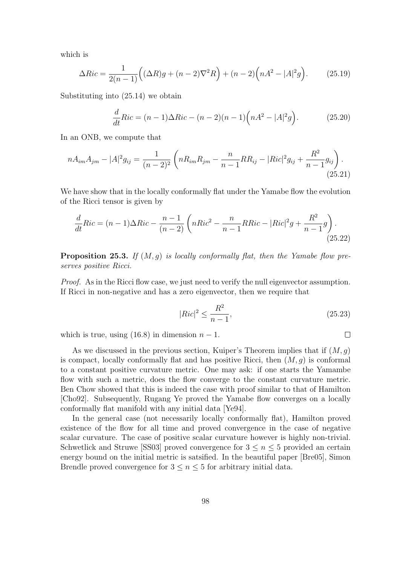which is

$$
\Delta Ric = \frac{1}{2(n-1)} \Big( (\Delta R)g + (n-2)\nabla^2 R \Big) + (n-2) \Big( nA^2 - |A|^2 g \Big). \tag{25.19}
$$

Substituting into (25.14) we obtain

$$
\frac{d}{dt}Ric = (n-1)\Delta Ric - (n-2)(n-1)\left(nA^2 - |A|^2g\right).
$$
 (25.20)

In an ONB, we compute that

$$
nA_{im}A_{jm} - |A|^2 g_{ij} = \frac{1}{(n-2)^2} \left( nR_{im}R_{jm} - \frac{n}{n-1}RR_{ij} - |Ric|^2 g_{ij} + \frac{R^2}{n-1}g_{ij} \right).
$$
\n(25.21)

We have show that in the locally conformally flat under the Yamabe flow the evolution of the Ricci tensor is given by

$$
\frac{d}{dt}Ric = (n-1)\Delta Ric - \frac{n-1}{(n-2)}\left(nRic^2 - \frac{n}{n-1}RRic - |Ric|^2g + \frac{R^2}{n-1}g\right).
$$
\n(25.22)

**Proposition 25.3.** If  $(M, q)$  is locally conformally flat, then the Yamabe flow preserves positive Ricci.

Proof. As in the Ricci flow case, we just need to verify the null eigenvector assumption. If Ricci in non-negative and has a zero eigenvector, then we require that

$$
|Ric|^2 \le \frac{R^2}{n-1},\tag{25.23}
$$

which is true, using (16.8) in dimension  $n-1$ .

As we discussed in the previous section, Kuiper's Theorem implies that if  $(M, g)$ is compact, locally conformally flat and has positive Ricci, then  $(M, q)$  is conformal to a constant positive curvature metric. One may ask: if one starts the Yamambe flow with such a metric, does the flow converge to the constant curvature metric. Ben Chow showed that this is indeed the case with proof similar to that of Hamilton [Cho92]. Subsequently, Rugang Ye proved the Yamabe flow converges on a locally conformally flat manifold with any initial data [Ye94].

In the general case (not necessarily locally conformally flat), Hamilton proved existence of the flow for all time and proved convergence in the case of negative scalar curvature. The case of positive scalar curvature however is highly non-trivial. Schwetlick and Struwe [SS03] proved convergence for  $3 \leq n \leq 5$  provided an certain energy bound on the initial metric is satsified. In the beautiful paper [Bre05], Simon Brendle proved convergence for  $3 \leq n \leq 5$  for arbitrary initial data.

 $\Box$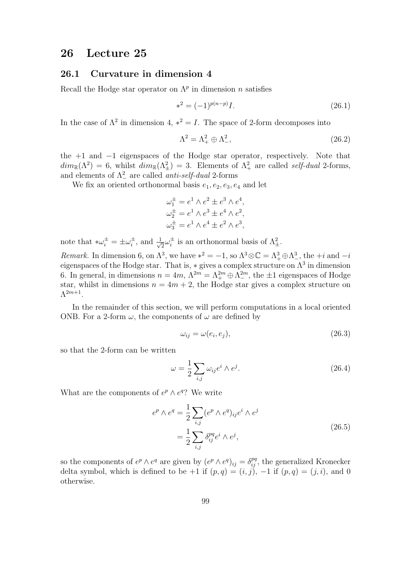## 26 Lecture 25

#### 26.1 Curvature in dimension 4

Recall the Hodge star operator on  $\Lambda^p$  in dimension n satisfies

$$
*^2 = (-1)^{p(n-p)}I.
$$
\n(26.1)

In the case of  $\Lambda^2$  in dimension 4,  $*^2 = I$ . The space of 2-form decomposes into

$$
\Lambda^2 = \Lambda_+^2 \oplus \Lambda_-^2,\tag{26.2}
$$

the +1 and −1 eigenspaces of the Hodge star operator, respectively. Note that  $dim_{\mathbb{R}}(\Lambda^2) = 6$ , whilst  $dim_{\mathbb{R}}(\Lambda^2_{\pm}) = 3$ . Elements of  $\Lambda^2_{+}$  are called self-dual 2-forms, and elements of  $\Lambda^2$  are called *anti-self-dual* 2-forms

We fix an oriented orthonormal basis  $e_1, e_2, e_3, e_4$  and let

$$
\omega_1^{\pm} = e^1 \wedge e^2 \pm e^3 \wedge e^4,
$$
  

$$
\omega_2^{\pm} = e^1 \wedge e^3 \pm e^4 \wedge e^2,
$$
  

$$
\omega_3^{\pm} = e^1 \wedge e^4 \pm e^2 \wedge e^3,
$$

note that  $*\omega_i^{\pm} = \pm \omega_i^{\pm}$  $\frac{1}{i}$ , and  $\frac{1}{\sqrt{}}$  $\overline{z} \omega_i^{\pm}$  $\mu_i^{\pm}$  is an orthonormal basis of  $\Lambda_{\pm}^2$ .

Remark. In dimension 6, on  $\Lambda^3$ , we have  $*^2 = -1$ , so  $\Lambda^3 \otimes \mathbb{C} = \Lambda^3_+ \oplus \Lambda^3_-,$  the  $+i$  and  $-i$ eigenspaces of the Hodge star. That is,  $*$  gives a complex structure on  $\Lambda^3$  in dimension 6. In general, in dimensions  $n = 4m$ ,  $\Lambda^{2m} = \Lambda^{2m}_+ \oplus \Lambda^{2m}_-$ , the  $\pm 1$  eigenspaces of Hodge star, whilst in dimensions  $n = 4m + 2$ , the Hodge star gives a complex structure on  $\Lambda^{2m+1}$ .

In the remainder of this section, we will perform computations in a local oriented ONB. For a 2-form  $\omega$ , the components of  $\omega$  are defined by

$$
\omega_{ij} = \omega(e_i, e_j),\tag{26.3}
$$

so that the 2-form can be written

$$
\omega = \frac{1}{2} \sum_{i,j} \omega_{ij} e^i \wedge e^j.
$$
 (26.4)

What are the components of  $e^p \wedge e^{q}$ ? We write

$$
e^p \wedge e^q = \frac{1}{2} \sum_{i,j} (e^p \wedge e^q)_{ij} e^i \wedge e^j
$$
  
= 
$$
\frac{1}{2} \sum_{i,j} \delta_{ij}^{pq} e^i \wedge e^j,
$$
 (26.5)

so the components of  $e^p \wedge e^q$  are given by  $(e^p \wedge e^q)_{ij} = \delta_{ij}^{pq}$ , the generalized Kronecker delta symbol, which is defined to be +1 if  $(p, q) = (i, j)$ ,  $-1$  if  $(p, q) = (j, i)$ , and 0 otherwise.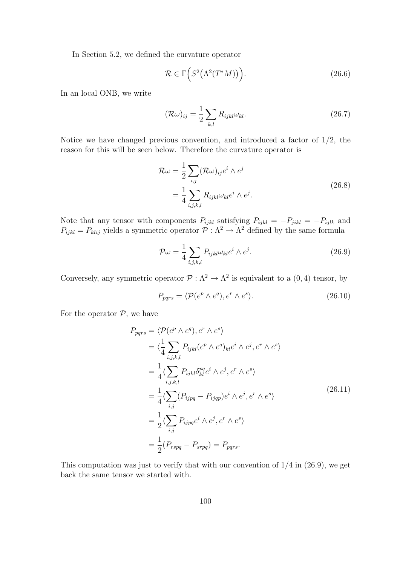In Section 5.2, we defined the curvature operator

$$
\mathcal{R} \in \Gamma\Big(S^2\big(\Lambda^2(T^*M)\big)\Big). \tag{26.6}
$$

In an local ONB, we write

$$
(\mathcal{R}\omega)_{ij} = \frac{1}{2} \sum_{k,l} R_{ijkl} \omega_{kl}.
$$
 (26.7)

Notice we have changed previous convention, and introduced a factor of  $1/2$ , the reason for this will be seen below. Therefore the curvature operator is

$$
\mathcal{R}\omega = \frac{1}{2} \sum_{i,j} (\mathcal{R}\omega)_{ij} e^i \wedge e^j
$$
  
= 
$$
\frac{1}{4} \sum_{i,j,k,l} R_{ijkl} \omega_{kl} e^i \wedge e^j.
$$
 (26.8)

Note that any tensor with components  $P_{ijkl}$  satisfying  $P_{ijkl} = -P_{jikl} = -P_{ijlk}$  and  $P_{ijkl} = P_{klij}$  yields a symmetric operator  $\mathcal{P} : \Lambda^2 \to \Lambda^2$  defined by the same formula

$$
\mathcal{P}\omega = \frac{1}{4} \sum_{i,j,k,l} P_{ijkl} \omega_{kl} e^i \wedge e^j.
$$
 (26.9)

Conversely, any symmetric operator  $\mathcal{P} : \Lambda^2 \to \Lambda^2$  is equivalent to a  $(0, 4)$  tensor, by

$$
P_{pqrs} = \langle \mathcal{P}(e^p \wedge e^q), e^r \wedge e^s \rangle. \tag{26.10}
$$

For the operator  $P$ , we have

$$
P_{pqrs} = \langle \mathcal{P}(e^p \wedge e^q), e^r \wedge e^s \rangle
$$
  
\n
$$
= \langle \frac{1}{4} \sum_{i,j,k,l} P_{ijkl} (e^p \wedge e^q)_{kl} e^i \wedge e^j, e^r \wedge e^s \rangle
$$
  
\n
$$
= \frac{1}{4} \langle \sum_{i,j,k,l} P_{ijkl} \delta_{kl}^{pq} e^i \wedge e^j, e^r \wedge e^s \rangle
$$
  
\n
$$
= \frac{1}{4} \langle \sum_{i,j} (P_{ijpq} - P_{ijqp}) e^i \wedge e^j, e^r \wedge e^s \rangle
$$
  
\n
$$
= \frac{1}{2} \langle \sum_{i,j} P_{ijpq} e^i \wedge e^j, e^r \wedge e^s \rangle
$$
  
\n
$$
= \frac{1}{2} (P_{rspq} - P_{srpq}) = P_{pqrs}.
$$
  
\n(26.11)

This computation was just to verify that with our convention of  $1/4$  in  $(26.9)$ , we get back the same tensor we started with.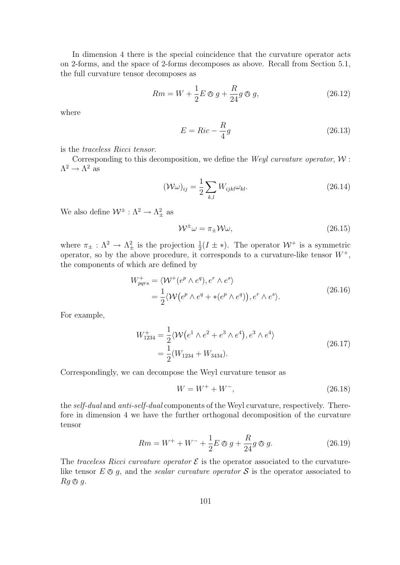In dimension 4 there is the special coincidence that the curvature operator acts on 2-forms, and the space of 2-forms decomposes as above. Recall from Section 5.1, the full curvature tensor decomposes as

$$
Rm = W + \frac{1}{2}E \otimes g + \frac{R}{24}g \otimes g,\tag{26.12}
$$

where

$$
E = Ric - \frac{R}{4}g\tag{26.13}
$$

is the traceless Ricci tensor.

Corresponding to this decomposition, we define the *Weyl curvature operator*,  $W$ :  $\Lambda^2 \to \Lambda^2$  as

$$
(\mathcal{W}\omega)_{ij} = \frac{1}{2} \sum_{k,l} W_{ijkl} \omega_{kl}.
$$
 (26.14)

We also define  $\mathcal{W}^{\pm} : \Lambda^2 \to \Lambda^2_{\pm}$  as

$$
\mathcal{W}^{\pm}\omega = \pi_{\pm}\mathcal{W}\omega,\tag{26.15}
$$

where  $\pi_{\pm} : \Lambda^2 \to \Lambda^2_{\pm}$  is the projection  $\frac{1}{2}(I \pm *)$ . The operator  $W^+$  is a symmetric operator, so by the above procedure, it corresponds to a curvature-like tensor  $W^+$ , the components of which are defined by

$$
W_{pqrs}^{+} = \langle W^{+}(e^{p} \wedge e^{q}), e^{r} \wedge e^{s} \rangle
$$
  
=  $\frac{1}{2} \langle W(e^{p} \wedge e^{q} + *(e^{p} \wedge e^{q})), e^{r} \wedge e^{s} \rangle.$  (26.16)

For example,

$$
W_{1234}^{+} = \frac{1}{2} \langle W(e^{1} \wedge e^{2} + e^{3} \wedge e^{4}), e^{3} \wedge e^{4} \rangle
$$
  
=  $\frac{1}{2} (W_{1234} + W_{3434}).$  (26.17)

Correspondingly, we can decompose the Weyl curvature tensor as

$$
W = W^+ + W^-, \tag{26.18}
$$

the self-dual and anti-self-dual components of the Weyl curvature, respectively. Therefore in dimension 4 we have the further orthogonal decomposition of the curvature tensor

$$
Rm = W^{+} + W^{-} + \frac{1}{2}E \otimes g + \frac{R}{24}g \otimes g.
$$
 (26.19)

The traceless Ricci curvature operator  $\mathcal E$  is the operator associated to the curvaturelike tensor  $E \otimes g$ , and the *scalar curvature operator*  $S$  is the operator associated to  $Rq \otimes q$ .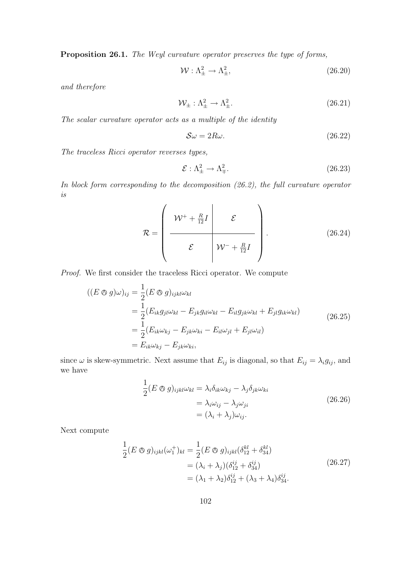Proposition 26.1. The Weyl curvature operator preserves the type of forms,

$$
\mathcal{W}: \Lambda^2_{\pm} \to \Lambda^2_{\pm}, \tag{26.20}
$$

and therefore

$$
\mathcal{W}_{\pm} : \Lambda_{\pm}^2 \to \Lambda_{\pm}^2. \tag{26.21}
$$

The scalar curvature operator acts as a multiple of the identity

$$
\mathcal{S}\omega = 2R\omega. \tag{26.22}
$$

The traceless Ricci operator reverses types,

$$
\mathcal{E}: \Lambda^2_{\pm} \to \Lambda^2_{\mp}.\tag{26.23}
$$

In block form corresponding to the decomposition (26.2), the full curvature operator is

$$
\mathcal{R} = \left(\begin{array}{c|c}\n\mathcal{W}^+ + \frac{R}{12}I & \mathcal{E} \\
\hline\n\mathcal{E} & \mathcal{W}^- + \frac{R}{12}I\n\end{array}\right).
$$
\n(26.24)

Proof. We first consider the traceless Ricci operator. We compute

$$
((E \otimes g)\omega)_{ij} = \frac{1}{2}(E \otimes g)_{ijkl}\omega_{kl}
$$
  
\n
$$
= \frac{1}{2}(E_{ik}g_{jl}\omega_{kl} - E_{jk}g_{il}\omega_{kl} - E_{il}g_{jk}\omega_{kl} + E_{jl}g_{ik}\omega_{kl})
$$
  
\n
$$
= \frac{1}{2}(E_{ik}\omega_{kj} - E_{jk}\omega_{ki} - E_{il}\omega_{jl} + E_{jl}\omega_{il})
$$
  
\n
$$
= E_{ik}\omega_{kj} - E_{jk}\omega_{ki},
$$
  
\n(26.25)

since  $\omega$  is skew-symmetric. Next assume that  $E_{ij}$  is diagonal, so that  $E_{ij} = \lambda_i g_{ij}$ , and we have

$$
\frac{1}{2}(E \otimes g)_{ijkl}\omega_{kl} = \lambda_i \delta_{ik}\omega_{kj} - \lambda_j \delta_{jk}\omega_{ki}
$$
\n
$$
= \lambda_i \omega_{ij} - \lambda_j \omega_{ji}
$$
\n
$$
= (\lambda_i + \lambda_j)\omega_{ij}.
$$
\n(26.26)

Next compute

$$
\frac{1}{2}(E \otimes g)_{ijkl}(\omega_1^+)_{kl} = \frac{1}{2}(E \otimes g)_{ijkl}(\delta_{12}^{kl} + \delta_{34}^{kl})
$$
  
=  $(\lambda_i + \lambda_j)(\delta_{12}^{ij} + \delta_{34}^{ij})$   
=  $(\lambda_1 + \lambda_2)\delta_{12}^{ij} + (\lambda_3 + \lambda_4)\delta_{34}^{ij}$ . (26.27)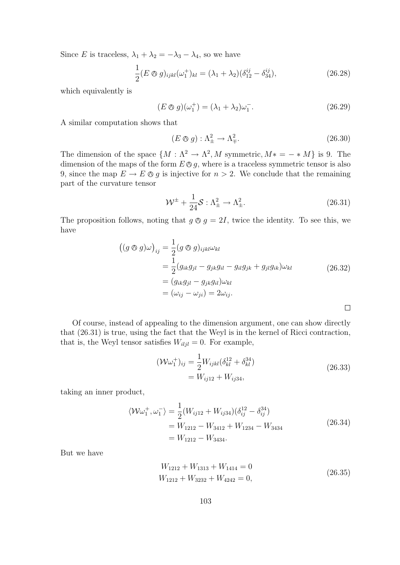Since E is traceless,  $\lambda_1 + \lambda_2 = -\lambda_3 - \lambda_4$ , so we have

$$
\frac{1}{2}(E \otimes g)_{ijkl}(\omega_1^+)_{kl} = (\lambda_1 + \lambda_2)(\delta_{12}^{ij} - \delta_{34}^{ij}),
$$
\n(26.28)

which equivalently is

$$
(E \otimes g)(\omega_1^+) = (\lambda_1 + \lambda_2)\omega_1^-.
$$
\n
$$
(26.29)
$$

A similar computation shows that

$$
(E \otimes g) : \Lambda^2_{\pm} \to \Lambda^2_{\mp}.
$$
\n
$$
(26.30)
$$

The dimension of the space  $\{M : \Lambda^2 \to \Lambda^2, M \text{ symmetric}, M^* = - * M\}$  is 9. The dimension of the maps of the form  $E \otimes g$ , where is a traceless symmetric tensor is also 9, since the map  $E \to E \otimes g$  is injective for  $n > 2$ . We conclude that the remaining part of the curvature tensor

$$
\mathcal{W}^{\pm} + \frac{1}{24} \mathcal{S} : \Lambda_{\pm}^{2} \to \Lambda_{\pm}^{2}.
$$
 (26.31)

The proposition follows, noting that  $g \otimes g = 2I$ , twice the identity. To see this, we have

$$
\begin{aligned}\n\left((g \otimes g)\omega\right)_{ij} &= \frac{1}{2}(g \otimes g)_{ijkl}\omega_{kl} \\
&= \frac{1}{2}(g_{ik}g_{jl} - g_{jk}g_{il} - g_{il}g_{jk} + g_{jl}g_{ik})\omega_{kl} \\
&= (g_{ik}g_{jl} - g_{jk}g_{il})\omega_{kl} \\
&= (\omega_{ij} - \omega_{ji}) = 2\omega_{ij}.\n\end{aligned} \tag{26.32}
$$

Of course, instead of appealing to the dimension argument, one can show directly that (26.31) is true, using the fact that the Weyl is in the kernel of Ricci contraction, that is, the Weyl tensor satisfies  $W_{i l j l} = 0$ . For example,

$$
(\mathcal{W}\omega_1^+)_{ij} = \frac{1}{2} W_{ijkl} (\delta_{kl}^{12} + \delta_{kl}^{34})
$$
  
=  $W_{ij12} + W_{ij34},$  (26.33)

taking an inner product,

$$
\langle W\omega_1^+, \omega_1^- \rangle = \frac{1}{2} (W_{ij12} + W_{ij34}) (\delta_{ij}^{12} - \delta_{ij}^{34})
$$
  
=  $W_{1212} - W_{3412} + W_{1234} - W_{3434}$   
=  $W_{1212} - W_{3434}$ . (26.34)

But we have

$$
W_{1212} + W_{1313} + W_{1414} = 0
$$
  
\n
$$
W_{1212} + W_{3232} + W_{4242} = 0,
$$
\n(26.35)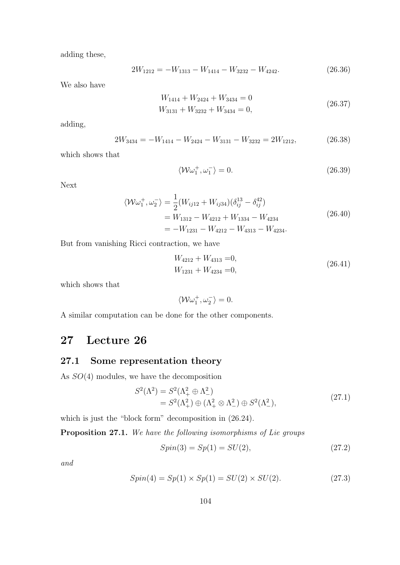adding these,

$$
2W_{1212} = -W_{1313} - W_{1414} - W_{3232} - W_{4242}.
$$
 (26.36)

We also have

$$
W_{1414} + W_{2424} + W_{3434} = 0
$$
  
\n
$$
W_{3131} + W_{3232} + W_{3434} = 0,
$$
\n(26.37)

adding,

$$
2W_{3434} = -W_{1414} - W_{2424} - W_{3131} - W_{3232} = 2W_{1212},
$$
\n(26.38)

which shows that

$$
\langle \mathcal{W}\omega_1^+, \omega_1^- \rangle = 0. \tag{26.39}
$$

Next

$$
\langle W\omega_1^+, \omega_2^- \rangle = \frac{1}{2} (W_{ij12} + W_{ij34}) (\delta_{ij}^{13} - \delta_{ij}^{42})
$$
  
=  $W_{1312} - W_{4212} + W_{1334} - W_{4234}$   
=  $-W_{1231} - W_{4212} - W_{4313} - W_{4234}$ . (26.40)

But from vanishing Ricci contraction, we have

$$
W_{4212} + W_{4313} = 0,
$$
  
\n
$$
W_{1231} + W_{4234} = 0,
$$
\n(26.41)

which shows that

$$
\langle \mathcal{W}\omega_1^+, \omega_2^- \rangle = 0.
$$

A similar computation can be done for the other components.

# 27 Lecture 26

## 27.1 Some representation theory

As SO(4) modules, we have the decomposition

$$
S^{2}(\Lambda^{2}) = S^{2}(\Lambda^{2}_{+} \oplus \Lambda^{2}_{-})
$$
  
=  $S^{2}(\Lambda^{2}_{+}) \oplus (\Lambda^{2}_{+} \otimes \Lambda^{2}_{-}) \oplus S^{2}(\Lambda^{2}_{-}),$  (27.1)

which is just the "block form" decomposition in (26.24).

Proposition 27.1. We have the following isomorphisms of Lie groups

$$
Spin(3) = Sp(1) = SU(2),\tag{27.2}
$$

and

$$
Spin(4) = Sp(1) \times Sp(1) = SU(2) \times SU(2). \tag{27.3}
$$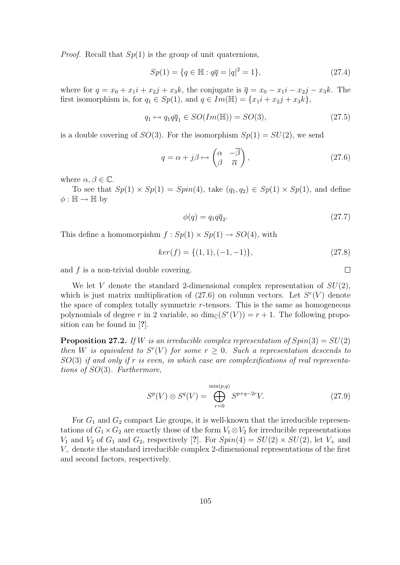*Proof.* Recall that  $Sp(1)$  is the group of unit quaternions,

$$
Sp(1) = \{q \in \mathbb{H} : q\overline{q} = |q|^2 = 1\},\tag{27.4}
$$

where for  $q = x_0 + x_1i + x_2j + x_3k$ , the conjugate is  $\overline{q} = x_0 - x_1i - x_2j - x_3k$ . The first isomorphism is, for  $q_1 \in Sp(1)$ , and  $q \in Im(\mathbb{H}) = \{x_1i + x_2j + x_3k\},\$ 

$$
q_1 \mapsto q_1 q \overline{q}_1 \in SO(Im(\mathbb{H})) = SO(3), \tag{27.5}
$$

is a double covering of  $SO(3)$ . For the isomorphism  $Sp(1) = SU(2)$ , we send

$$
q = \alpha + j\beta \mapsto \begin{pmatrix} \alpha & -\overline{\beta} \\ \beta & \overline{\alpha} \end{pmatrix},\tag{27.6}
$$

where  $\alpha, \beta \in \mathbb{C}$ .

To see that  $Sp(1) \times Sp(1) = Spin(4)$ , take  $(q_1, q_2) \in Sp(1) \times Sp(1)$ , and define  $\phi : \mathbb{H} \to \mathbb{H}$  by

$$
\phi(q) = q_1 q \overline{q}_2. \tag{27.7}
$$

This define a homomorpishm  $f : Sp(1) \times Sp(1) \rightarrow SO(4)$ , with

$$
ker(f) = \{(1, 1), (-1, -1)\},\tag{27.8}
$$

and  $f$  is a non-trivial double covering.

We let V denote the standard 2-dimensional complex representation of  $SU(2)$ , which is just matrix multiplication of  $(27.6)$  on column vectors. Let  $S<sup>r</sup>(V)$  denote the space of complex totally symmetric  $r$ -tensors. This is the same as homogeneous polynomials of degree r in 2 variable, so  $\dim_{\mathbb{C}}(S^r(V)) = r + 1$ . The following proposition can be found in [?].

**Proposition 27.2.** If W is an irreducible complex representation of  $Spin(3) = SU(2)$ then W is equivalent to  $S^{r}(V)$  for some  $r \geq 0$ . Such a representation descends to  $SO(3)$  if and only if r is even, in which case are complexifications of real representations of SO(3). Furthermore,

$$
S^{p}(V) \otimes S^{q}(V) = \bigoplus_{r=0}^{\min(p,q)} S^{p+q-2r} V.
$$
 (27.9)

For  $G_1$  and  $G_2$  compact Lie groups, it is well-known that the irreducible representations of  $G_1 \times G_2$  are exactly those of the form  $V_1 \otimes V_2$  for irreducible representations  $V_1$  and  $V_2$  of  $G_1$  and  $G_2$ , respectively [?]. For  $Spin(4) = SU(2) \times SU(2)$ , let  $V_+$  and V<sup>−</sup> denote the standard irreducible complex 2-dimensional representations of the first and second factors, respectively.

 $\Box$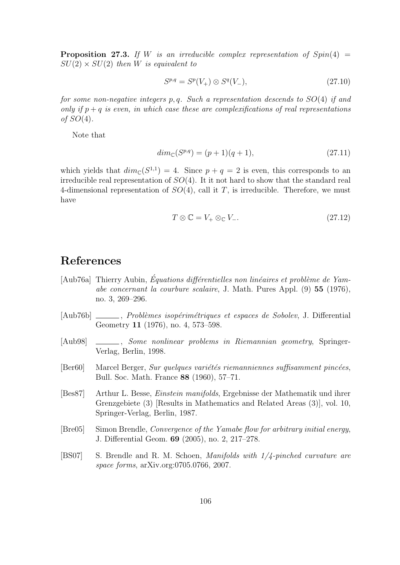**Proposition 27.3.** If W is an irreducible complex representation of  $Spin(4)$  $SU(2) \times SU(2)$  then W is equivalent to

$$
S^{p,q} = S^p(V_+) \otimes S^q(V_-), \tag{27.10}
$$

for some non-negative integers p, q. Such a representation descends to  $SO(4)$  if and only if  $p + q$  is even, in which case these are complexifications of real representations of  $SO(4)$ .

Note that

$$
dim_{\mathbb{C}}(S^{p,q}) = (p+1)(q+1),\tag{27.11}
$$

which yields that  $dim_{\mathbb{C}}(S^{1,1}) = 4$ . Since  $p + q = 2$  is even, this corresponds to an irreducible real representation of  $SO(4)$ . It it not hard to show that the standard real 4-dimensional representation of  $SO(4)$ , call it T, is irreducible. Therefore, we must have

$$
T \otimes \mathbb{C} = V_+ \otimes_{\mathbb{C}} V_-.
$$
 (27.12)

# References

- [Aub76a] Thierry Aubin, Équations différentielles non linéaires et problème de Yamabe concernant la courbure scalaire, J. Math. Pures Appl. (9) 55 (1976), no. 3, 269–296.
- [Aub76b] \_\_\_\_\_, Problèmes isopérimétriques et espaces de Sobolev, J. Differential Geometry 11 (1976), no. 4, 573–598.
- [Aub98] \_\_\_\_\_, Some nonlinear problems in Riemannian geometry, Springer-Verlag, Berlin, 1998.
- [Ber60] Marcel Berger, Sur quelques variétés riemanniennes suffisamment pincées, Bull. Soc. Math. France 88 (1960), 57–71.
- [Bes87] Arthur L. Besse, Einstein manifolds, Ergebnisse der Mathematik und ihrer Grenzgebiete (3) [Results in Mathematics and Related Areas (3)], vol. 10, Springer-Verlag, Berlin, 1987.
- [Bre05] Simon Brendle, Convergence of the Yamabe flow for arbitrary initial energy, J. Differential Geom. 69 (2005), no. 2, 217–278.
- [BS07] S. Brendle and R. M. Schoen, Manifolds with 1/4-pinched curvature are space forms, arXiv.org:0705.0766, 2007.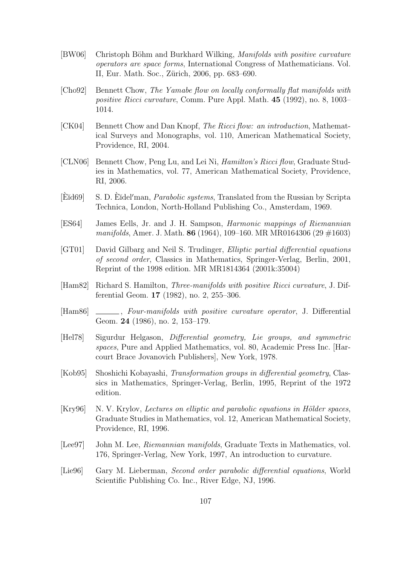- [BW06] Christoph Böhm and Burkhard Wilking, *Manifolds with positive curvature* operators are space forms, International Congress of Mathematicians. Vol. II, Eur. Math. Soc., Zürich, 2006, pp. 683–690.
- [Cho92] Bennett Chow, The Yamabe flow on locally conformally flat manifolds with positive Ricci curvature, Comm. Pure Appl. Math. 45 (1992), no. 8, 1003– 1014.
- [CK04] Bennett Chow and Dan Knopf, The Ricci flow: an introduction, Mathematical Surveys and Monographs, vol. 110, American Mathematical Society, Providence, RI, 2004.
- [CLN06] Bennett Chow, Peng Lu, and Lei Ni, Hamilton's Ricci flow, Graduate Studies in Mathematics, vol. 77, American Mathematical Society, Providence, RI, 2006.
- [Eŭd69] S. D. Eŭdel'man, *Parabolic systems*, Translated from the Russian by Scripta Technica, London, North-Holland Publishing Co., Amsterdam, 1969.
- [ES64] James Eells, Jr. and J. H. Sampson, Harmonic mappings of Riemannian manifolds, Amer. J. Math. 86 (1964), 109–160. MR MR0164306 (29  $\#1603$ )
- [GT01] David Gilbarg and Neil S. Trudinger, Elliptic partial differential equations of second order, Classics in Mathematics, Springer-Verlag, Berlin, 2001, Reprint of the 1998 edition. MR MR1814364 (2001k:35004)
- [Ham82] Richard S. Hamilton, Three-manifolds with positive Ricci curvature, J. Differential Geom. 17 (1982), no. 2, 255–306.
- [Ham86] \_\_\_\_\_, Four-manifolds with positive curvature operator, J. Differential Geom. 24 (1986), no. 2, 153–179.
- [Hel78] Sigurdur Helgason, Differential geometry, Lie groups, and symmetric spaces, Pure and Applied Mathematics, vol. 80, Academic Press Inc. [Harcourt Brace Jovanovich Publishers], New York, 1978.
- [Kob95] Shoshichi Kobayashi, Transformation groups in differential geometry, Classics in Mathematics, Springer-Verlag, Berlin, 1995, Reprint of the 1972 edition.
- [Kry96] N. V. Krylov, Lectures on elliptic and parabolic equations in Hölder spaces, Graduate Studies in Mathematics, vol. 12, American Mathematical Society, Providence, RI, 1996.
- [Lee97] John M. Lee, Riemannian manifolds, Graduate Texts in Mathematics, vol. 176, Springer-Verlag, New York, 1997, An introduction to curvature.
- [Lie96] Gary M. Lieberman, Second order parabolic differential equations, World Scientific Publishing Co. Inc., River Edge, NJ, 1996.